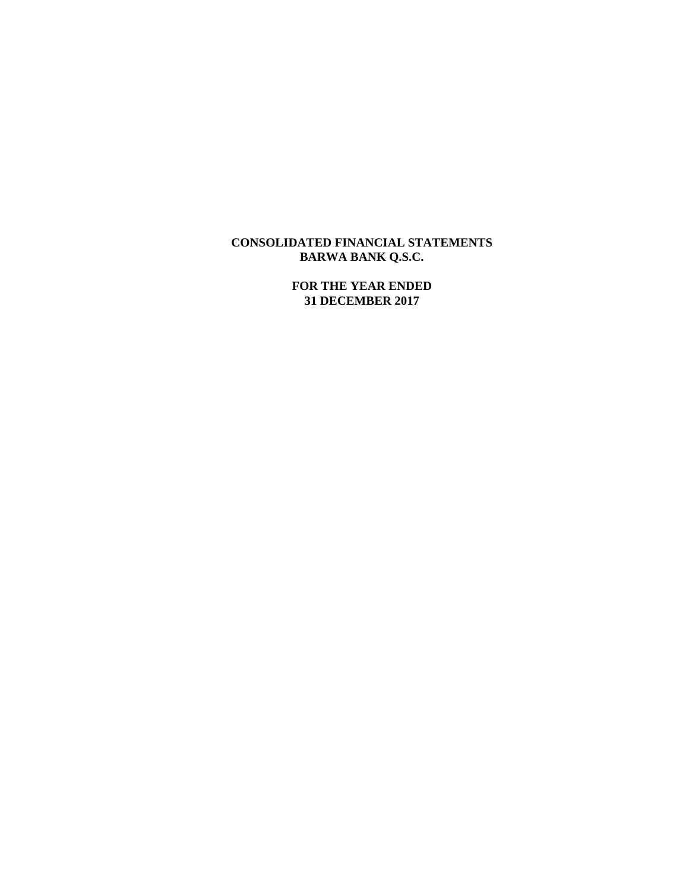# **CONSOLIDATED FINANCIAL STATEMENTS BARWA BANK Q.S.C.**

**FOR THE YEAR ENDED 31 DECEMBER 2017**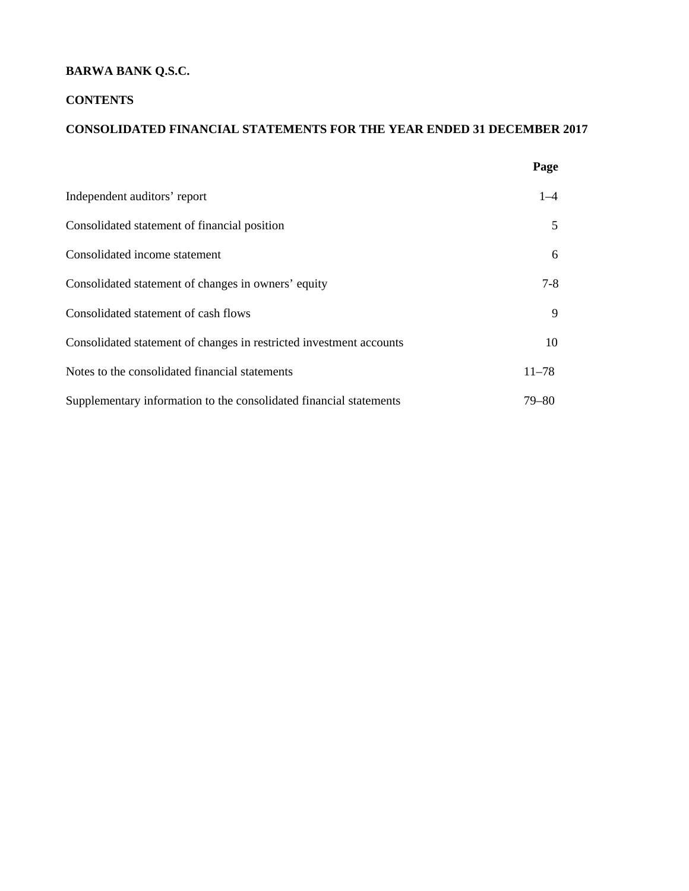# **BARWA BANK Q.S.C.**

## **CONTENTS**

## **CONSOLIDATED FINANCIAL STATEMENTS FOR THE YEAR ENDED 31 DECEMBER 2017**

|                                                                     | Page      |
|---------------------------------------------------------------------|-----------|
| Independent auditors' report                                        | $1 - 4$   |
| Consolidated statement of financial position                        | 5         |
| Consolidated income statement                                       | 6         |
| Consolidated statement of changes in owners' equity                 | $7-8$     |
| Consolidated statement of cash flows                                | 9         |
| Consolidated statement of changes in restricted investment accounts | 10        |
| Notes to the consolidated financial statements                      | $11 - 78$ |
| Supplementary information to the consolidated financial statements  | 79–80     |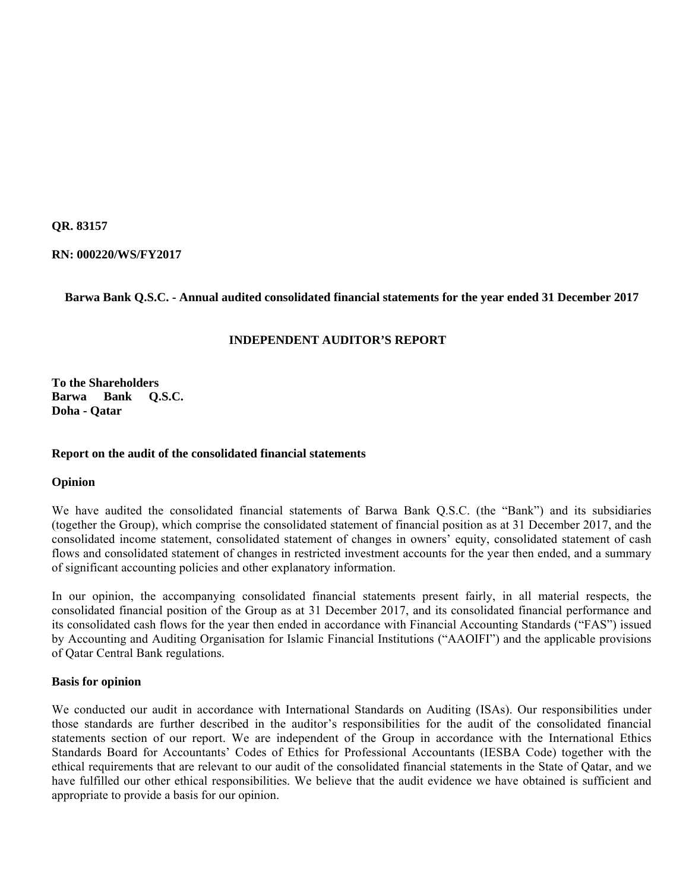**QR. 83157** 

**RN: 000220/WS/FY2017** 

## **Barwa Bank Q.S.C. - Annual audited consolidated financial statements for the year ended 31 December 2017**

## **INDEPENDENT AUDITOR'S REPORT**

**To the Shareholders Barwa Bank Q.S.C. Doha - Qatar** 

## **Report on the audit of the consolidated financial statements**

## **Opinion**

We have audited the consolidated financial statements of Barwa Bank Q.S.C. (the "Bank") and its subsidiaries (together the Group), which comprise the consolidated statement of financial position as at 31 December 2017, and the consolidated income statement, consolidated statement of changes in owners' equity, consolidated statement of cash flows and consolidated statement of changes in restricted investment accounts for the year then ended, and a summary of significant accounting policies and other explanatory information.

In our opinion, the accompanying consolidated financial statements present fairly, in all material respects, the consolidated financial position of the Group as at 31 December 2017, and its consolidated financial performance and its consolidated cash flows for the year then ended in accordance with Financial Accounting Standards ("FAS") issued by Accounting and Auditing Organisation for Islamic Financial Institutions ("AAOIFI") and the applicable provisions of Qatar Central Bank regulations.

## **Basis for opinion**

We conducted our audit in accordance with International Standards on Auditing (ISAs). Our responsibilities under those standards are further described in the auditor's responsibilities for the audit of the consolidated financial statements section of our report. We are independent of the Group in accordance with the International Ethics Standards Board for Accountants' Codes of Ethics for Professional Accountants (IESBA Code) together with the ethical requirements that are relevant to our audit of the consolidated financial statements in the State of Qatar, and we have fulfilled our other ethical responsibilities. We believe that the audit evidence we have obtained is sufficient and appropriate to provide a basis for our opinion.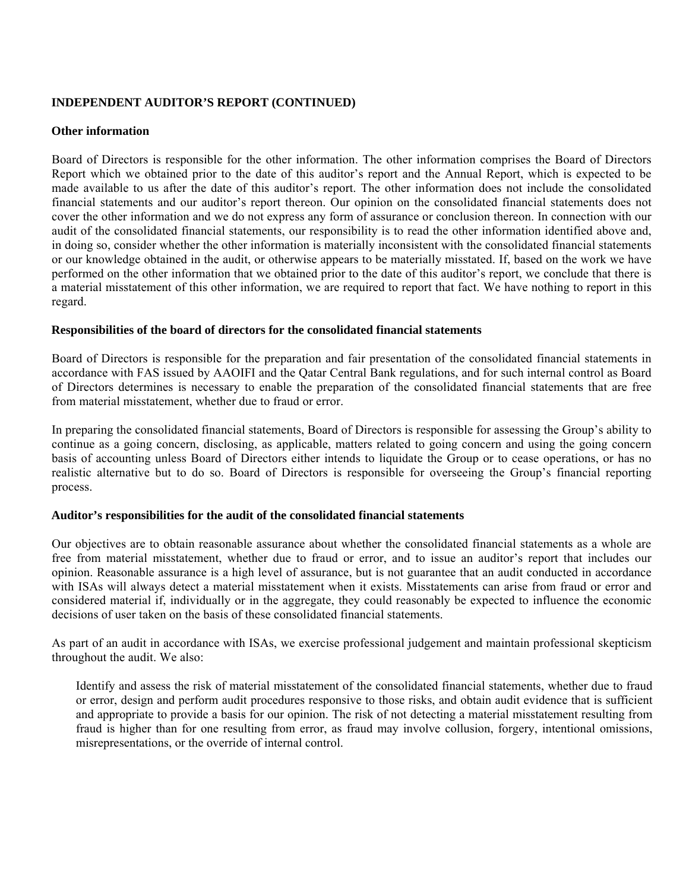## **INDEPENDENT AUDITOR'S REPORT (CONTINUED)**

## **Other information**

Board of Directors is responsible for the other information. The other information comprises the Board of Directors Report which we obtained prior to the date of this auditor's report and the Annual Report, which is expected to be made available to us after the date of this auditor's report. The other information does not include the consolidated financial statements and our auditor's report thereon. Our opinion on the consolidated financial statements does not cover the other information and we do not express any form of assurance or conclusion thereon. In connection with our audit of the consolidated financial statements, our responsibility is to read the other information identified above and, in doing so, consider whether the other information is materially inconsistent with the consolidated financial statements or our knowledge obtained in the audit, or otherwise appears to be materially misstated. If, based on the work we have performed on the other information that we obtained prior to the date of this auditor's report, we conclude that there is a material misstatement of this other information, we are required to report that fact. We have nothing to report in this regard.

## **Responsibilities of the board of directors for the consolidated financial statements**

Board of Directors is responsible for the preparation and fair presentation of the consolidated financial statements in accordance with FAS issued by AAOIFI and the Qatar Central Bank regulations, and for such internal control as Board of Directors determines is necessary to enable the preparation of the consolidated financial statements that are free from material misstatement, whether due to fraud or error.

In preparing the consolidated financial statements, Board of Directors is responsible for assessing the Group's ability to continue as a going concern, disclosing, as applicable, matters related to going concern and using the going concern basis of accounting unless Board of Directors either intends to liquidate the Group or to cease operations, or has no realistic alternative but to do so. Board of Directors is responsible for overseeing the Group's financial reporting process.

## **Auditor's responsibilities for the audit of the consolidated financial statements**

Our objectives are to obtain reasonable assurance about whether the consolidated financial statements as a whole are free from material misstatement, whether due to fraud or error, and to issue an auditor's report that includes our opinion. Reasonable assurance is a high level of assurance, but is not guarantee that an audit conducted in accordance with ISAs will always detect a material misstatement when it exists. Misstatements can arise from fraud or error and considered material if, individually or in the aggregate, they could reasonably be expected to influence the economic decisions of user taken on the basis of these consolidated financial statements.

As part of an audit in accordance with ISAs, we exercise professional judgement and maintain professional skepticism throughout the audit. We also:

 Identify and assess the risk of material misstatement of the consolidated financial statements, whether due to fraud or error, design and perform audit procedures responsive to those risks, and obtain audit evidence that is sufficient and appropriate to provide a basis for our opinion. The risk of not detecting a material misstatement resulting from fraud is higher than for one resulting from error, as fraud may involve collusion, forgery, intentional omissions, misrepresentations, or the override of internal control.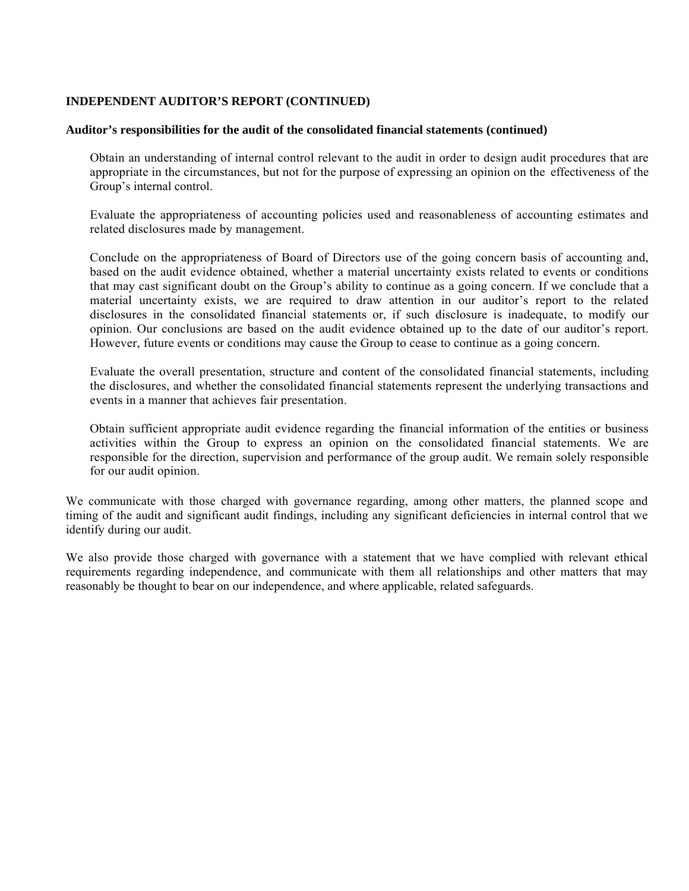## **INDEPENDENT AUDITOR'S REPORT (CONTINUED)**

## **Auditor's responsibilities for the audit of the consolidated financial statements (continued)**

 Obtain an understanding of internal control relevant to the audit in order to design audit procedures that are appropriate in the circumstances, but not for the purpose of expressing an opinion on the effectiveness of the Group's internal control.

 Evaluate the appropriateness of accounting policies used and reasonableness of accounting estimates and related disclosures made by management.

 Conclude on the appropriateness of Board of Directors use of the going concern basis of accounting and, based on the audit evidence obtained, whether a material uncertainty exists related to events or conditions that may cast significant doubt on the Group's ability to continue as a going concern. If we conclude that a material uncertainty exists, we are required to draw attention in our auditor's report to the related disclosures in the consolidated financial statements or, if such disclosure is inadequate, to modify our opinion. Our conclusions are based on the audit evidence obtained up to the date of our auditor's report. However, future events or conditions may cause the Group to cease to continue as a going concern.

 Evaluate the overall presentation, structure and content of the consolidated financial statements, including the disclosures, and whether the consolidated financial statements represent the underlying transactions and events in a manner that achieves fair presentation.

 Obtain sufficient appropriate audit evidence regarding the financial information of the entities or business activities within the Group to express an opinion on the consolidated financial statements. We are responsible for the direction, supervision and performance of the group audit. We remain solely responsible for our audit opinion.

We communicate with those charged with governance regarding, among other matters, the planned scope and timing of the audit and significant audit findings, including any significant deficiencies in internal control that we identify during our audit.

We also provide those charged with governance with a statement that we have complied with relevant ethical requirements regarding independence, and communicate with them all relationships and other matters that may reasonably be thought to bear on our independence, and where applicable, related safeguards.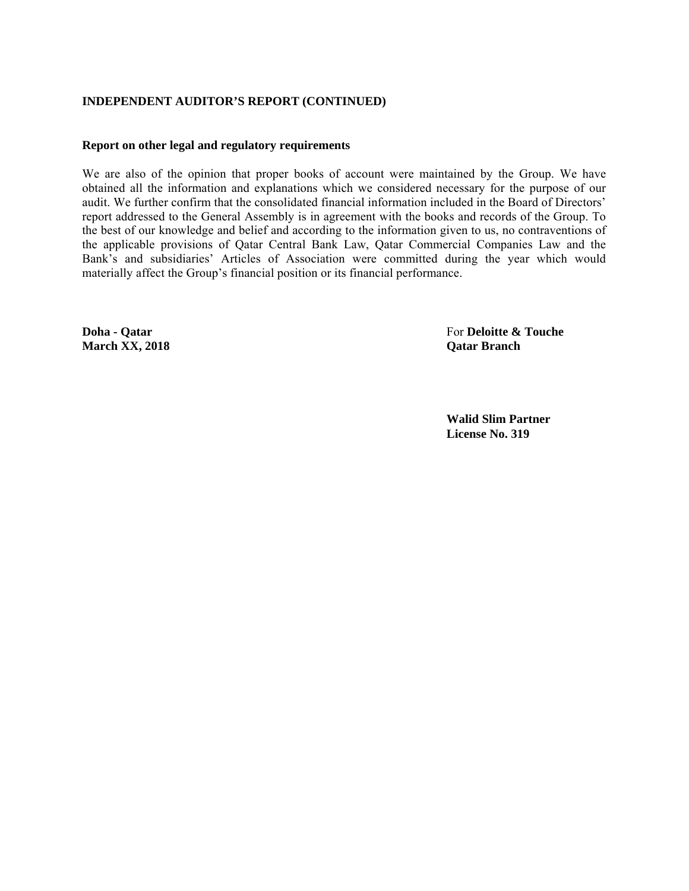## **INDEPENDENT AUDITOR'S REPORT (CONTINUED)**

## **Report on other legal and regulatory requirements**

We are also of the opinion that proper books of account were maintained by the Group. We have obtained all the information and explanations which we considered necessary for the purpose of our audit. We further confirm that the consolidated financial information included in the Board of Directors' report addressed to the General Assembly is in agreement with the books and records of the Group. To the best of our knowledge and belief and according to the information given to us, no contraventions of the applicable provisions of Qatar Central Bank Law, Qatar Commercial Companies Law and the Bank's and subsidiaries' Articles of Association were committed during the year which would materially affect the Group's financial position or its financial performance.

**March XX, 2018 Qatar Branch** 

**Doha - Qatar For** Deloitte & Touche **Properties** 

**Walid Slim Partner License No. 319**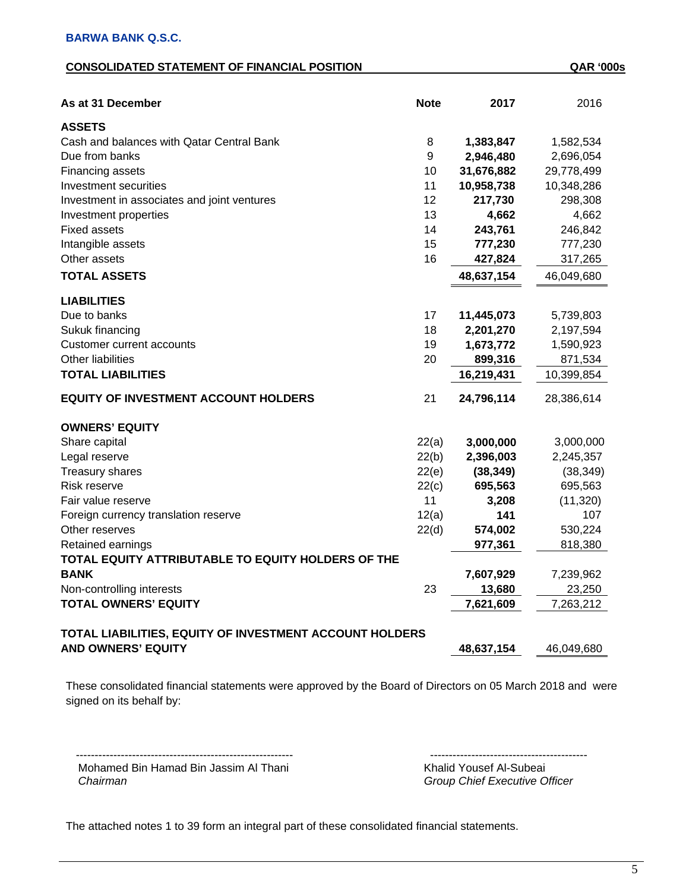## **CONSOLIDATED STATEMENT OF FINANCIAL POSITION QAR '000s**

| As at 31 December                                       | <b>Note</b> | 2017       | 2016       |
|---------------------------------------------------------|-------------|------------|------------|
| <b>ASSETS</b>                                           |             |            |            |
| Cash and balances with Qatar Central Bank               | 8           | 1,383,847  | 1,582,534  |
| Due from banks                                          | 9           | 2,946,480  | 2,696,054  |
| Financing assets                                        | 10          | 31,676,882 | 29,778,499 |
| Investment securities                                   | 11          | 10,958,738 | 10,348,286 |
| Investment in associates and joint ventures             | 12          | 217,730    | 298,308    |
| Investment properties                                   | 13          | 4,662      | 4,662      |
| <b>Fixed assets</b>                                     | 14          | 243,761    | 246,842    |
| Intangible assets                                       | 15          | 777,230    | 777,230    |
| Other assets                                            | 16          | 427,824    | 317,265    |
| <b>TOTAL ASSETS</b>                                     |             | 48,637,154 | 46,049,680 |
| <b>LIABILITIES</b>                                      |             |            |            |
| Due to banks                                            | 17          | 11,445,073 | 5,739,803  |
| Sukuk financing                                         | 18          | 2,201,270  | 2,197,594  |
| <b>Customer current accounts</b>                        | 19          | 1,673,772  | 1,590,923  |
| Other liabilities                                       | 20          | 899,316    | 871,534    |
| <b>TOTAL LIABILITIES</b>                                |             | 16,219,431 | 10,399,854 |
| <b>EQUITY OF INVESTMENT ACCOUNT HOLDERS</b>             | 21          | 24,796,114 | 28,386,614 |
| <b>OWNERS' EQUITY</b>                                   |             |            |            |
| Share capital                                           | 22(a)       | 3,000,000  | 3,000,000  |
| Legal reserve                                           | 22(b)       | 2,396,003  | 2,245,357  |
| <b>Treasury shares</b>                                  | 22(e)       | (38, 349)  | (38, 349)  |
| <b>Risk reserve</b>                                     | 22(c)       | 695,563    | 695,563    |
| Fair value reserve                                      | 11          | 3,208      | (11, 320)  |
| Foreign currency translation reserve                    | 12(a)       | 141        | 107        |
| Other reserves                                          | 22(d)       | 574,002    | 530,224    |
| Retained earnings                                       |             | 977,361    | 818,380    |
| TOTAL EQUITY ATTRIBUTABLE TO EQUITY HOLDERS OF THE      |             |            |            |
| <b>BANK</b>                                             |             | 7,607,929  | 7,239,962  |
| Non-controlling interests                               | 23          | 13,680     | 23,250     |
| <b>TOTAL OWNERS' EQUITY</b>                             |             | 7,621,609  | 7,263,212  |
| TOTAL LIABILITIES, EQUITY OF INVESTMENT ACCOUNT HOLDERS |             |            |            |
| <b>AND OWNERS' EQUITY</b>                               |             | 48,637,154 | 46,049,680 |

These consolidated financial statements were approved by the Board of Directors on 05 March 2018 and were signed on its behalf by:

---------------------------------------------------------- ------------------------------------------ Mohamed Bin Hamad Bin Jassim Al Thani Khalid Yousef Al-Subeai<br>Chairman Chairman

 *Chairman Group Chief Executive Officer*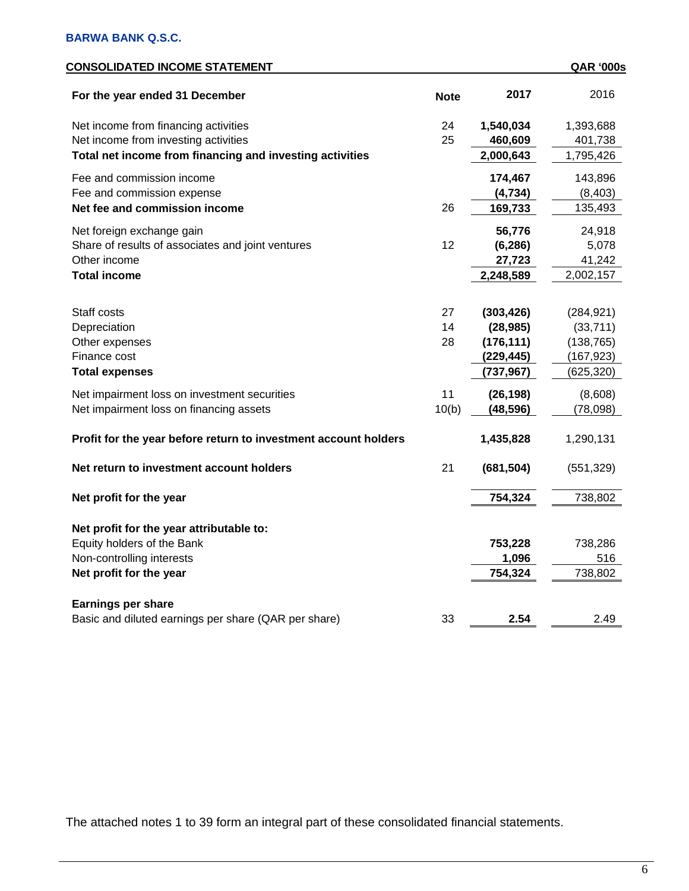| <b>CONSOLIDATED INCOME STATEMENT</b>                            |             |            | <b>QAR '000s</b> |
|-----------------------------------------------------------------|-------------|------------|------------------|
| For the year ended 31 December                                  | <b>Note</b> | 2017       | 2016             |
| Net income from financing activities                            | 24          | 1,540,034  | 1,393,688        |
| Net income from investing activities                            | 25          | 460,609    | 401,738          |
| Total net income from financing and investing activities        |             | 2,000,643  | 1,795,426        |
| Fee and commission income                                       |             | 174,467    | 143,896          |
| Fee and commission expense                                      |             | (4, 734)   | (8, 403)         |
| Net fee and commission income                                   | 26          | 169,733    | 135,493          |
| Net foreign exchange gain                                       |             | 56,776     | 24,918           |
| Share of results of associates and joint ventures               | 12          | (6, 286)   | 5,078            |
| Other income                                                    |             | 27,723     | 41,242           |
| <b>Total income</b>                                             |             | 2,248,589  | 2,002,157        |
|                                                                 |             |            |                  |
| Staff costs                                                     | 27          | (303, 426) | (284, 921)       |
| Depreciation                                                    | 14          | (28, 985)  | (33, 711)        |
| Other expenses                                                  | 28          | (176, 111) | (138, 765)       |
| Finance cost                                                    |             | (229, 445) | (167, 923)       |
| <b>Total expenses</b>                                           |             | (737, 967) | (625, 320)       |
| Net impairment loss on investment securities                    | 11          | (26, 198)  | (8,608)          |
| Net impairment loss on financing assets                         | 10(b)       | (48, 596)  | (78,098)         |
| Profit for the year before return to investment account holders |             | 1,435,828  | 1,290,131        |
| Net return to investment account holders                        | 21          | (681, 504) | (551, 329)       |
| Net profit for the year                                         |             | 754,324    | 738,802          |
|                                                                 |             |            |                  |
| Net profit for the year attributable to:                        |             |            |                  |
| Equity holders of the Bank                                      |             | 753,228    | 738,286          |
| Non-controlling interests                                       |             | 1,096      | 516              |
| Net profit for the year                                         |             | 754,324    | 738,802          |
| <b>Earnings per share</b>                                       |             |            |                  |
| Basic and diluted earnings per share (QAR per share)            | 33          | 2.54       | 2.49             |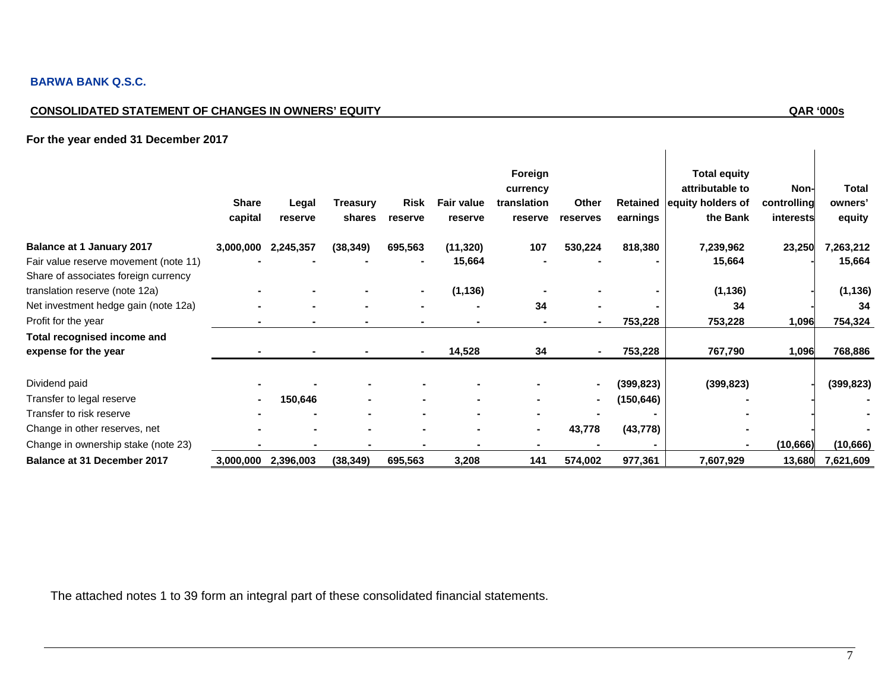## **BARWA BANK Q.S.C.**

# **CONSOLIDATED STATEMENT OF CHANGES IN OWNERS' EQUITY QAR '000s**

 $\overline{\phantom{a}}$ 

## **For the year ended 31 December 2017**

|                                                                               | <b>Share</b><br>capital | Legal<br>reserve | Treasury<br>shares | Risk<br>reserve | <b>Fair value</b><br>reserve | Foreign<br>currency<br>translation<br>reserve | Other<br>reserves | Retained<br>earnings | <b>Total equity</b><br>attributable to<br>equity holders of<br>the Bank | Non-<br>controlling<br>interests | <b>Total</b><br>owners'<br>equity |
|-------------------------------------------------------------------------------|-------------------------|------------------|--------------------|-----------------|------------------------------|-----------------------------------------------|-------------------|----------------------|-------------------------------------------------------------------------|----------------------------------|-----------------------------------|
| <b>Balance at 1 January 2017</b>                                              | 3,000,000               | 2,245,357        | (38, 349)          | 695,563         | (11, 320)                    | 107                                           | 530,224           | 818,380              | 7,239,962                                                               | 23,250                           | 7,263,212                         |
| Fair value reserve movement (note 11)<br>Share of associates foreign currency |                         |                  |                    |                 | 15,664                       |                                               |                   |                      | 15,664                                                                  |                                  | 15,664                            |
| translation reserve (note 12a)                                                |                         |                  |                    |                 | (1, 136)                     |                                               |                   |                      | (1, 136)                                                                |                                  | (1, 136)                          |
| Net investment hedge gain (note 12a)                                          |                         |                  |                    |                 |                              | 34                                            |                   |                      | 34                                                                      |                                  | 34                                |
| Profit for the year                                                           |                         |                  |                    |                 |                              |                                               |                   | 753,228              | 753,228                                                                 | 1,096                            | 754,324                           |
| Total recognised income and                                                   |                         |                  |                    |                 |                              |                                               |                   |                      |                                                                         |                                  |                                   |
| expense for the year                                                          |                         |                  |                    |                 | 14,528                       | 34                                            |                   | 753,228              | 767,790                                                                 | 1,096                            | 768,886                           |
| Dividend paid                                                                 |                         |                  |                    |                 |                              |                                               | $\blacksquare$    | (399,823)            | (399, 823)                                                              |                                  | (399, 823)                        |
| Transfer to legal reserve                                                     |                         | 150,646          |                    |                 |                              |                                               | $\blacksquare$    | (150,646)            |                                                                         |                                  |                                   |
| Transfer to risk reserve                                                      |                         |                  |                    |                 |                              |                                               |                   |                      |                                                                         |                                  |                                   |
| Change in other reserves, net                                                 |                         |                  | $\blacksquare$     |                 |                              | $\blacksquare$                                | 43,778            | (43, 778)            |                                                                         |                                  |                                   |
| Change in ownership stake (note 23)                                           |                         |                  |                    |                 |                              |                                               |                   |                      |                                                                         | (10, 666)                        | (10, 666)                         |
| Balance at 31 December 2017                                                   | 3,000,000               | 2,396,003        | (38, 349)          | 695,563         | 3,208                        | 141                                           | 574,002           | 977,361              | 7,607,929                                                               | 13,680                           | 7,621,609                         |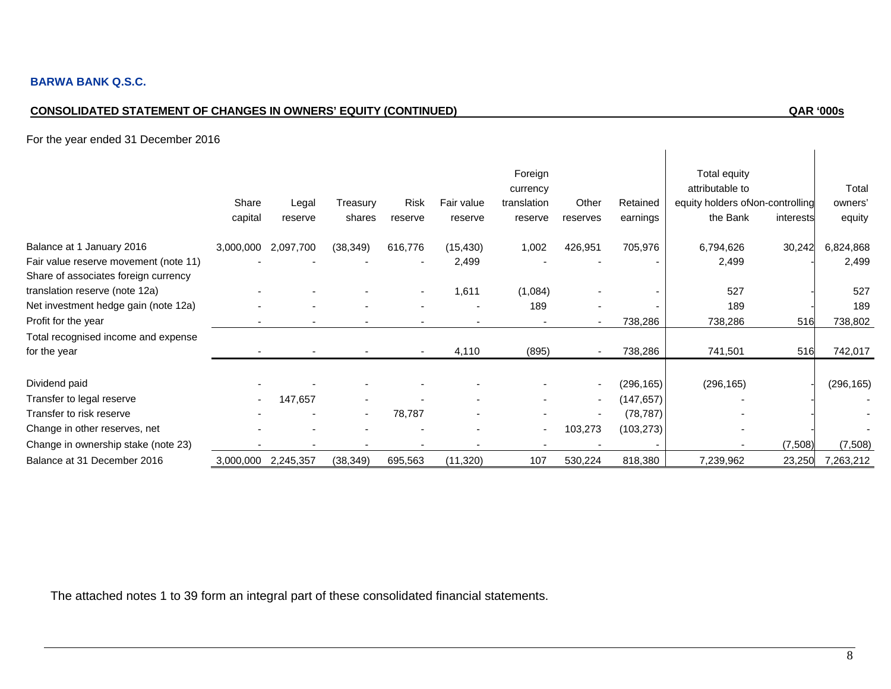# **CONSOLIDATED STATEMENT OF CHANGES IN OWNERS' EQUITY (CONTINUED) QAR '000s**

 $\overline{\phantom{a}}$ 

For the year ended 31 December 2016

|                                                                                                            | Share<br>capital | Legal<br>reserve | Treasury<br>shares | Risk<br>reserve | Fair value<br>reserve | Foreign<br>currency<br>translation<br>reserve | Other<br>reserves        | Retained<br>earnings | Total equity<br>attributable to<br>equity holders of lon-controlling<br>the Bank | interests | Total<br>owners'<br>equity |
|------------------------------------------------------------------------------------------------------------|------------------|------------------|--------------------|-----------------|-----------------------|-----------------------------------------------|--------------------------|----------------------|----------------------------------------------------------------------------------|-----------|----------------------------|
| Balance at 1 January 2016<br>Fair value reserve movement (note 11)<br>Share of associates foreign currency | 3,000,000        | 2,097,700        | (38, 349)          | 616,776         | (15, 430)<br>2,499    | 1,002                                         | 426,951                  | 705,976              | 6,794,626<br>2,499                                                               | 30,242    | 6,824,868<br>2,499         |
| translation reserve (note 12a)                                                                             |                  |                  |                    |                 | 1,611                 | (1,084)                                       |                          |                      | 527                                                                              |           | 527                        |
| Net investment hedge gain (note 12a)                                                                       |                  |                  |                    |                 |                       | 189                                           |                          |                      | 189                                                                              |           | 189                        |
| Profit for the year                                                                                        |                  |                  |                    |                 |                       |                                               |                          | 738,286              | 738,286                                                                          | 516       | 738,802                    |
| Total recognised income and expense                                                                        |                  |                  |                    |                 |                       |                                               |                          |                      |                                                                                  |           |                            |
| for the year                                                                                               |                  |                  |                    |                 | 4,110                 | (895)                                         |                          | 738,286              | 741,501                                                                          | 516       | 742,017                    |
| Dividend paid                                                                                              |                  |                  |                    |                 |                       |                                               |                          | (296,165)            | (296, 165)                                                                       |           | (296, 165)                 |
| Transfer to legal reserve                                                                                  |                  | 147,657          |                    |                 |                       |                                               | $\overline{\phantom{a}}$ | (147, 657)           |                                                                                  |           |                            |
| Transfer to risk reserve                                                                                   |                  |                  | ۰                  | 78,787          |                       |                                               | $\overline{\phantom{a}}$ | (78, 787)            |                                                                                  |           |                            |
| Change in other reserves, net                                                                              |                  |                  |                    |                 |                       |                                               | 103,273                  | (103, 273)           |                                                                                  |           |                            |
| Change in ownership stake (note 23)                                                                        |                  |                  |                    |                 |                       |                                               |                          |                      |                                                                                  | (7,508)   | (7,508)                    |
| Balance at 31 December 2016                                                                                | 3,000,000        | 2,245,357        | (38, 349)          | 695,563         | (11, 320)             | 107                                           | 530,224                  | 818,380              | 7,239,962                                                                        | 23,250    | 7,263,212                  |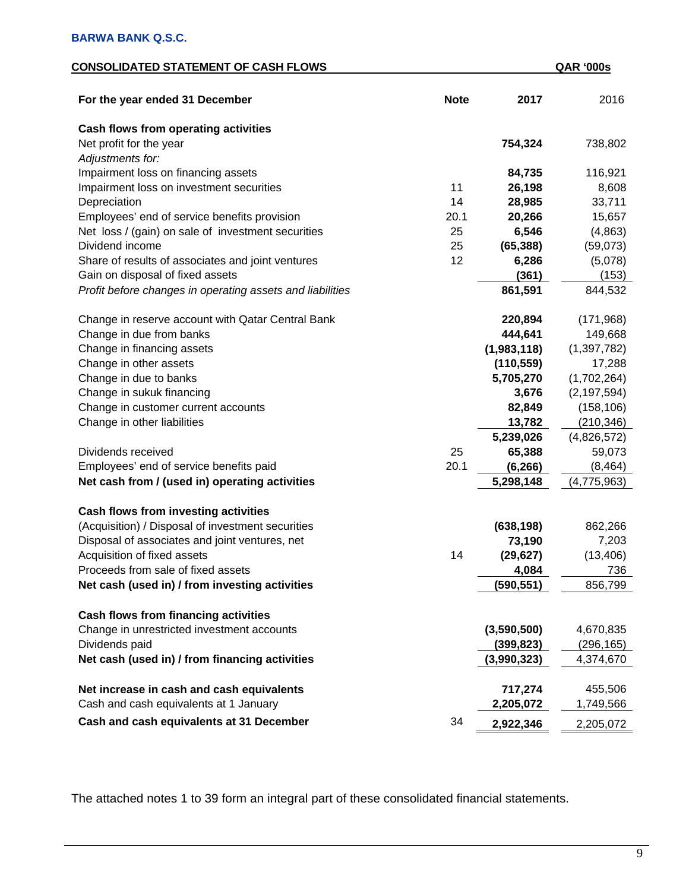## **CONSOLIDATED STATEMENT OF CASH FLOWS QAR '000s**

| For the year ended 31 December                            | <b>Note</b> | 2017        | 2016          |
|-----------------------------------------------------------|-------------|-------------|---------------|
| <b>Cash flows from operating activities</b>               |             |             |               |
| Net profit for the year                                   |             | 754,324     | 738,802       |
| Adjustments for:                                          |             |             |               |
| Impairment loss on financing assets                       |             | 84,735      | 116,921       |
| Impairment loss on investment securities                  | 11          | 26,198      | 8,608         |
| Depreciation                                              | 14          | 28,985      | 33,711        |
| Employees' end of service benefits provision              | 20.1        | 20,266      | 15,657        |
| Net loss / (gain) on sale of investment securities        | 25          | 6,546       | (4,863)       |
| Dividend income                                           | 25          | (65, 388)   | (59,073)      |
| Share of results of associates and joint ventures         | 12          | 6,286       | (5,078)       |
| Gain on disposal of fixed assets                          |             | (361)       | (153)         |
| Profit before changes in operating assets and liabilities |             | 861,591     | 844,532       |
| Change in reserve account with Qatar Central Bank         |             | 220,894     | (171,968)     |
| Change in due from banks                                  |             | 444,641     | 149,668       |
| Change in financing assets                                |             | (1,983,118) | (1, 397, 782) |
| Change in other assets                                    |             | (110, 559)  | 17,288        |
| Change in due to banks                                    |             | 5,705,270   | (1,702,264)   |
| Change in sukuk financing                                 |             | 3,676       | (2, 197, 594) |
| Change in customer current accounts                       |             | 82,849      | (158, 106)    |
| Change in other liabilities                               |             | 13,782      | (210, 346)    |
|                                                           |             | 5,239,026   | (4,826,572)   |
| Dividends received                                        | 25          | 65,388      | 59,073        |
| Employees' end of service benefits paid                   | 20.1        | (6, 266)    | (8, 464)      |
| Net cash from / (used in) operating activities            |             | 5,298,148   | (4, 775, 963) |
| <b>Cash flows from investing activities</b>               |             |             |               |
| (Acquisition) / Disposal of investment securities         |             | (638, 198)  | 862,266       |
| Disposal of associates and joint ventures, net            |             | 73,190      | 7,203         |
| Acquisition of fixed assets                               | 14          | (29, 627)   | (13, 406)     |
| Proceeds from sale of fixed assets                        |             | 4,084       | 736           |
| Net cash (used in) / from investing activities            |             | (590, 551)  | 856,799       |
| Cash flows from financing activities                      |             |             |               |
| Change in unrestricted investment accounts                |             | (3,590,500) | 4,670,835     |
| Dividends paid                                            |             | (399, 823)  | (296, 165)    |
| Net cash (used in) / from financing activities            |             | (3,990,323) | 4,374,670     |
| Net increase in cash and cash equivalents                 |             | 717,274     | 455,506       |
| Cash and cash equivalents at 1 January                    |             | 2,205,072   | 1,749,566     |
|                                                           |             |             |               |
| Cash and cash equivalents at 31 December                  | 34          | 2,922,346   | 2,205,072     |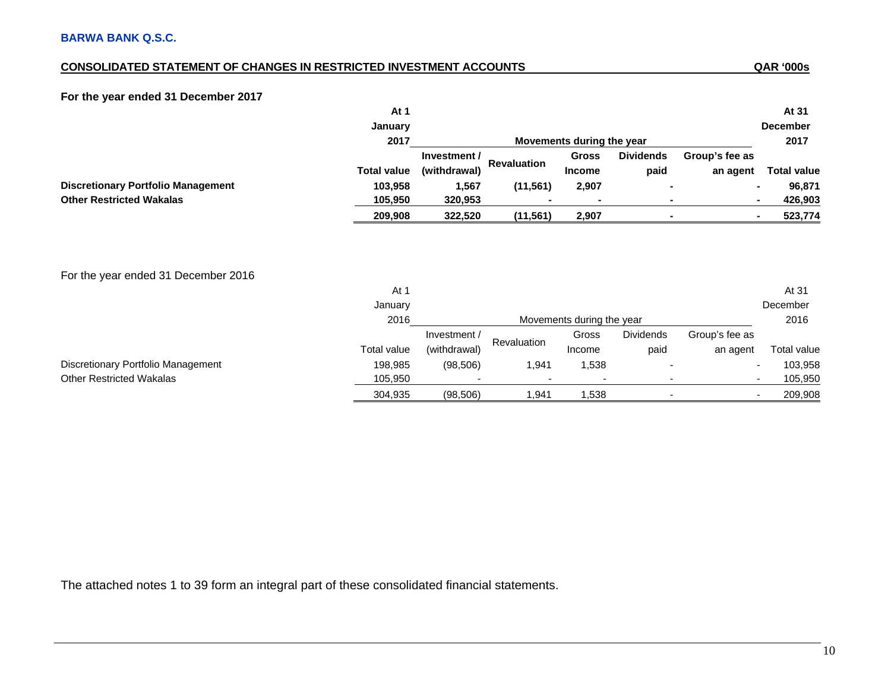## **CONSOLIDATED STATEMENT OF CHANGES IN RESTRICTED INVESTMENT ACCOUNTS**

## **For the year ended 31 December 2017**

|                                           | At 1               |                           |                    |               |                  |                | At 31                     |
|-------------------------------------------|--------------------|---------------------------|--------------------|---------------|------------------|----------------|---------------------------|
|                                           | January            |                           |                    |               |                  |                | <b>December</b>           |
|                                           | 2017               | Movements during the year |                    |               |                  |                | 2017                      |
|                                           |                    | Investment /              |                    | Gross         | <b>Dividends</b> | Group's fee as |                           |
|                                           | <b>Total value</b> | (withdrawal)              | <b>Revaluation</b> | <b>Income</b> | paid             | an agent       | <b>Total value</b>        |
| <b>Discretionary Portfolio Management</b> | 103,958            | 1,567                     | (11, 561)          | 2,907         |                  |                | 96,871                    |
| <b>Other Restricted Wakalas</b>           | 105,950            | 320,953                   |                    |               |                  |                | 426,903<br>$\blacksquare$ |
|                                           | 209,908            | 322,520                   | (11, 561)          | 2,907         |                  |                | 523,774                   |

## For the year ended 31 December 2016

|                                    | At 1        |                           |             |        |                  |                | At 31       |
|------------------------------------|-------------|---------------------------|-------------|--------|------------------|----------------|-------------|
|                                    | January     |                           |             |        |                  |                | December    |
|                                    | 2016        | Movements during the year |             |        |                  |                | 2016        |
|                                    |             | Investment /              |             | Gross  | <b>Dividends</b> | Group's fee as |             |
|                                    | Total value | (withdrawal)              | Revaluation | Income | paid             | an agent       | Total value |
| Discretionary Portfolio Management | 198.985     | (98, 506)                 | 1.941       | 538. ا |                  |                | 103,958     |
| <b>Other Restricted Wakalas</b>    | 105,950     |                           |             |        |                  |                | 105,950     |
|                                    | 304,935     | (98, 506)                 | 941. ا      | .538   |                  |                | 209,908     |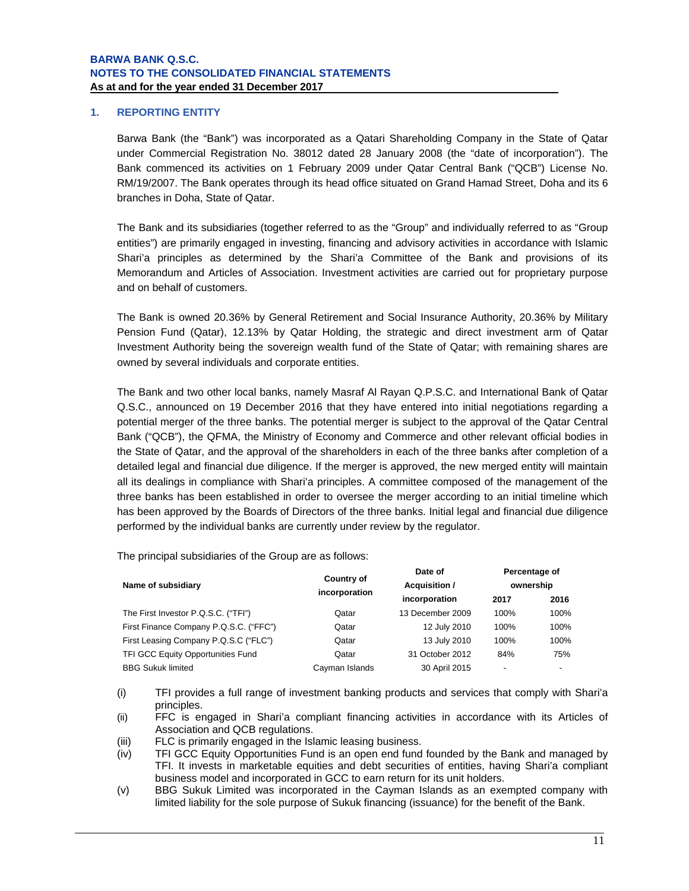## **1. REPORTING ENTITY**

Barwa Bank (the "Bank") was incorporated as a Qatari Shareholding Company in the State of Qatar under Commercial Registration No. 38012 dated 28 January 2008 (the "date of incorporation"). The Bank commenced its activities on 1 February 2009 under Qatar Central Bank ("QCB") License No. RM/19/2007. The Bank operates through its head office situated on Grand Hamad Street, Doha and its 6 branches in Doha, State of Qatar.

The Bank and its subsidiaries (together referred to as the "Group" and individually referred to as "Group entities") are primarily engaged in investing, financing and advisory activities in accordance with Islamic Shari'a principles as determined by the Shari'a Committee of the Bank and provisions of its Memorandum and Articles of Association. Investment activities are carried out for proprietary purpose and on behalf of customers.

The Bank is owned 20.36% by General Retirement and Social Insurance Authority, 20.36% by Military Pension Fund (Qatar), 12.13% by Qatar Holding, the strategic and direct investment arm of Qatar Investment Authority being the sovereign wealth fund of the State of Qatar; with remaining shares are owned by several individuals and corporate entities.

The Bank and two other local banks, namely Masraf Al Rayan Q.P.S.C. and International Bank of Qatar Q.S.C., announced on 19 December 2016 that they have entered into initial negotiations regarding a potential merger of the three banks. The potential merger is subject to the approval of the Qatar Central Bank ("QCB"), the QFMA, the Ministry of Economy and Commerce and other relevant official bodies in the State of Qatar, and the approval of the shareholders in each of the three banks after completion of a detailed legal and financial due diligence. If the merger is approved, the new merged entity will maintain all its dealings in compliance with Shari'a principles. A committee composed of the management of the three banks has been established in order to oversee the merger according to an initial timeline which has been approved by the Boards of Directors of the three banks. Initial legal and financial due diligence performed by the individual banks are currently under review by the regulator.

The principal subsidiaries of the Group are as follows:

| Name of subsidiary                     | <b>Country of</b><br>incorporation | Date of<br>Acquisition / | Percentage of<br>ownership |      |  |
|----------------------------------------|------------------------------------|--------------------------|----------------------------|------|--|
|                                        |                                    | incorporation            | 2017                       | 2016 |  |
| The First Investor P.Q.S.C. ("TFI")    | Qatar                              | 13 December 2009         | 100%                       | 100% |  |
| First Finance Company P.Q.S.C. ("FFC") | Qatar                              | 12 July 2010             | 100%                       | 100% |  |
| First Leasing Company P.Q.S.C ("FLC")  | Qatar                              | 13 July 2010             | 100%                       | 100% |  |
| TFI GCC Equity Opportunities Fund      | Qatar                              | 31 October 2012          | 84%                        | 75%  |  |
| <b>BBG Sukuk limited</b>               | Cayman Islands                     | 30 April 2015            | ٠                          | ٠    |  |

 (i) TFI provides a full range of investment banking products and services that comply with Shari'a principles.

(ii) FFC is engaged in Shari'a compliant financing activities in accordance with its Articles of Association and QCB regulations.

- (iii) FLC is primarily engaged in the Islamic leasing business.
- (iv) TFI GCC Equity Opportunities Fund is an open end fund founded by the Bank and managed by TFI. It invests in marketable equities and debt securities of entities, having Shari'a compliant business model and incorporated in GCC to earn return for its unit holders.
- (v) BBG Sukuk Limited was incorporated in the Cayman Islands as an exempted company with limited liability for the sole purpose of Sukuk financing (issuance) for the benefit of the Bank.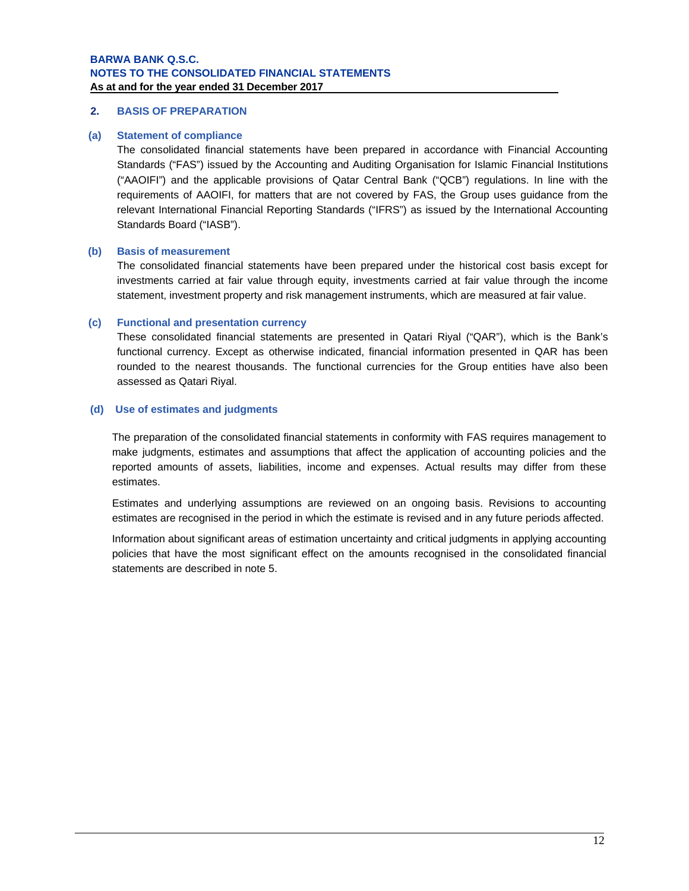## **2. BASIS OF PREPARATION**

#### **(a) Statement of compliance**

The consolidated financial statements have been prepared in accordance with Financial Accounting Standards ("FAS") issued by the Accounting and Auditing Organisation for Islamic Financial Institutions ("AAOIFI") and the applicable provisions of Qatar Central Bank ("QCB") regulations. In line with the requirements of AAOIFI, for matters that are not covered by FAS, the Group uses guidance from the relevant International Financial Reporting Standards ("IFRS") as issued by the International Accounting Standards Board ("IASB").

### **(b) Basis of measurement**

The consolidated financial statements have been prepared under the historical cost basis except for investments carried at fair value through equity, investments carried at fair value through the income statement, investment property and risk management instruments, which are measured at fair value.

### **(c) Functional and presentation currency**

These consolidated financial statements are presented in Qatari Riyal ("QAR"), which is the Bank's functional currency. Except as otherwise indicated, financial information presented in QAR has been rounded to the nearest thousands. The functional currencies for the Group entities have also been assessed as Qatari Riyal.

### **(d) Use of estimates and judgments**

The preparation of the consolidated financial statements in conformity with FAS requires management to make judgments, estimates and assumptions that affect the application of accounting policies and the reported amounts of assets, liabilities, income and expenses. Actual results may differ from these estimates.

Estimates and underlying assumptions are reviewed on an ongoing basis. Revisions to accounting estimates are recognised in the period in which the estimate is revised and in any future periods affected.

Information about significant areas of estimation uncertainty and critical judgments in applying accounting policies that have the most significant effect on the amounts recognised in the consolidated financial statements are described in note 5.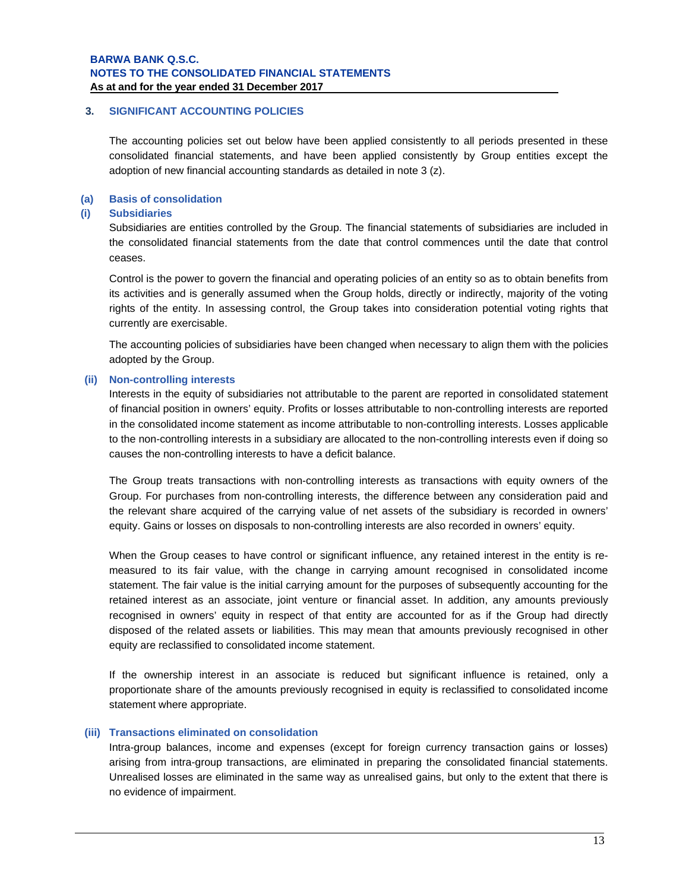## **3. SIGNIFICANT ACCOUNTING POLICIES**

The accounting policies set out below have been applied consistently to all periods presented in these consolidated financial statements, and have been applied consistently by Group entities except the adoption of new financial accounting standards as detailed in note 3 (z).

### **(a) Basis of consolidation**

#### **(i) Subsidiaries**

Subsidiaries are entities controlled by the Group. The financial statements of subsidiaries are included in the consolidated financial statements from the date that control commences until the date that control ceases.

Control is the power to govern the financial and operating policies of an entity so as to obtain benefits from its activities and is generally assumed when the Group holds, directly or indirectly, majority of the voting rights of the entity. In assessing control, the Group takes into consideration potential voting rights that currently are exercisable.

The accounting policies of subsidiaries have been changed when necessary to align them with the policies adopted by the Group.

### **(ii) Non-controlling interests**

Interests in the equity of subsidiaries not attributable to the parent are reported in consolidated statement of financial position in owners' equity. Profits or losses attributable to non-controlling interests are reported in the consolidated income statement as income attributable to non-controlling interests. Losses applicable to the non-controlling interests in a subsidiary are allocated to the non-controlling interests even if doing so causes the non-controlling interests to have a deficit balance.

The Group treats transactions with non-controlling interests as transactions with equity owners of the Group. For purchases from non-controlling interests, the difference between any consideration paid and the relevant share acquired of the carrying value of net assets of the subsidiary is recorded in owners' equity. Gains or losses on disposals to non-controlling interests are also recorded in owners' equity.

When the Group ceases to have control or significant influence, any retained interest in the entity is remeasured to its fair value, with the change in carrying amount recognised in consolidated income statement. The fair value is the initial carrying amount for the purposes of subsequently accounting for the retained interest as an associate, joint venture or financial asset. In addition, any amounts previously recognised in owners' equity in respect of that entity are accounted for as if the Group had directly disposed of the related assets or liabilities. This may mean that amounts previously recognised in other equity are reclassified to consolidated income statement.

If the ownership interest in an associate is reduced but significant influence is retained, only a proportionate share of the amounts previously recognised in equity is reclassified to consolidated income statement where appropriate.

#### **(iii) Transactions eliminated on consolidation**

Intra-group balances, income and expenses (except for foreign currency transaction gains or losses) arising from intra-group transactions, are eliminated in preparing the consolidated financial statements. Unrealised losses are eliminated in the same way as unrealised gains, but only to the extent that there is no evidence of impairment.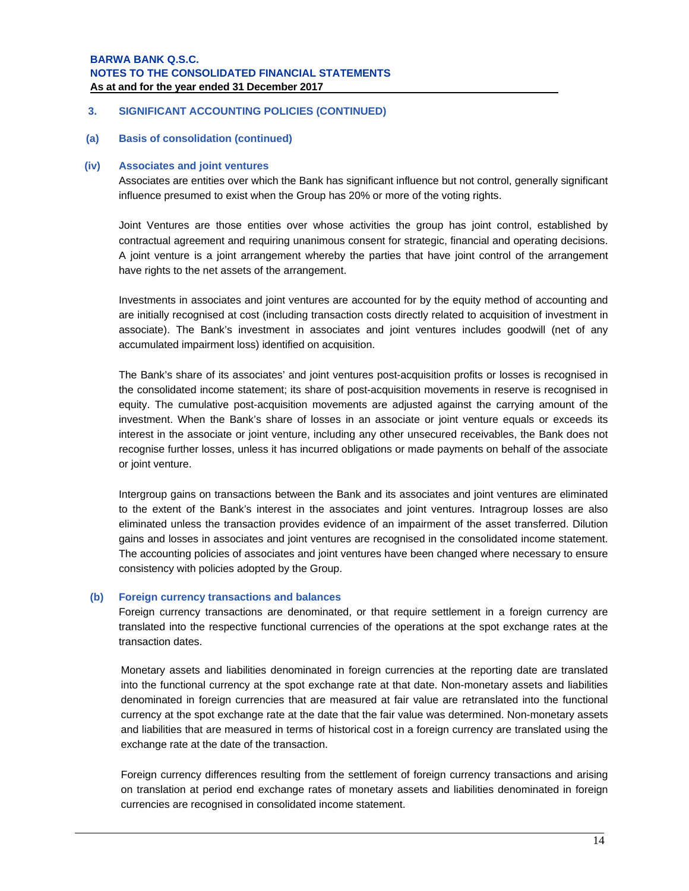## **3. SIGNIFICANT ACCOUNTING POLICIES (CONTINUED)**

**(a) Basis of consolidation (continued)**

#### **(iv) Associates and joint ventures**

Associates are entities over which the Bank has significant influence but not control, generally significant influence presumed to exist when the Group has 20% or more of the voting rights.

Joint Ventures are those entities over whose activities the group has joint control, established by contractual agreement and requiring unanimous consent for strategic, financial and operating decisions. A joint venture is a joint arrangement whereby the parties that have joint control of the arrangement have rights to the net assets of the arrangement.

Investments in associates and joint ventures are accounted for by the equity method of accounting and are initially recognised at cost (including transaction costs directly related to acquisition of investment in associate). The Bank's investment in associates and joint ventures includes goodwill (net of any accumulated impairment loss) identified on acquisition.

The Bank's share of its associates' and joint ventures post-acquisition profits or losses is recognised in the consolidated income statement; its share of post-acquisition movements in reserve is recognised in equity. The cumulative post-acquisition movements are adjusted against the carrying amount of the investment. When the Bank's share of losses in an associate or joint venture equals or exceeds its interest in the associate or joint venture, including any other unsecured receivables, the Bank does not recognise further losses, unless it has incurred obligations or made payments on behalf of the associate or joint venture.

Intergroup gains on transactions between the Bank and its associates and joint ventures are eliminated to the extent of the Bank's interest in the associates and joint ventures. Intragroup losses are also eliminated unless the transaction provides evidence of an impairment of the asset transferred. Dilution gains and losses in associates and joint ventures are recognised in the consolidated income statement. The accounting policies of associates and joint ventures have been changed where necessary to ensure consistency with policies adopted by the Group.

#### **(b) Foreign currency transactions and balances**

Foreign currency transactions are denominated, or that require settlement in a foreign currency are translated into the respective functional currencies of the operations at the spot exchange rates at the transaction dates.

Monetary assets and liabilities denominated in foreign currencies at the reporting date are translated into the functional currency at the spot exchange rate at that date. Non-monetary assets and liabilities denominated in foreign currencies that are measured at fair value are retranslated into the functional currency at the spot exchange rate at the date that the fair value was determined. Non-monetary assets and liabilities that are measured in terms of historical cost in a foreign currency are translated using the exchange rate at the date of the transaction.

Foreign currency differences resulting from the settlement of foreign currency transactions and arising on translation at period end exchange rates of monetary assets and liabilities denominated in foreign currencies are recognised in consolidated income statement.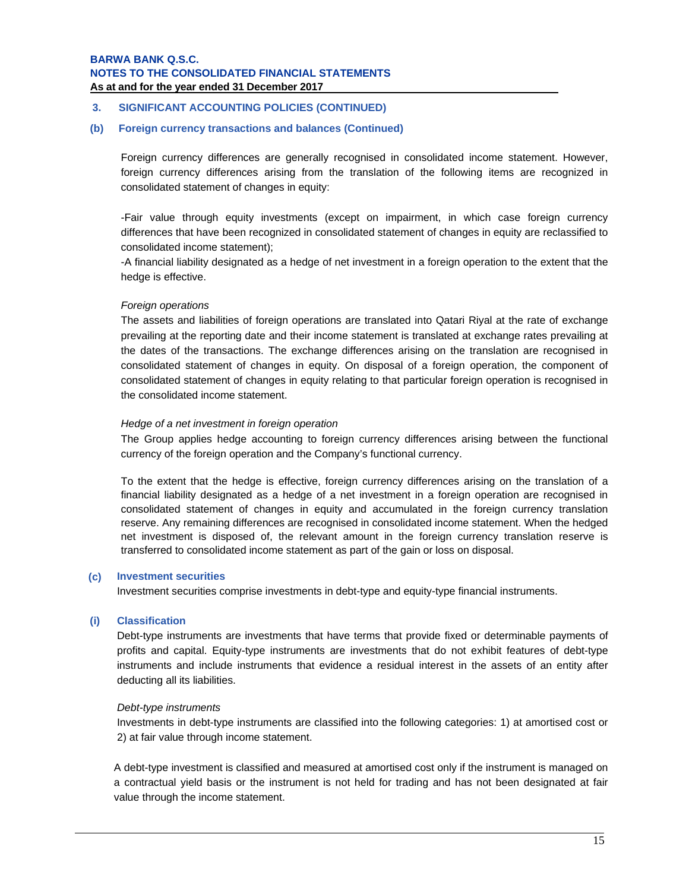#### **3. SIGNIFICANT ACCOUNTING POLICIES (CONTINUED)**

#### **(b) Foreign currency transactions and balances (Continued)**

Foreign currency differences are generally recognised in consolidated income statement. However, foreign currency differences arising from the translation of the following items are recognized in consolidated statement of changes in equity:

-Fair value through equity investments (except on impairment, in which case foreign currency differences that have been recognized in consolidated statement of changes in equity are reclassified to consolidated income statement);

-A financial liability designated as a hedge of net investment in a foreign operation to the extent that the hedge is effective.

#### *Foreign operations*

The assets and liabilities of foreign operations are translated into Qatari Riyal at the rate of exchange prevailing at the reporting date and their income statement is translated at exchange rates prevailing at the dates of the transactions. The exchange differences arising on the translation are recognised in consolidated statement of changes in equity. On disposal of a foreign operation, the component of consolidated statement of changes in equity relating to that particular foreign operation is recognised in the consolidated income statement.

#### *Hedge of a net investment in foreign operation*

The Group applies hedge accounting to foreign currency differences arising between the functional currency of the foreign operation and the Company's functional currency.

To the extent that the hedge is effective, foreign currency differences arising on the translation of a financial liability designated as a hedge of a net investment in a foreign operation are recognised in consolidated statement of changes in equity and accumulated in the foreign currency translation reserve. Any remaining differences are recognised in consolidated income statement. When the hedged net investment is disposed of, the relevant amount in the foreign currency translation reserve is transferred to consolidated income statement as part of the gain or loss on disposal.

### **(c) Investment securities**

Investment securities comprise investments in debt-type and equity-type financial instruments.

#### **(i) Classification**

Debt-type instruments are investments that have terms that provide fixed or determinable payments of profits and capital. Equity-type instruments are investments that do not exhibit features of debt-type instruments and include instruments that evidence a residual interest in the assets of an entity after deducting all its liabilities.

## *Debt-type instruments*

Investments in debt-type instruments are classified into the following categories: 1) at amortised cost or 2) at fair value through income statement.

A debt-type investment is classified and measured at amortised cost only if the instrument is managed on a contractual yield basis or the instrument is not held for trading and has not been designated at fair value through the income statement.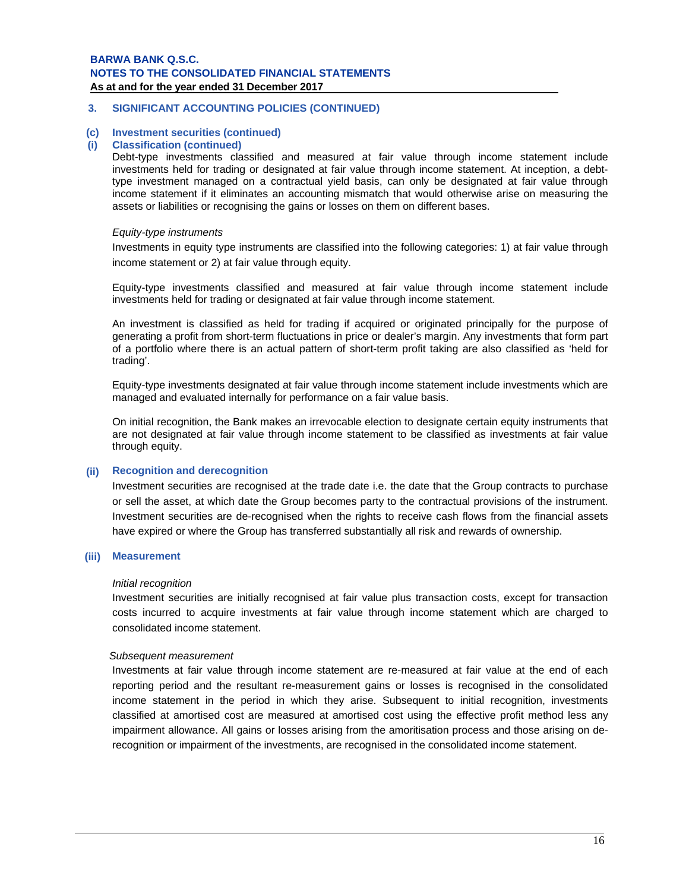## **3. SIGNIFICANT ACCOUNTING POLICIES (CONTINUED)**

## **(c) Investment securities (continued)**

#### **(i) Classification (continued)**

Debt-type investments classified and measured at fair value through income statement include investments held for trading or designated at fair value through income statement. At inception, a debttype investment managed on a contractual yield basis, can only be designated at fair value through income statement if it eliminates an accounting mismatch that would otherwise arise on measuring the assets or liabilities or recognising the gains or losses on them on different bases.

### *Equity-type instruments*

Investments in equity type instruments are classified into the following categories: 1) at fair value through income statement or 2) at fair value through equity.

Equity-type investments classified and measured at fair value through income statement include investments held for trading or designated at fair value through income statement.

An investment is classified as held for trading if acquired or originated principally for the purpose of generating a profit from short-term fluctuations in price or dealer's margin. Any investments that form part of a portfolio where there is an actual pattern of short-term profit taking are also classified as 'held for trading'.

Equity-type investments designated at fair value through income statement include investments which are managed and evaluated internally for performance on a fair value basis.

On initial recognition, the Bank makes an irrevocable election to designate certain equity instruments that are not designated at fair value through income statement to be classified as investments at fair value through equity.

## **(ii) Recognition and derecognition**

Investment securities are recognised at the trade date i.e. the date that the Group contracts to purchase or sell the asset, at which date the Group becomes party to the contractual provisions of the instrument. Investment securities are de-recognised when the rights to receive cash flows from the financial assets have expired or where the Group has transferred substantially all risk and rewards of ownership.

#### **(iii) Measurement**

#### *Initial recognition*

Investment securities are initially recognised at fair value plus transaction costs, except for transaction costs incurred to acquire investments at fair value through income statement which are charged to consolidated income statement.

#### *Subsequent measurement*

Investments at fair value through income statement are re-measured at fair value at the end of each reporting period and the resultant re-measurement gains or losses is recognised in the consolidated income statement in the period in which they arise. Subsequent to initial recognition, investments classified at amortised cost are measured at amortised cost using the effective profit method less any impairment allowance. All gains or losses arising from the amoritisation process and those arising on derecognition or impairment of the investments, are recognised in the consolidated income statement.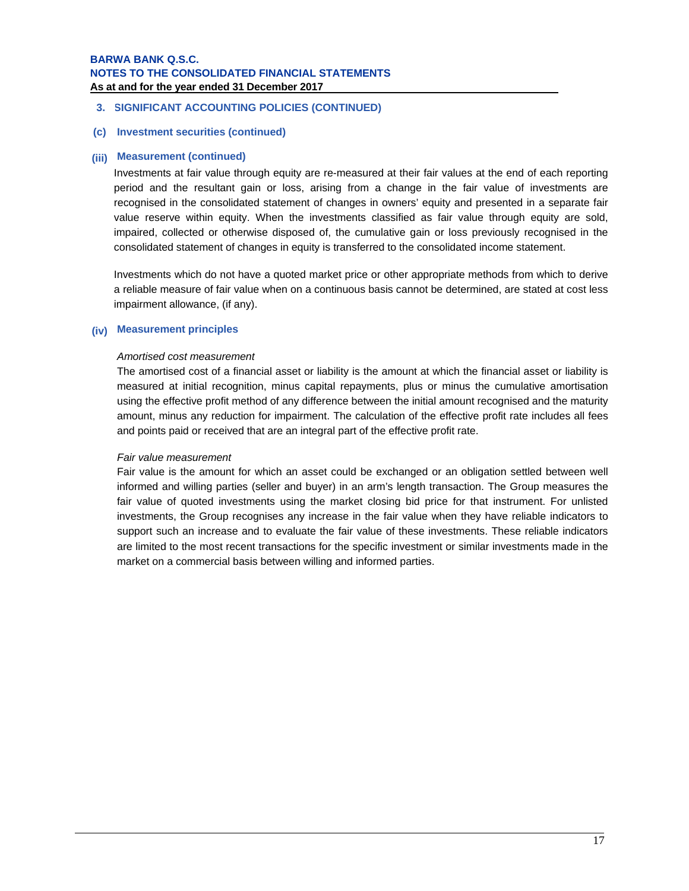## **3. SIGNIFICANT ACCOUNTING POLICIES (CONTINUED)**

## **(c) Investment securities (continued)**

### **(iii) Measurement (continued)**

Investments at fair value through equity are re-measured at their fair values at the end of each reporting period and the resultant gain or loss, arising from a change in the fair value of investments are recognised in the consolidated statement of changes in owners' equity and presented in a separate fair value reserve within equity. When the investments classified as fair value through equity are sold, impaired, collected or otherwise disposed of, the cumulative gain or loss previously recognised in the consolidated statement of changes in equity is transferred to the consolidated income statement.

Investments which do not have a quoted market price or other appropriate methods from which to derive a reliable measure of fair value when on a continuous basis cannot be determined, are stated at cost less impairment allowance, (if any).

### **(iv) Measurement principles**

### *Amortised cost measurement*

The amortised cost of a financial asset or liability is the amount at which the financial asset or liability is measured at initial recognition, minus capital repayments, plus or minus the cumulative amortisation using the effective profit method of any difference between the initial amount recognised and the maturity amount, minus any reduction for impairment. The calculation of the effective profit rate includes all fees and points paid or received that are an integral part of the effective profit rate.

## *Fair value measurement*

Fair value is the amount for which an asset could be exchanged or an obligation settled between well informed and willing parties (seller and buyer) in an arm's length transaction. The Group measures the fair value of quoted investments using the market closing bid price for that instrument. For unlisted investments, the Group recognises any increase in the fair value when they have reliable indicators to support such an increase and to evaluate the fair value of these investments. These reliable indicators are limited to the most recent transactions for the specific investment or similar investments made in the market on a commercial basis between willing and informed parties.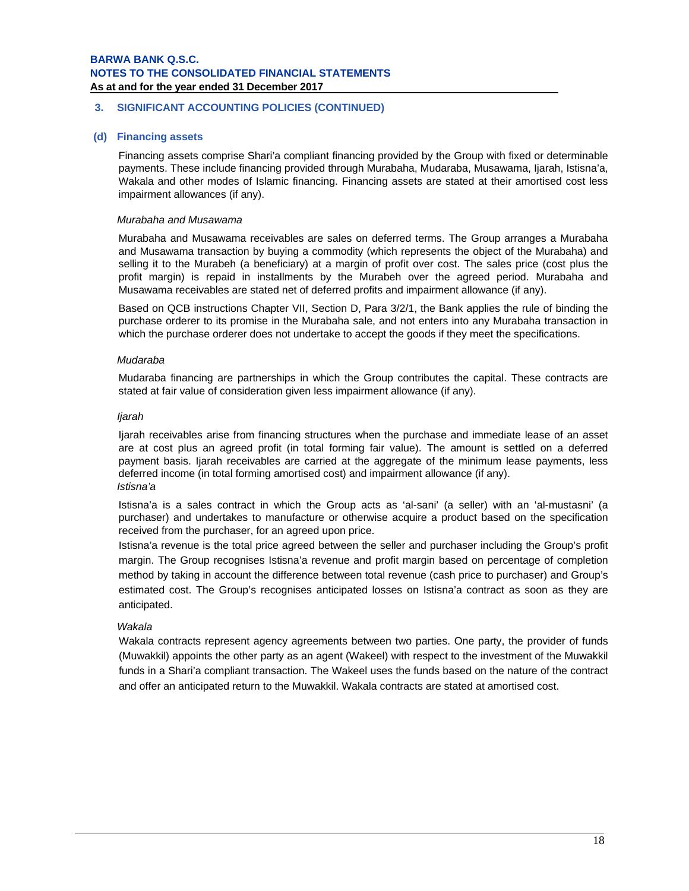## **3. SIGNIFICANT ACCOUNTING POLICIES (CONTINUED)**

## **(d) Financing assets**

Financing assets comprise Shari'a compliant financing provided by the Group with fixed or determinable payments. These include financing provided through Murabaha, Mudaraba, Musawama, Ijarah, Istisna'a, Wakala and other modes of Islamic financing. Financing assets are stated at their amortised cost less impairment allowances (if any).

### *Murabaha and Musawama*

Murabaha and Musawama receivables are sales on deferred terms. The Group arranges a Murabaha and Musawama transaction by buying a commodity (which represents the object of the Murabaha) and selling it to the Murabeh (a beneficiary) at a margin of profit over cost. The sales price (cost plus the profit margin) is repaid in installments by the Murabeh over the agreed period. Murabaha and Musawama receivables are stated net of deferred profits and impairment allowance (if any).

Based on QCB instructions Chapter VII, Section D, Para 3/2/1, the Bank applies the rule of binding the purchase orderer to its promise in the Murabaha sale, and not enters into any Murabaha transaction in which the purchase orderer does not undertake to accept the goods if they meet the specifications.

### *Mudaraba*

Mudaraba financing are partnerships in which the Group contributes the capital. These contracts are stated at fair value of consideration given less impairment allowance (if any).

### *Ijarah*

Ijarah receivables arise from financing structures when the purchase and immediate lease of an asset are at cost plus an agreed profit (in total forming fair value). The amount is settled on a deferred payment basis. Ijarah receivables are carried at the aggregate of the minimum lease payments, less deferred income (in total forming amortised cost) and impairment allowance (if any). *Istisna'a* 

Istisna'a is a sales contract in which the Group acts as 'al-sani' (a seller) with an 'al-mustasni' (a purchaser) and undertakes to manufacture or otherwise acquire a product based on the specification received from the purchaser, for an agreed upon price.

Istisna'a revenue is the total price agreed between the seller and purchaser including the Group's profit margin. The Group recognises Istisna'a revenue and profit margin based on percentage of completion method by taking in account the difference between total revenue (cash price to purchaser) and Group's estimated cost. The Group's recognises anticipated losses on Istisna'a contract as soon as they are anticipated.

## *Wakala*

Wakala contracts represent agency agreements between two parties. One party, the provider of funds (Muwakkil) appoints the other party as an agent (Wakeel) with respect to the investment of the Muwakkil funds in a Shari'a compliant transaction. The Wakeel uses the funds based on the nature of the contract and offer an anticipated return to the Muwakkil. Wakala contracts are stated at amortised cost.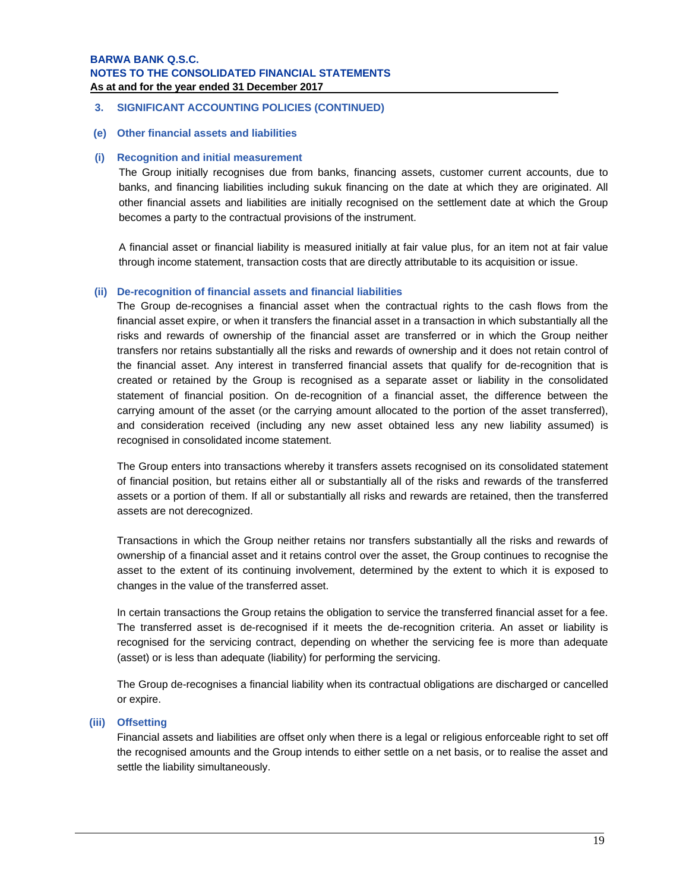- **3. SIGNIFICANT ACCOUNTING POLICIES (CONTINUED)**
- **(e) Other financial assets and liabilities**

## **(i) Recognition and initial measurement**

The Group initially recognises due from banks, financing assets, customer current accounts, due to banks, and financing liabilities including sukuk financing on the date at which they are originated. All other financial assets and liabilities are initially recognised on the settlement date at which the Group becomes a party to the contractual provisions of the instrument.

A financial asset or financial liability is measured initially at fair value plus, for an item not at fair value through income statement, transaction costs that are directly attributable to its acquisition or issue.

## **(ii) De-recognition of financial assets and financial liabilities**

The Group de-recognises a financial asset when the contractual rights to the cash flows from the financial asset expire, or when it transfers the financial asset in a transaction in which substantially all the risks and rewards of ownership of the financial asset are transferred or in which the Group neither transfers nor retains substantially all the risks and rewards of ownership and it does not retain control of the financial asset. Any interest in transferred financial assets that qualify for de-recognition that is created or retained by the Group is recognised as a separate asset or liability in the consolidated statement of financial position. On de-recognition of a financial asset, the difference between the carrying amount of the asset (or the carrying amount allocated to the portion of the asset transferred), and consideration received (including any new asset obtained less any new liability assumed) is recognised in consolidated income statement.

The Group enters into transactions whereby it transfers assets recognised on its consolidated statement of financial position, but retains either all or substantially all of the risks and rewards of the transferred assets or a portion of them. If all or substantially all risks and rewards are retained, then the transferred assets are not derecognized.

Transactions in which the Group neither retains nor transfers substantially all the risks and rewards of ownership of a financial asset and it retains control over the asset, the Group continues to recognise the asset to the extent of its continuing involvement, determined by the extent to which it is exposed to changes in the value of the transferred asset.

In certain transactions the Group retains the obligation to service the transferred financial asset for a fee. The transferred asset is de-recognised if it meets the de-recognition criteria. An asset or liability is recognised for the servicing contract, depending on whether the servicing fee is more than adequate (asset) or is less than adequate (liability) for performing the servicing.

The Group de-recognises a financial liability when its contractual obligations are discharged or cancelled or expire.

## **(iii) Offsetting**

Financial assets and liabilities are offset only when there is a legal or religious enforceable right to set off the recognised amounts and the Group intends to either settle on a net basis, or to realise the asset and settle the liability simultaneously.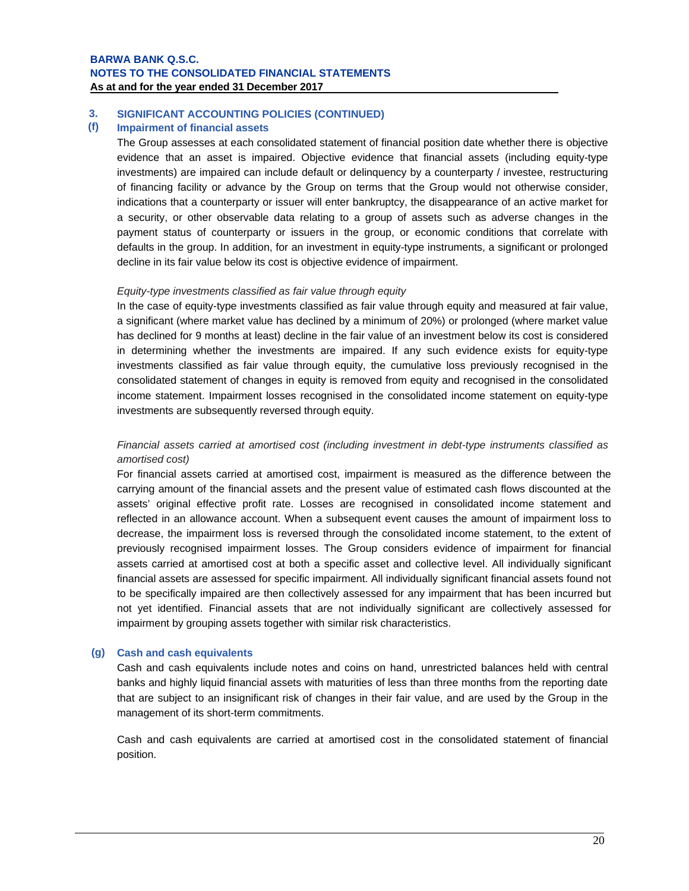#### **3. SIGNIFICANT ACCOUNTING POLICIES (CONTINUED)**

#### **(f) Impairment of financial assets**

The Group assesses at each consolidated statement of financial position date whether there is objective evidence that an asset is impaired. Objective evidence that financial assets (including equity-type investments) are impaired can include default or delinquency by a counterparty / investee, restructuring of financing facility or advance by the Group on terms that the Group would not otherwise consider, indications that a counterparty or issuer will enter bankruptcy, the disappearance of an active market for a security, or other observable data relating to a group of assets such as adverse changes in the payment status of counterparty or issuers in the group, or economic conditions that correlate with defaults in the group. In addition, for an investment in equity-type instruments, a significant or prolonged decline in its fair value below its cost is objective evidence of impairment.

### *Equity-type investments classified as fair value through equity*

In the case of equity-type investments classified as fair value through equity and measured at fair value, a significant (where market value has declined by a minimum of 20%) or prolonged (where market value has declined for 9 months at least) decline in the fair value of an investment below its cost is considered in determining whether the investments are impaired. If any such evidence exists for equity-type investments classified as fair value through equity, the cumulative loss previously recognised in the consolidated statement of changes in equity is removed from equity and recognised in the consolidated income statement. Impairment losses recognised in the consolidated income statement on equity-type investments are subsequently reversed through equity.

## *Financial assets carried at amortised cost (including investment in debt-type instruments classified as amortised cost)*

For financial assets carried at amortised cost, impairment is measured as the difference between the carrying amount of the financial assets and the present value of estimated cash flows discounted at the assets' original effective profit rate. Losses are recognised in consolidated income statement and reflected in an allowance account. When a subsequent event causes the amount of impairment loss to decrease, the impairment loss is reversed through the consolidated income statement, to the extent of previously recognised impairment losses. The Group considers evidence of impairment for financial assets carried at amortised cost at both a specific asset and collective level. All individually significant financial assets are assessed for specific impairment. All individually significant financial assets found not to be specifically impaired are then collectively assessed for any impairment that has been incurred but not yet identified. Financial assets that are not individually significant are collectively assessed for impairment by grouping assets together with similar risk characteristics.

## **(g) Cash and cash equivalents**

Cash and cash equivalents include notes and coins on hand, unrestricted balances held with central banks and highly liquid financial assets with maturities of less than three months from the reporting date that are subject to an insignificant risk of changes in their fair value, and are used by the Group in the management of its short-term commitments.

Cash and cash equivalents are carried at amortised cost in the consolidated statement of financial position.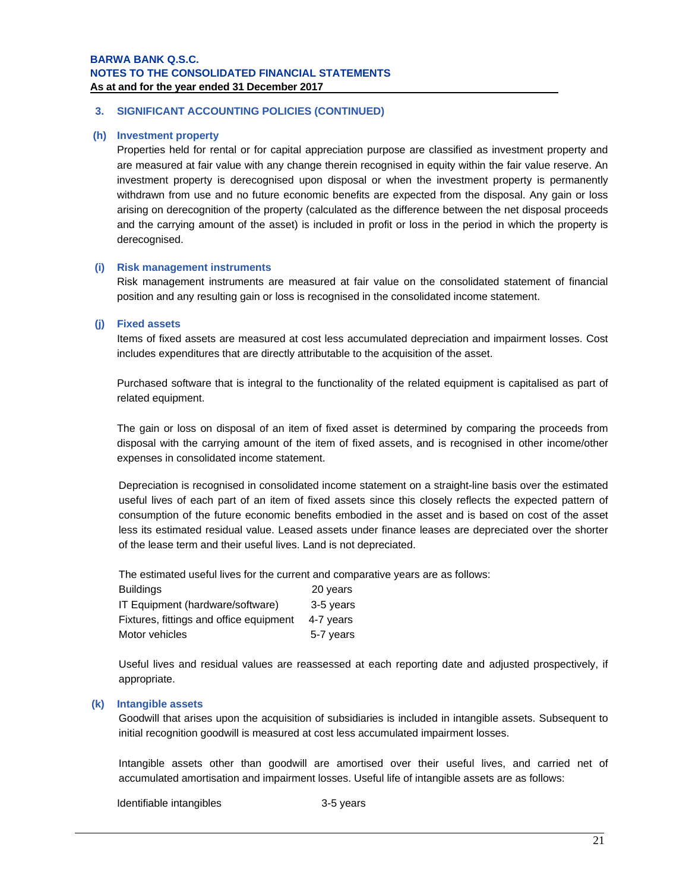## **3. SIGNIFICANT ACCOUNTING POLICIES (CONTINUED)**

#### **(h) Investment property**

Properties held for rental or for capital appreciation purpose are classified as investment property and are measured at fair value with any change therein recognised in equity within the fair value reserve. An investment property is derecognised upon disposal or when the investment property is permanently withdrawn from use and no future economic benefits are expected from the disposal. Any gain or loss arising on derecognition of the property (calculated as the difference between the net disposal proceeds and the carrying amount of the asset) is included in profit or loss in the period in which the property is derecognised.

### **(i) Risk management instruments**

Risk management instruments are measured at fair value on the consolidated statement of financial position and any resulting gain or loss is recognised in the consolidated income statement.

#### **(j) Fixed assets**

Items of fixed assets are measured at cost less accumulated depreciation and impairment losses. Cost includes expenditures that are directly attributable to the acquisition of the asset.

Purchased software that is integral to the functionality of the related equipment is capitalised as part of related equipment.

The gain or loss on disposal of an item of fixed asset is determined by comparing the proceeds from disposal with the carrying amount of the item of fixed assets, and is recognised in other income/other expenses in consolidated income statement.

Depreciation is recognised in consolidated income statement on a straight-line basis over the estimated useful lives of each part of an item of fixed assets since this closely reflects the expected pattern of consumption of the future economic benefits embodied in the asset and is based on cost of the asset less its estimated residual value. Leased assets under finance leases are depreciated over the shorter of the lease term and their useful lives. Land is not depreciated.

The estimated useful lives for the current and comparative years are as follows:

| <b>Buildings</b>                        | 20 years  |
|-----------------------------------------|-----------|
| IT Equipment (hardware/software)        | 3-5 years |
| Fixtures, fittings and office equipment | 4-7 years |
| Motor vehicles                          | 5-7 years |

Useful lives and residual values are reassessed at each reporting date and adjusted prospectively, if appropriate.

### **(k) Intangible assets**

Goodwill that arises upon the acquisition of subsidiaries is included in intangible assets. Subsequent to initial recognition goodwill is measured at cost less accumulated impairment losses.

Intangible assets other than goodwill are amortised over their useful lives, and carried net of accumulated amortisation and impairment losses. Useful life of intangible assets are as follows:

Identifiable intangibles 3-5 years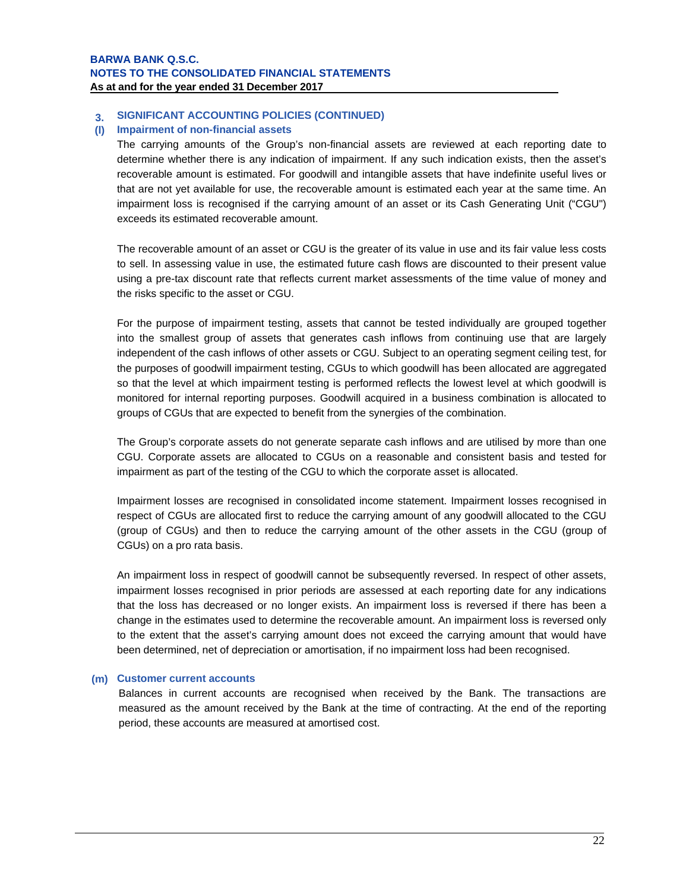#### **3. SIGNIFICANT ACCOUNTING POLICIES (CONTINUED)**

## **(l) Impairment of non-financial assets**

The carrying amounts of the Group's non-financial assets are reviewed at each reporting date to determine whether there is any indication of impairment. If any such indication exists, then the asset's recoverable amount is estimated. For goodwill and intangible assets that have indefinite useful lives or that are not yet available for use, the recoverable amount is estimated each year at the same time. An impairment loss is recognised if the carrying amount of an asset or its Cash Generating Unit ("CGU") exceeds its estimated recoverable amount.

The recoverable amount of an asset or CGU is the greater of its value in use and its fair value less costs to sell. In assessing value in use, the estimated future cash flows are discounted to their present value using a pre-tax discount rate that reflects current market assessments of the time value of money and the risks specific to the asset or CGU.

For the purpose of impairment testing, assets that cannot be tested individually are grouped together into the smallest group of assets that generates cash inflows from continuing use that are largely independent of the cash inflows of other assets or CGU. Subject to an operating segment ceiling test, for the purposes of goodwill impairment testing, CGUs to which goodwill has been allocated are aggregated so that the level at which impairment testing is performed reflects the lowest level at which goodwill is monitored for internal reporting purposes. Goodwill acquired in a business combination is allocated to groups of CGUs that are expected to benefit from the synergies of the combination.

The Group's corporate assets do not generate separate cash inflows and are utilised by more than one CGU. Corporate assets are allocated to CGUs on a reasonable and consistent basis and tested for impairment as part of the testing of the CGU to which the corporate asset is allocated.

Impairment losses are recognised in consolidated income statement. Impairment losses recognised in respect of CGUs are allocated first to reduce the carrying amount of any goodwill allocated to the CGU (group of CGUs) and then to reduce the carrying amount of the other assets in the CGU (group of CGUs) on a pro rata basis.

An impairment loss in respect of goodwill cannot be subsequently reversed. In respect of other assets, impairment losses recognised in prior periods are assessed at each reporting date for any indications that the loss has decreased or no longer exists. An impairment loss is reversed if there has been a change in the estimates used to determine the recoverable amount. An impairment loss is reversed only to the extent that the asset's carrying amount does not exceed the carrying amount that would have been determined, net of depreciation or amortisation, if no impairment loss had been recognised.

## **(m) Customer current accounts**

Balances in current accounts are recognised when received by the Bank. The transactions are measured as the amount received by the Bank at the time of contracting. At the end of the reporting period, these accounts are measured at amortised cost.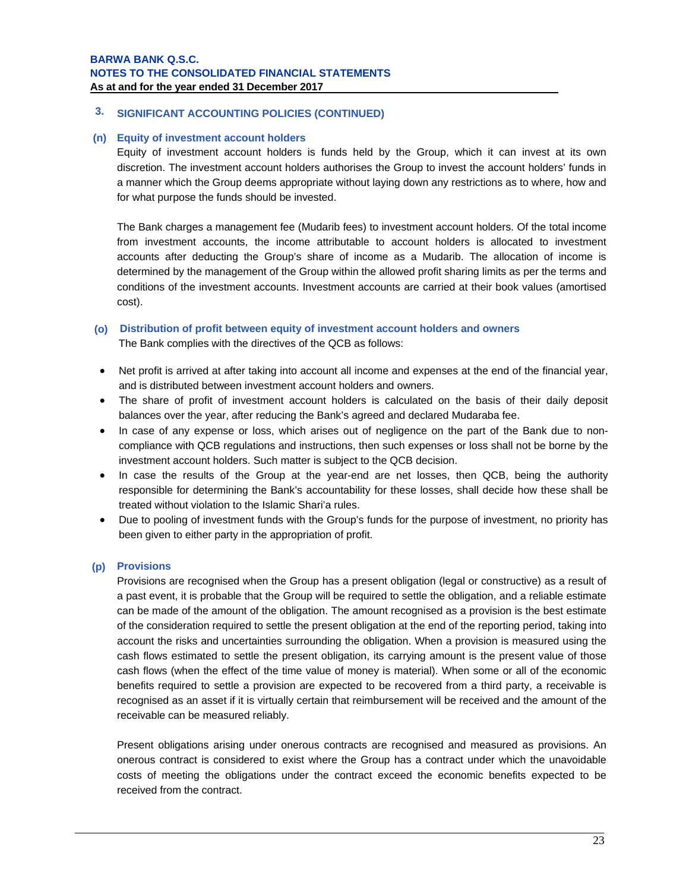## **3. SIGNIFICANT ACCOUNTING POLICIES (CONTINUED)**

#### **(n) Equity of investment account holders**

Equity of investment account holders is funds held by the Group, which it can invest at its own discretion. The investment account holders authorises the Group to invest the account holders' funds in a manner which the Group deems appropriate without laying down any restrictions as to where, how and for what purpose the funds should be invested.

The Bank charges a management fee (Mudarib fees) to investment account holders. Of the total income from investment accounts, the income attributable to account holders is allocated to investment accounts after deducting the Group's share of income as a Mudarib. The allocation of income is determined by the management of the Group within the allowed profit sharing limits as per the terms and conditions of the investment accounts. Investment accounts are carried at their book values (amortised cost).

### **(o) Distribution of profit between equity of investment account holders and owners**

The Bank complies with the directives of the QCB as follows:

- Net profit is arrived at after taking into account all income and expenses at the end of the financial year, and is distributed between investment account holders and owners.
- The share of profit of investment account holders is calculated on the basis of their daily deposit balances over the year, after reducing the Bank's agreed and declared Mudaraba fee.
- In case of any expense or loss, which arises out of negligence on the part of the Bank due to noncompliance with QCB regulations and instructions, then such expenses or loss shall not be borne by the investment account holders. Such matter is subject to the QCB decision.
- In case the results of the Group at the year-end are net losses, then QCB, being the authority responsible for determining the Bank's accountability for these losses, shall decide how these shall be treated without violation to the Islamic Shari'a rules.
- Due to pooling of investment funds with the Group's funds for the purpose of investment, no priority has been given to either party in the appropriation of profit.

## **(p) Provisions**

Provisions are recognised when the Group has a present obligation (legal or constructive) as a result of a past event, it is probable that the Group will be required to settle the obligation, and a reliable estimate can be made of the amount of the obligation. The amount recognised as a provision is the best estimate of the consideration required to settle the present obligation at the end of the reporting period, taking into account the risks and uncertainties surrounding the obligation. When a provision is measured using the cash flows estimated to settle the present obligation, its carrying amount is the present value of those cash flows (when the effect of the time value of money is material). When some or all of the economic benefits required to settle a provision are expected to be recovered from a third party, a receivable is recognised as an asset if it is virtually certain that reimbursement will be received and the amount of the receivable can be measured reliably.

Present obligations arising under onerous contracts are recognised and measured as provisions. An onerous contract is considered to exist where the Group has a contract under which the unavoidable costs of meeting the obligations under the contract exceed the economic benefits expected to be received from the contract.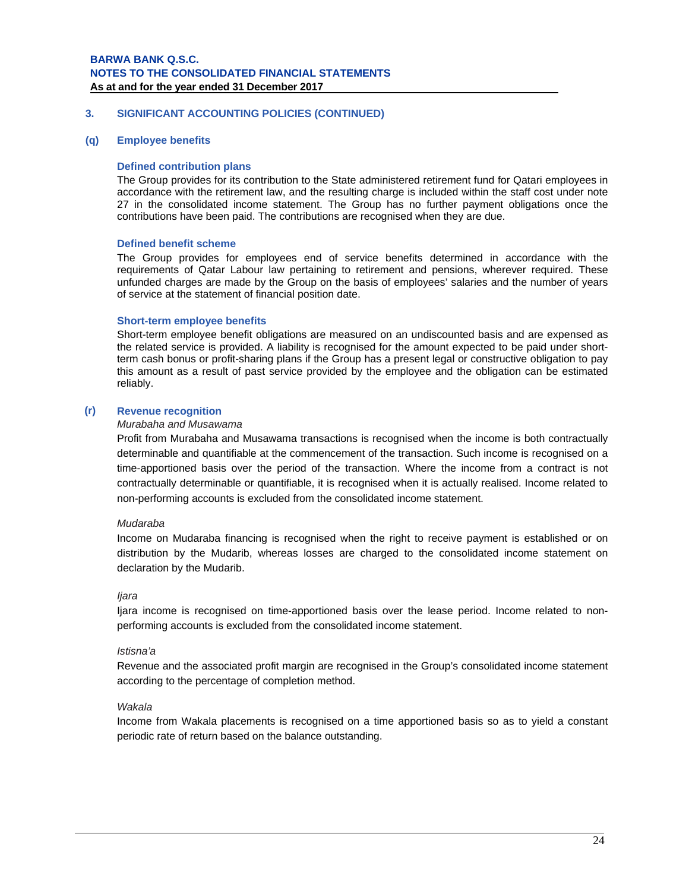#### **3. SIGNIFICANT ACCOUNTING POLICIES (CONTINUED)**

#### **(q) Employee benefits**

#### **Defined contribution plans**

The Group provides for its contribution to the State administered retirement fund for Qatari employees in accordance with the retirement law, and the resulting charge is included within the staff cost under note 27 in the consolidated income statement. The Group has no further payment obligations once the contributions have been paid. The contributions are recognised when they are due.

#### **Defined benefit scheme**

The Group provides for employees end of service benefits determined in accordance with the requirements of Qatar Labour law pertaining to retirement and pensions, wherever required. These unfunded charges are made by the Group on the basis of employees' salaries and the number of years of service at the statement of financial position date.

### **Short-term employee benefits**

Short-term employee benefit obligations are measured on an undiscounted basis and are expensed as the related service is provided. A liability is recognised for the amount expected to be paid under shortterm cash bonus or profit-sharing plans if the Group has a present legal or constructive obligation to pay this amount as a result of past service provided by the employee and the obligation can be estimated reliably.

## **(r) Revenue recognition**

#### *Murabaha and Musawama*

Profit from Murabaha and Musawama transactions is recognised when the income is both contractually determinable and quantifiable at the commencement of the transaction. Such income is recognised on a time-apportioned basis over the period of the transaction. Where the income from a contract is not contractually determinable or quantifiable, it is recognised when it is actually realised. Income related to non-performing accounts is excluded from the consolidated income statement.

#### *Mudaraba*

Income on Mudaraba financing is recognised when the right to receive payment is established or on distribution by the Mudarib, whereas losses are charged to the consolidated income statement on declaration by the Mudarib.

#### *Ijara*

Ijara income is recognised on time-apportioned basis over the lease period. Income related to nonperforming accounts is excluded from the consolidated income statement.

#### *Istisna'a*

Revenue and the associated profit margin are recognised in the Group's consolidated income statement according to the percentage of completion method.

#### *Wakala*

Income from Wakala placements is recognised on a time apportioned basis so as to yield a constant periodic rate of return based on the balance outstanding.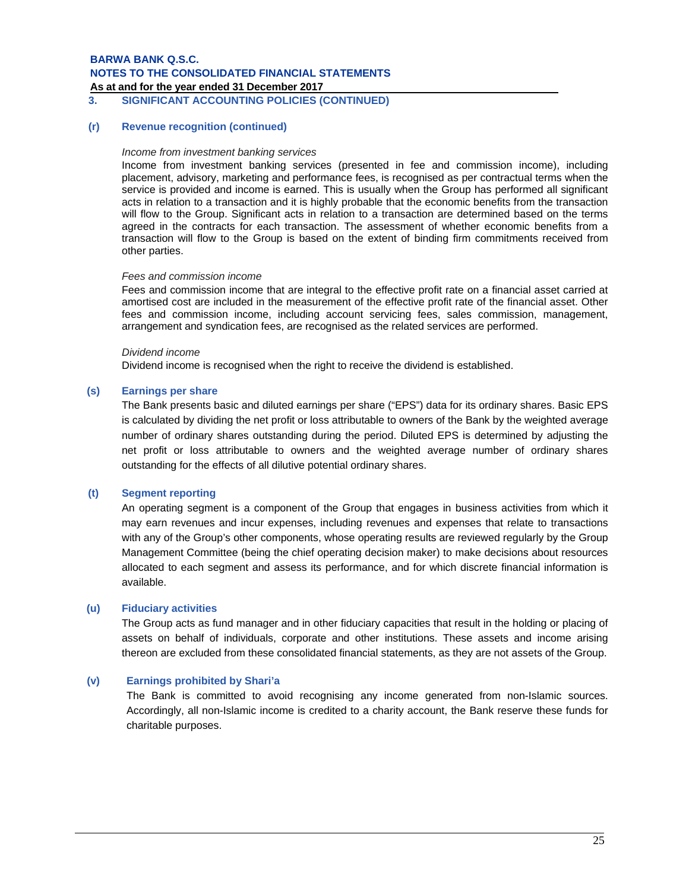As at and for the year ended 31 December 2017

**3. SIGNIFICANT ACCOUNTING POLICIES (CONTINUED)**

#### **(r) Revenue recognition (continued)**

#### *Income from investment banking services*

Income from investment banking services (presented in fee and commission income), including placement, advisory, marketing and performance fees, is recognised as per contractual terms when the service is provided and income is earned. This is usually when the Group has performed all significant acts in relation to a transaction and it is highly probable that the economic benefits from the transaction will flow to the Group. Significant acts in relation to a transaction are determined based on the terms agreed in the contracts for each transaction. The assessment of whether economic benefits from a transaction will flow to the Group is based on the extent of binding firm commitments received from other parties.

#### *Fees and commission income*

Fees and commission income that are integral to the effective profit rate on a financial asset carried at amortised cost are included in the measurement of the effective profit rate of the financial asset. Other fees and commission income, including account servicing fees, sales commission, management, arrangement and syndication fees, are recognised as the related services are performed.

#### *Dividend income*

Dividend income is recognised when the right to receive the dividend is established.

#### **(s) Earnings per share**

The Bank presents basic and diluted earnings per share ("EPS") data for its ordinary shares. Basic EPS is calculated by dividing the net profit or loss attributable to owners of the Bank by the weighted average number of ordinary shares outstanding during the period. Diluted EPS is determined by adjusting the net profit or loss attributable to owners and the weighted average number of ordinary shares outstanding for the effects of all dilutive potential ordinary shares.

#### **(t) Segment reporting**

An operating segment is a component of the Group that engages in business activities from which it may earn revenues and incur expenses, including revenues and expenses that relate to transactions with any of the Group's other components, whose operating results are reviewed regularly by the Group Management Committee (being the chief operating decision maker) to make decisions about resources allocated to each segment and assess its performance, and for which discrete financial information is available.

#### **(u) Fiduciary activities**

The Group acts as fund manager and in other fiduciary capacities that result in the holding or placing of assets on behalf of individuals, corporate and other institutions. These assets and income arising thereon are excluded from these consolidated financial statements, as they are not assets of the Group.

## **(v) Earnings prohibited by Shari'a**

The Bank is committed to avoid recognising any income generated from non-Islamic sources. Accordingly, all non-Islamic income is credited to a charity account, the Bank reserve these funds for charitable purposes.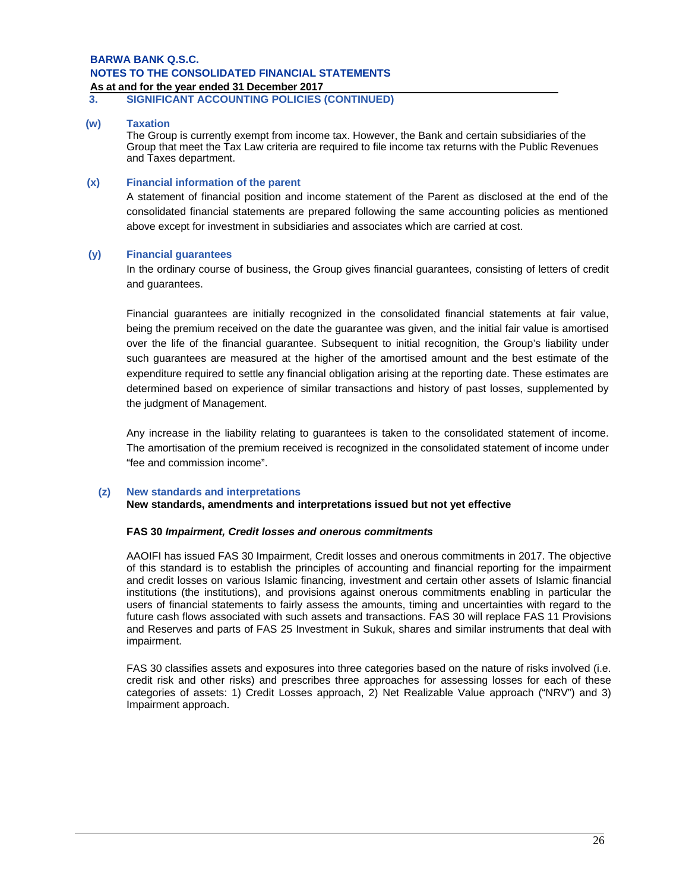# **As at and for the year ended 31 December 2017 .**

**3. SIGNIFICANT ACCOUNTING POLICIES (CONTINUED)**

#### **(w) Taxation**

The Group is currently exempt from income tax. However, the Bank and certain subsidiaries of the Group that meet the Tax Law criteria are required to file income tax returns with the Public Revenues and Taxes department.

#### **(x) Financial information of the parent**

A statement of financial position and income statement of the Parent as disclosed at the end of the consolidated financial statements are prepared following the same accounting policies as mentioned above except for investment in subsidiaries and associates which are carried at cost.

#### **(y) Financial guarantees**

In the ordinary course of business, the Group gives financial guarantees, consisting of letters of credit and guarantees.

Financial guarantees are initially recognized in the consolidated financial statements at fair value, being the premium received on the date the guarantee was given, and the initial fair value is amortised over the life of the financial guarantee. Subsequent to initial recognition, the Group's liability under such guarantees are measured at the higher of the amortised amount and the best estimate of the expenditure required to settle any financial obligation arising at the reporting date. These estimates are determined based on experience of similar transactions and history of past losses, supplemented by the judgment of Management.

Any increase in the liability relating to guarantees is taken to the consolidated statement of income. The amortisation of the premium received is recognized in the consolidated statement of income under "fee and commission income".

#### **(z) New standards and interpretations**

#### **New standards, amendments and interpretations issued but not yet effective**

#### **FAS 30** *Impairment, Credit losses and onerous commitments*

AAOIFI has issued FAS 30 Impairment, Credit losses and onerous commitments in 2017. The objective of this standard is to establish the principles of accounting and financial reporting for the impairment and credit losses on various Islamic financing, investment and certain other assets of Islamic financial institutions (the institutions), and provisions against onerous commitments enabling in particular the users of financial statements to fairly assess the amounts, timing and uncertainties with regard to the future cash flows associated with such assets and transactions. FAS 30 will replace FAS 11 Provisions and Reserves and parts of FAS 25 Investment in Sukuk, shares and similar instruments that deal with impairment.

FAS 30 classifies assets and exposures into three categories based on the nature of risks involved (i.e. credit risk and other risks) and prescribes three approaches for assessing losses for each of these categories of assets: 1) Credit Losses approach, 2) Net Realizable Value approach ("NRV") and 3) Impairment approach.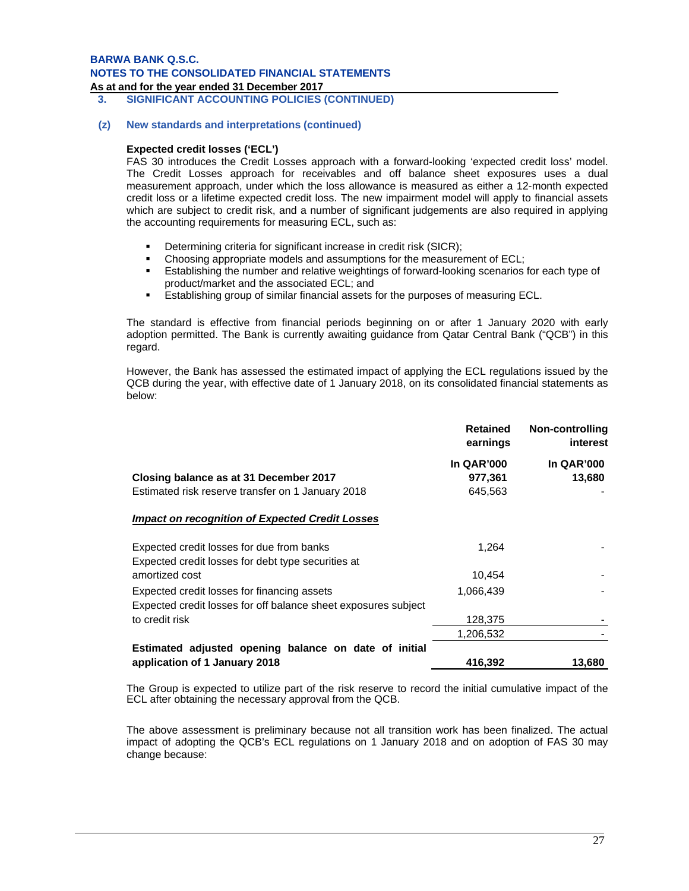#### As at and for the year ended 31 December 2017

 **3. SIGNIFICANT ACCOUNTING POLICIES (CONTINUED)**

#### **(z) New standards and interpretations (continued)**

### **Expected credit losses ('ECL')**

FAS 30 introduces the Credit Losses approach with a forward-looking 'expected credit loss' model. The Credit Losses approach for receivables and off balance sheet exposures uses a dual measurement approach, under which the loss allowance is measured as either a 12-month expected credit loss or a lifetime expected credit loss. The new impairment model will apply to financial assets which are subject to credit risk, and a number of significant judgements are also required in applying the accounting requirements for measuring ECL, such as:

- Determining criteria for significant increase in credit risk (SICR):
- Choosing appropriate models and assumptions for the measurement of ECL;
- Establishing the number and relative weightings of forward-looking scenarios for each type of product/market and the associated ECL; and
- Establishing group of similar financial assets for the purposes of measuring ECL.

The standard is effective from financial periods beginning on or after 1 January 2020 with early adoption permitted. The Bank is currently awaiting guidance from Qatar Central Bank ("QCB") in this regard.

However, the Bank has assessed the estimated impact of applying the ECL regulations issued by the QCB during the year, with effective date of 1 January 2018, on its consolidated financial statements as below:

|                                                                | <b>Retained</b><br>earnings | Non-controlling<br><i>interest</i> |
|----------------------------------------------------------------|-----------------------------|------------------------------------|
|                                                                | <b>In QAR'000</b>           | <b>In QAR'000</b>                  |
| Closing balance as at 31 December 2017                         | 977,361                     | 13,680                             |
| Estimated risk reserve transfer on 1 January 2018              | 645,563                     |                                    |
| Impact on recognition of Expected Credit Losses                |                             |                                    |
| Expected credit losses for due from banks                      | 1,264                       |                                    |
| Expected credit losses for debt type securities at             |                             |                                    |
| amortized cost                                                 | 10,454                      |                                    |
| Expected credit losses for financing assets                    | 1,066,439                   |                                    |
| Expected credit losses for off balance sheet exposures subject |                             |                                    |
| to credit risk                                                 | 128,375                     |                                    |
|                                                                | 1,206,532                   |                                    |
| Estimated adjusted opening balance on date of initial          |                             |                                    |
| application of 1 January 2018                                  | 416,392                     | 13,680                             |

The Group is expected to utilize part of the risk reserve to record the initial cumulative impact of the ECL after obtaining the necessary approval from the QCB.

The above assessment is preliminary because not all transition work has been finalized. The actual impact of adopting the QCB's ECL regulations on 1 January 2018 and on adoption of FAS 30 may change because: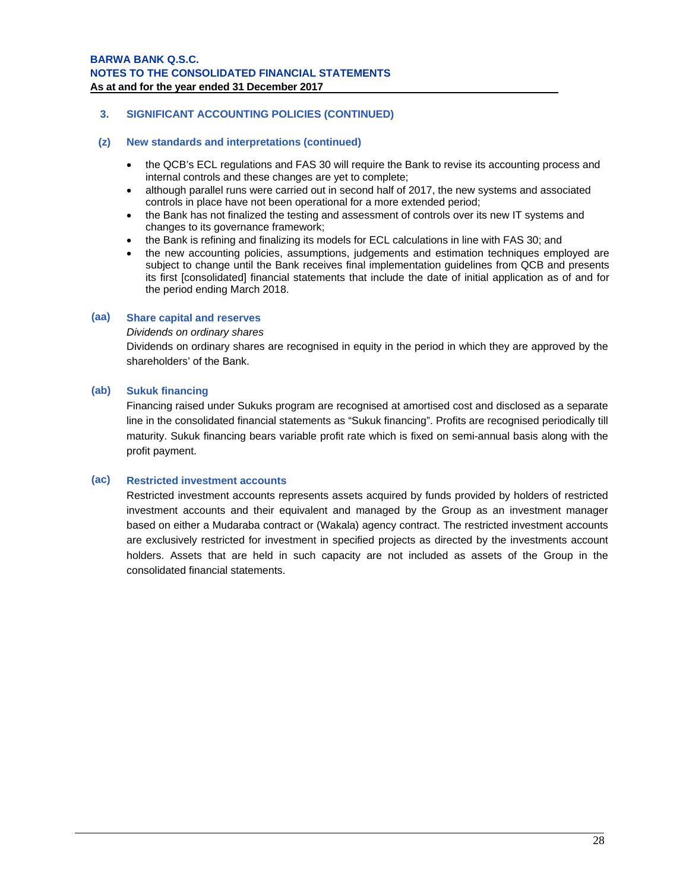## **3. SIGNIFICANT ACCOUNTING POLICIES (CONTINUED)**

### **(z) New standards and interpretations (continued)**

- the QCB's ECL regulations and FAS 30 will require the Bank to revise its accounting process and internal controls and these changes are yet to complete;
- although parallel runs were carried out in second half of 2017, the new systems and associated controls in place have not been operational for a more extended period;
- the Bank has not finalized the testing and assessment of controls over its new IT systems and changes to its governance framework;
- the Bank is refining and finalizing its models for ECL calculations in line with FAS 30; and
- the new accounting policies, assumptions, judgements and estimation techniques employed are subject to change until the Bank receives final implementation guidelines from QCB and presents its first [consolidated] financial statements that include the date of initial application as of and for the period ending March 2018.

### **(aa) Share capital and reserves**

#### *Dividends on ordinary shares*

Dividends on ordinary shares are recognised in equity in the period in which they are approved by the shareholders' of the Bank.

### **(ab) Sukuk financing**

Financing raised under Sukuks program are recognised at amortised cost and disclosed as a separate line in the consolidated financial statements as "Sukuk financing". Profits are recognised periodically till maturity. Sukuk financing bears variable profit rate which is fixed on semi-annual basis along with the profit payment.

## **(ac) Restricted investment accounts**

Restricted investment accounts represents assets acquired by funds provided by holders of restricted investment accounts and their equivalent and managed by the Group as an investment manager based on either a Mudaraba contract or (Wakala) agency contract. The restricted investment accounts are exclusively restricted for investment in specified projects as directed by the investments account holders. Assets that are held in such capacity are not included as assets of the Group in the consolidated financial statements.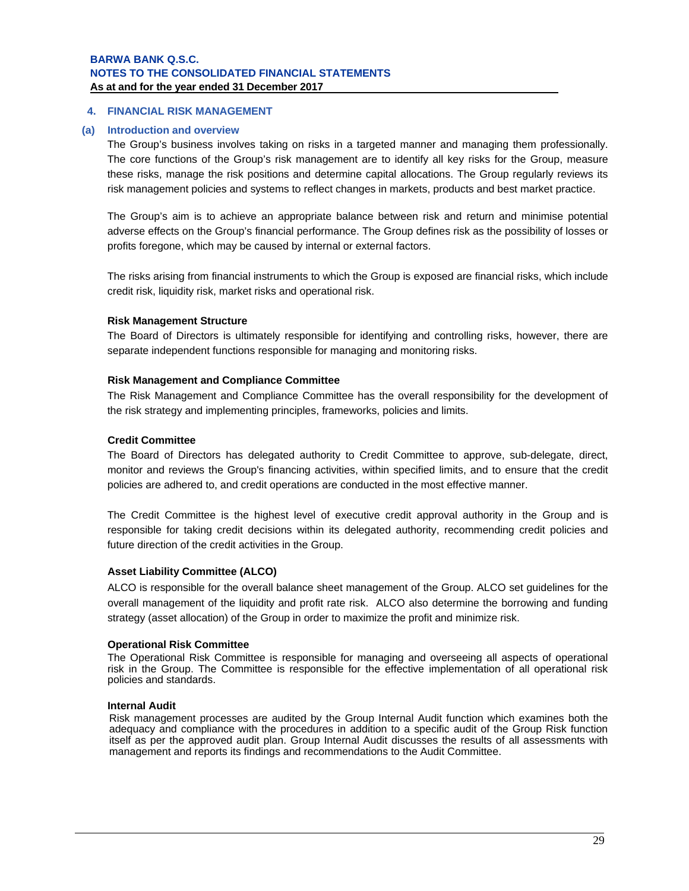## **4. FINANCIAL RISK MANAGEMENT**

#### **(a) Introduction and overview**

The Group's business involves taking on risks in a targeted manner and managing them professionally. The core functions of the Group's risk management are to identify all key risks for the Group, measure these risks, manage the risk positions and determine capital allocations. The Group regularly reviews its risk management policies and systems to reflect changes in markets, products and best market practice.

The Group's aim is to achieve an appropriate balance between risk and return and minimise potential adverse effects on the Group's financial performance. The Group defines risk as the possibility of losses or profits foregone, which may be caused by internal or external factors.

The risks arising from financial instruments to which the Group is exposed are financial risks, which include credit risk, liquidity risk, market risks and operational risk.

#### **Risk Management Structure**

The Board of Directors is ultimately responsible for identifying and controlling risks, however, there are separate independent functions responsible for managing and monitoring risks.

#### **Risk Management and Compliance Committee**

The Risk Management and Compliance Committee has the overall responsibility for the development of the risk strategy and implementing principles, frameworks, policies and limits.

#### **Credit Committee**

The Board of Directors has delegated authority to Credit Committee to approve, sub-delegate, direct, monitor and reviews the Group's financing activities, within specified limits, and to ensure that the credit policies are adhered to, and credit operations are conducted in the most effective manner.

The Credit Committee is the highest level of executive credit approval authority in the Group and is responsible for taking credit decisions within its delegated authority, recommending credit policies and future direction of the credit activities in the Group.

#### **Asset Liability Committee (ALCO)**

ALCO is responsible for the overall balance sheet management of the Group. ALCO set guidelines for the overall management of the liquidity and profit rate risk. ALCO also determine the borrowing and funding strategy (asset allocation) of the Group in order to maximize the profit and minimize risk.

#### **Operational Risk Committee**

The Operational Risk Committee is responsible for managing and overseeing all aspects of operational risk in the Group. The Committee is responsible for the effective implementation of all operational risk policies and standards.

#### **Internal Audit**

Risk management processes are audited by the Group Internal Audit function which examines both the adequacy and compliance with the procedures in addition to a specific audit of the Group Risk function itself as per the approved audit plan. Group Internal Audit discusses the results of all assessments with management and reports its findings and recommendations to the Audit Committee.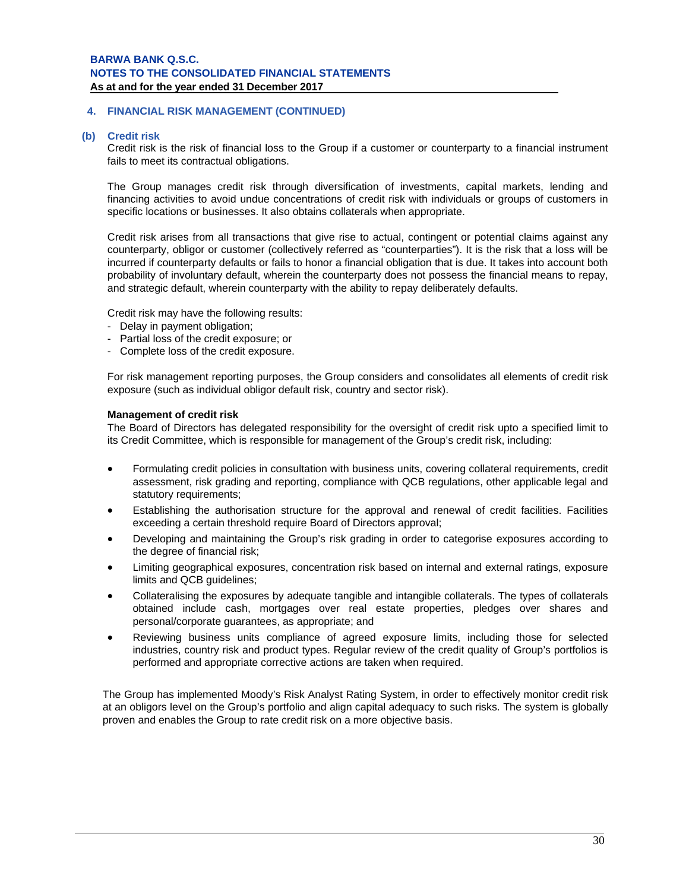## **4. FINANCIAL RISK MANAGEMENT (CONTINUED)**

### **(b) Credit risk**

Credit risk is the risk of financial loss to the Group if a customer or counterparty to a financial instrument fails to meet its contractual obligations.

The Group manages credit risk through diversification of investments, capital markets, lending and financing activities to avoid undue concentrations of credit risk with individuals or groups of customers in specific locations or businesses. It also obtains collaterals when appropriate.

Credit risk arises from all transactions that give rise to actual, contingent or potential claims against any counterparty, obligor or customer (collectively referred as "counterparties"). It is the risk that a loss will be incurred if counterparty defaults or fails to honor a financial obligation that is due. It takes into account both probability of involuntary default, wherein the counterparty does not possess the financial means to repay, and strategic default, wherein counterparty with the ability to repay deliberately defaults.

Credit risk may have the following results:

- Delay in payment obligation;
- Partial loss of the credit exposure; or
- Complete loss of the credit exposure.

For risk management reporting purposes, the Group considers and consolidates all elements of credit risk exposure (such as individual obligor default risk, country and sector risk).

#### **Management of credit risk**

The Board of Directors has delegated responsibility for the oversight of credit risk upto a specified limit to its Credit Committee, which is responsible for management of the Group's credit risk, including:

- Formulating credit policies in consultation with business units, covering collateral requirements, credit assessment, risk grading and reporting, compliance with QCB regulations, other applicable legal and statutory requirements;
- Establishing the authorisation structure for the approval and renewal of credit facilities. Facilities exceeding a certain threshold require Board of Directors approval:
- Developing and maintaining the Group's risk grading in order to categorise exposures according to the degree of financial risk;
- Limiting geographical exposures, concentration risk based on internal and external ratings, exposure limits and QCB guidelines;
- Collateralising the exposures by adequate tangible and intangible collaterals. The types of collaterals obtained include cash, mortgages over real estate properties, pledges over shares and personal/corporate guarantees, as appropriate; and
- Reviewing business units compliance of agreed exposure limits, including those for selected industries, country risk and product types. Regular review of the credit quality of Group's portfolios is performed and appropriate corrective actions are taken when required.

The Group has implemented Moody's Risk Analyst Rating System, in order to effectively monitor credit risk at an obligors level on the Group's portfolio and align capital adequacy to such risks. The system is globally proven and enables the Group to rate credit risk on a more objective basis.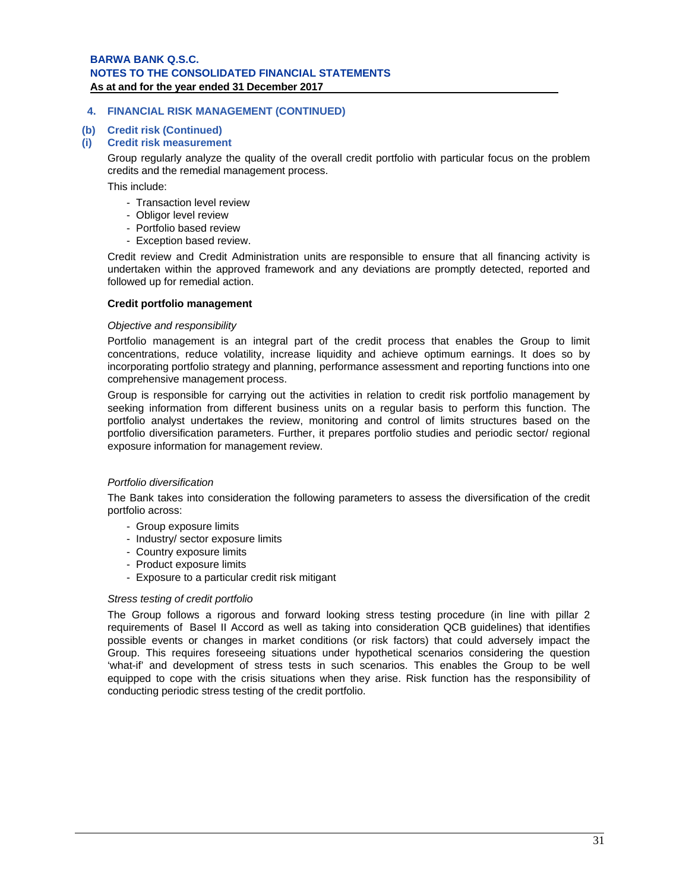## **4. FINANCIAL RISK MANAGEMENT (CONTINUED)**

## **(b) Credit risk (Continued)**

#### **(i) Credit risk measurement**

Group regularly analyze the quality of the overall credit portfolio with particular focus on the problem credits and the remedial management process.

This include:

- Transaction level review
- Obligor level review
- Portfolio based review
- Exception based review.

Credit review and Credit Administration units are responsible to ensure that all financing activity is undertaken within the approved framework and any deviations are promptly detected, reported and followed up for remedial action.

#### **Credit portfolio management**

#### *Objective and responsibility*

Portfolio management is an integral part of the credit process that enables the Group to limit concentrations, reduce volatility, increase liquidity and achieve optimum earnings. It does so by incorporating portfolio strategy and planning, performance assessment and reporting functions into one comprehensive management process.

Group is responsible for carrying out the activities in relation to credit risk portfolio management by seeking information from different business units on a regular basis to perform this function. The portfolio analyst undertakes the review, monitoring and control of limits structures based on the portfolio diversification parameters. Further, it prepares portfolio studies and periodic sector/ regional exposure information for management review.

#### *Portfolio diversification*

The Bank takes into consideration the following parameters to assess the diversification of the credit portfolio across:

- Group exposure limits
- Industry/ sector exposure limits
- Country exposure limits
- Product exposure limits
- Exposure to a particular credit risk mitigant

#### *Stress testing of credit portfolio*

The Group follows a rigorous and forward looking stress testing procedure (in line with pillar 2 requirements of Basel II Accord as well as taking into consideration QCB guidelines) that identifies possible events or changes in market conditions (or risk factors) that could adversely impact the Group. This requires foreseeing situations under hypothetical scenarios considering the question 'what-if' and development of stress tests in such scenarios. This enables the Group to be well equipped to cope with the crisis situations when they arise. Risk function has the responsibility of conducting periodic stress testing of the credit portfolio.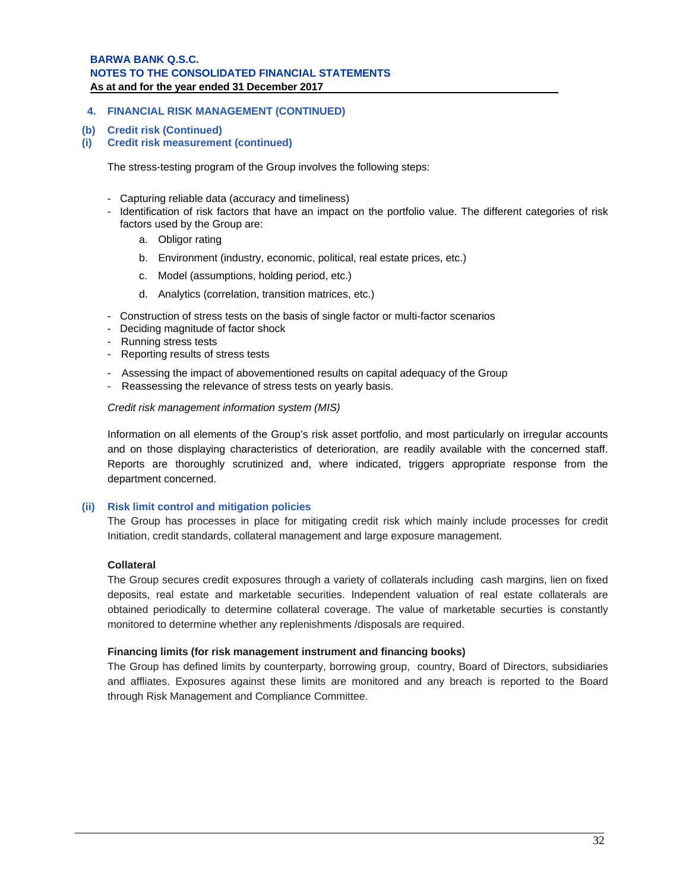## **4. FINANCIAL RISK MANAGEMENT (CONTINUED)**

#### **(b) Credit risk (Continued)**

**(i) Credit risk measurement (continued)**

The stress-testing program of the Group involves the following steps:

- Capturing reliable data (accuracy and timeliness)
- Identification of risk factors that have an impact on the portfolio value. The different categories of risk factors used by the Group are:
	- a. Obligor rating
	- b. Environment (industry, economic, political, real estate prices, etc.)
	- c. Model (assumptions, holding period, etc.)
	- d. Analytics (correlation, transition matrices, etc.)
- Construction of stress tests on the basis of single factor or multi-factor scenarios
- Deciding magnitude of factor shock
- Running stress tests
- Reporting results of stress tests
- Assessing the impact of abovementioned results on capital adequacy of the Group
- Reassessing the relevance of stress tests on yearly basis.

*Credit risk management information system (MIS)*

Information on all elements of the Group's risk asset portfolio, and most particularly on irregular accounts and on those displaying characteristics of deterioration, are readily available with the concerned staff. Reports are thoroughly scrutinized and, where indicated, triggers appropriate response from the department concerned.

## **(ii) Risk limit control and mitigation policies**

The Group has processes in place for mitigating credit risk which mainly include processes for credit Initiation, credit standards, collateral management and large exposure management.

## **Collateral**

The Group secures credit exposures through a variety of collaterals including cash margins, lien on fixed deposits, real estate and marketable securities. Independent valuation of real estate collaterals are obtained periodically to determine collateral coverage. The value of marketable securties is constantly monitored to determine whether any replenishments /disposals are required.

## **Financing limits (for risk management instrument and financing books)**

The Group has defined limits by counterparty, borrowing group, country, Board of Directors, subsidiaries and affliates. Exposures against these limits are monitored and any breach is reported to the Board through Risk Management and Compliance Committee.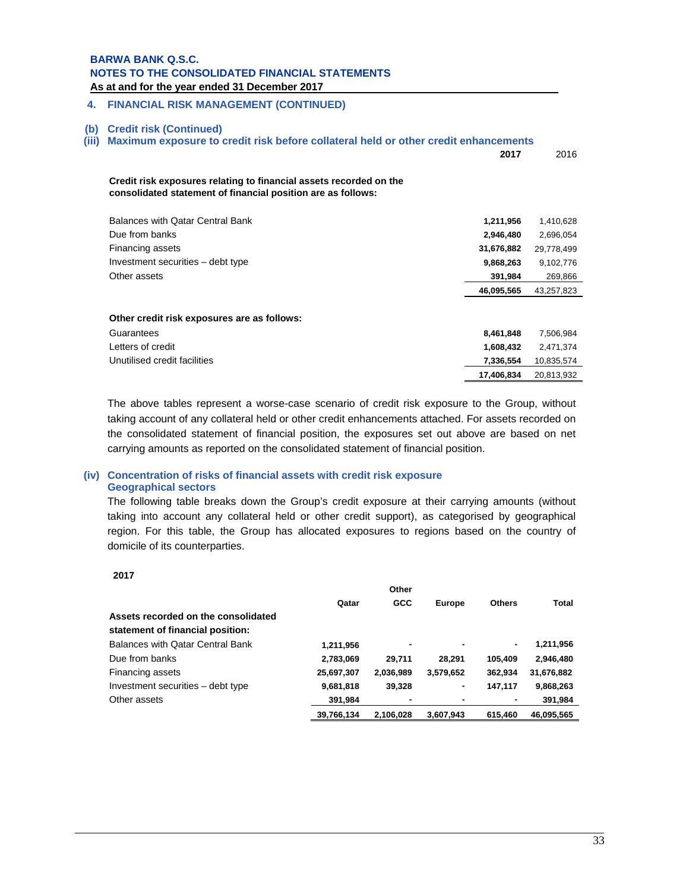**As at and for the year ended 31 December 2017 .** 

#### **4. FINANCIAL RISK MANAGEMENT (CONTINUED)**

#### **(b) Credit risk (Continued)**

#### **(iii) Maximum exposure to credit risk before collateral held or other credit enhancements**

|                                                                                                                                    | 2017       | 2016       |
|------------------------------------------------------------------------------------------------------------------------------------|------------|------------|
| Credit risk exposures relating to financial assets recorded on the<br>consolidated statement of financial position are as follows: |            |            |
| Balances with Qatar Central Bank                                                                                                   | 1,211,956  | 1,410,628  |
| Due from banks                                                                                                                     | 2,946,480  | 2,696,054  |
| Financing assets                                                                                                                   | 31,676,882 | 29,778,499 |
| Investment securities – debt type                                                                                                  | 9,868,263  | 9,102,776  |
| Other assets                                                                                                                       | 391,984    | 269,866    |
|                                                                                                                                    | 46,095,565 | 43,257,823 |
| Other credit risk exposures are as follows:<br>Guarantees                                                                          | 8,461,848  | 7,506,984  |
| Letters of credit                                                                                                                  | 1,608,432  | 2,471,374  |
| Unutilised credit facilities                                                                                                       | 7,336,554  | 10,835,574 |
|                                                                                                                                    | 17,406,834 | 20,813,932 |

The above tables represent a worse-case scenario of credit risk exposure to the Group, without taking account of any collateral held or other credit enhancements attached. For assets recorded on the consolidated statement of financial position, the exposures set out above are based on net carrying amounts as reported on the consolidated statement of financial position.

## **(iv) Concentration of risks of financial assets with credit risk exposure Geographical sectors**

The following table breaks down the Group's credit exposure at their carrying amounts (without taking into account any collateral held or other credit support), as categorised by geographical region. For this table, the Group has allocated exposures to regions based on the country of domicile of its counterparties.

|                                     | Other      |            |               |               |              |
|-------------------------------------|------------|------------|---------------|---------------|--------------|
|                                     | Qatar      | <b>GCC</b> | <b>Europe</b> | <b>Others</b> | <b>Total</b> |
| Assets recorded on the consolidated |            |            |               |               |              |
| statement of financial position:    |            |            |               |               |              |
| Balances with Qatar Central Bank    | 1,211,956  |            | ۰             | ۰.            | 1,211,956    |
| Due from banks                      | 2,783,069  | 29.711     | 28.291        | 105.409       | 2,946,480    |
| Financing assets                    | 25,697,307 | 2,036,989  | 3,579,652     | 362,934       | 31,676,882   |
| Investment securities - debt type   | 9,681,818  | 39,328     | ٠             | 147.117       | 9,868,263    |
| Other assets                        | 391.984    |            | ٠             |               | 391.984      |
|                                     | 39,766,134 | 2.106.028  | 3.607.943     | 615.460       | 46,095,565   |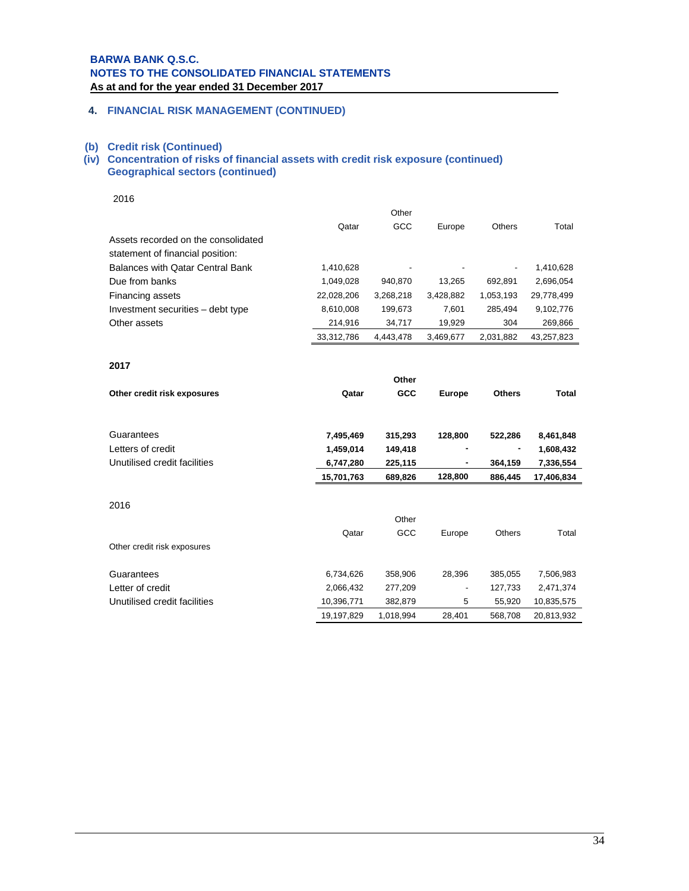## **4. FINANCIAL RISK MANAGEMENT (CONTINUED)**

#### **(b) Credit risk (Continued)**

### **(iv) Concentration of risks of financial assets with credit risk exposure (continued) Geographical sectors (continued)**

2016

|                                     | Other      |           |                          |               |            |  |
|-------------------------------------|------------|-----------|--------------------------|---------------|------------|--|
|                                     | Qatar      | GCC       | Europe                   | <b>Others</b> | Total      |  |
| Assets recorded on the consolidated |            |           |                          |               |            |  |
| statement of financial position:    |            |           |                          |               |            |  |
| Balances with Qatar Central Bank    | 1,410,628  |           | $\overline{\phantom{a}}$ | ٠             | 1,410,628  |  |
| Due from banks                      | 1,049,028  | 940.870   | 13.265                   | 692.891       | 2,696,054  |  |
| Financing assets                    | 22,028,206 | 3.268.218 | 3.428.882                | 1,053,193     | 29,778,499 |  |
| Investment securities – debt type   | 8.610.008  | 199.673   | 7.601                    | 285.494       | 9,102,776  |  |
| Other assets                        | 214,916    | 34,717    | 19,929                   | 304           | 269,866    |  |
|                                     | 33,312,786 | 4.443.478 | 3,469,677                | 2.031.882     | 43,257,823 |  |

#### **2017**

|                              | Other      |            |               |               |              |
|------------------------------|------------|------------|---------------|---------------|--------------|
| Other credit risk exposures  | Qatar      | <b>GCC</b> | <b>Europe</b> | <b>Others</b> | <b>Total</b> |
|                              |            |            |               |               |              |
| Guarantees                   | 7,495,469  | 315,293    | 128,800       | 522,286       | 8,461,848    |
| Letters of credit            | 1,459,014  | 149,418    |               |               | 1,608,432    |
| Unutilised credit facilities | 6,747,280  | 225,115    | ٠             | 364,159       | 7,336,554    |
|                              | 15,701,763 | 689,826    | 128,800       | 886,445       | 17,406,834   |
|                              |            |            |               |               |              |
| 2016                         |            |            |               |               |              |
|                              |            | Other      |               |               |              |
|                              | Qatar      | GCC        | Europe        | <b>Others</b> | Total        |
| Other credit risk exposures  |            |            |               |               |              |
| Guarantees                   | 6,734,626  | 358,906    | 28,396        | 385,055       | 7,506,983    |
| Letter of credit             | 2,066,432  | 277,209    |               | 127,733       | 2,471,374    |
| Unutilised credit facilities | 10,396,771 | 382,879    | 5             | 55,920        | 10,835,575   |
|                              | 19,197,829 | 1,018,994  | 28,401        | 568,708       | 20,813,932   |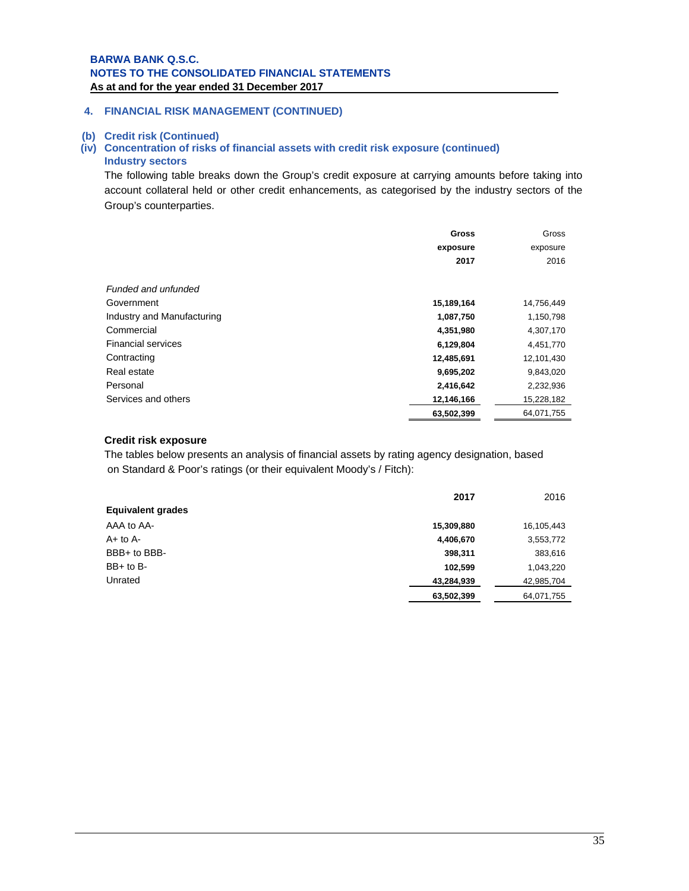## **4. FINANCIAL RISK MANAGEMENT (CONTINUED)**

#### **(b) Credit risk (Continued)**

## **(iv) Concentration of risks of financial assets with credit risk exposure (continued) Industry sectors**

The following table breaks down the Group's credit exposure at carrying amounts before taking into account collateral held or other credit enhancements, as categorised by the industry sectors of the Group's counterparties.

|                            | <b>Gross</b> | Gross      |
|----------------------------|--------------|------------|
|                            | exposure     | exposure   |
|                            | 2017         | 2016       |
|                            |              |            |
| Funded and unfunded        |              |            |
| Government                 | 15,189,164   | 14,756,449 |
| Industry and Manufacturing | 1,087,750    | 1,150,798  |
| Commercial                 | 4,351,980    | 4,307,170  |
| <b>Financial services</b>  | 6,129,804    | 4,451,770  |
| Contracting                | 12,485,691   | 12,101,430 |
| Real estate                | 9,695,202    | 9,843,020  |
| Personal                   | 2,416,642    | 2,232,936  |
| Services and others        | 12,146,166   | 15,228,182 |
|                            | 63,502,399   | 64,071,755 |

#### **Credit risk exposure**

The tables below presents an analysis of financial assets by rating agency designation, based on Standard & Poor's ratings (or their equivalent Moody's / Fitch):

|                          | 2017       | 2016       |
|--------------------------|------------|------------|
| <b>Equivalent grades</b> |            |            |
| AAA to AA-               | 15,309,880 | 16,105,443 |
| $A+$ to $A-$             | 4,406,670  | 3,553,772  |
| BBB+ to BBB-             | 398,311    | 383,616    |
| $BB+$ to $B-$            | 102,599    | 1,043,220  |
| Unrated                  | 43,284,939 | 42,985,704 |
|                          | 63,502,399 | 64,071,755 |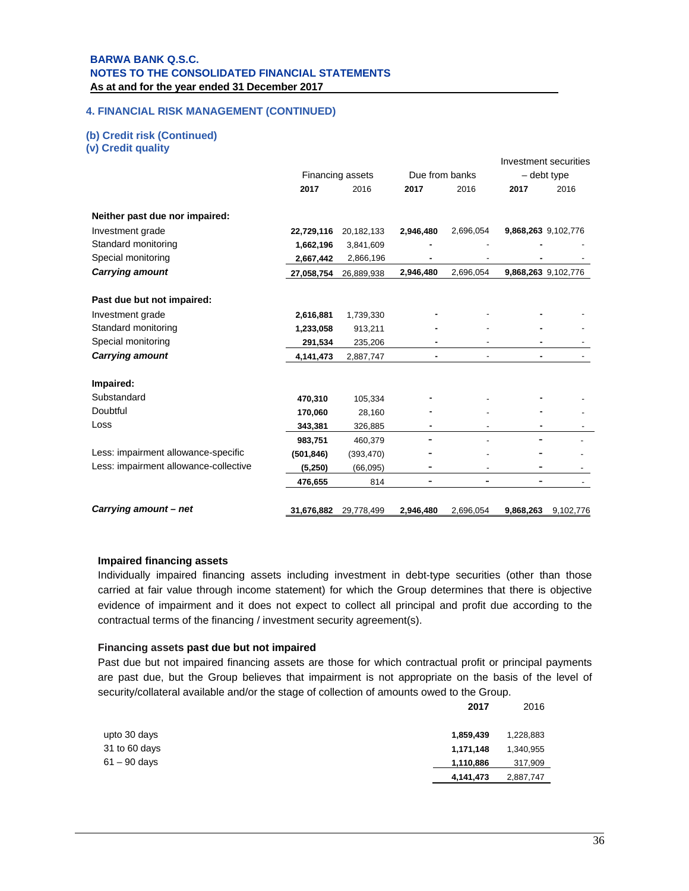## **4. FINANCIAL RISK MANAGEMENT (CONTINUED)**

## **(b) Credit risk (Continued)**

**(v) Credit quality** 

|                                       |            |                  |                |                          |                     | Investment securities |
|---------------------------------------|------------|------------------|----------------|--------------------------|---------------------|-----------------------|
|                                       |            | Financing assets | Due from banks |                          | - debt type         |                       |
|                                       | 2017       | 2016             | 2017           | 2016                     | 2017                | 2016                  |
| Neither past due nor impaired:        |            |                  |                |                          |                     |                       |
| Investment grade                      | 22,729,116 | 20,182,133       | 2,946,480      | 2,696,054                | 9,868,263 9,102,776 |                       |
| Standard monitoring                   | 1,662,196  | 3,841,609        |                |                          |                     |                       |
| Special monitoring                    | 2,667,442  | 2,866,196        |                |                          |                     |                       |
| <b>Carrying amount</b>                | 27,058,754 | 26,889,938       | 2,946,480      | 2,696,054                | 9,868,263 9,102,776 |                       |
| Past due but not impaired:            |            |                  |                |                          |                     |                       |
| Investment grade                      | 2,616,881  | 1,739,330        |                |                          |                     |                       |
| Standard monitoring                   | 1,233,058  | 913,211          |                |                          |                     |                       |
| Special monitoring                    | 291,534    | 235,206          |                |                          |                     |                       |
| <b>Carrying amount</b>                | 4,141,473  | 2,887,747        |                |                          |                     |                       |
| Impaired:                             |            |                  |                |                          |                     |                       |
| Substandard                           | 470,310    | 105,334          |                |                          |                     |                       |
| Doubtful                              | 170,060    | 28,160           |                |                          |                     |                       |
| Loss                                  | 343,381    | 326,885          |                | $\overline{\phantom{a}}$ |                     |                       |
|                                       | 983,751    | 460,379          |                |                          |                     |                       |
| Less: impairment allowance-specific   | (501, 846) | (393, 470)       |                |                          |                     |                       |
| Less: impairment allowance-collective | (5, 250)   | (66,095)         | ٠              |                          |                     |                       |
|                                       | 476,655    | 814              | ۰              | ۰                        |                     |                       |
| Carrying amount - net                 | 31,676,882 | 29,778,499       | 2,946,480      | 2,696,054                | 9,868,263           | 9,102,776             |

#### **Impaired financing assets**

Individually impaired financing assets including investment in debt-type securities (other than those carried at fair value through income statement) for which the Group determines that there is objective evidence of impairment and it does not expect to collect all principal and profit due according to the contractual terms of the financing / investment security agreement(s).

#### **Financing assets past due but not impaired**

Past due but not impaired financing assets are those for which contractual profit or principal payments are past due, but the Group believes that impairment is not appropriate on the basis of the level of security/collateral available and/or the stage of collection of amounts owed to the Group.

|                | 2017      | 2016      |
|----------------|-----------|-----------|
| upto 30 days   | 1,859,439 | 1,228,883 |
| 31 to 60 days  | 1,171,148 | 1,340,955 |
| $61 - 90$ days | 1,110,886 | 317,909   |
|                | 4,141,473 | 2,887,747 |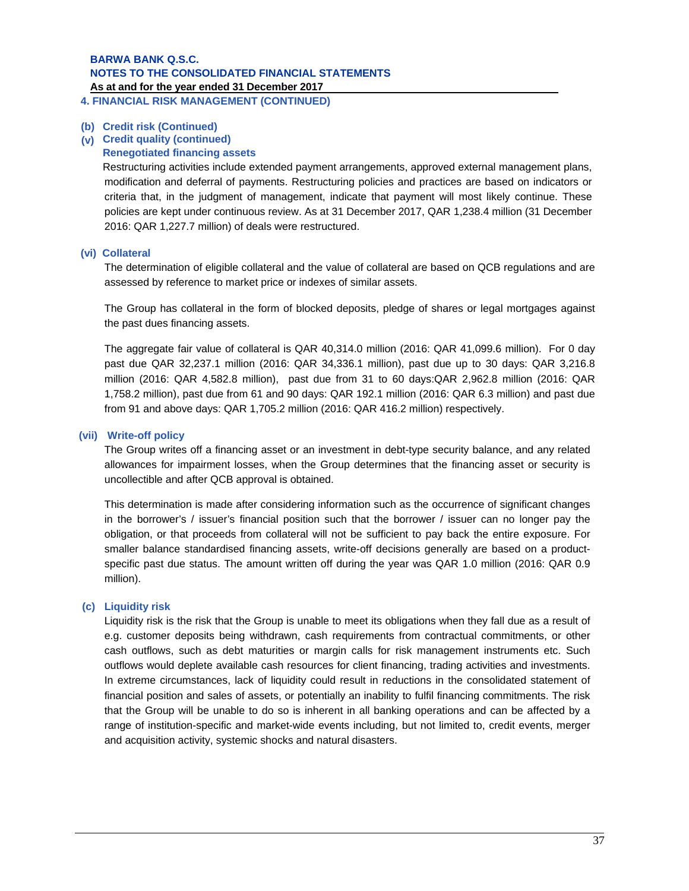**(b) Credit risk (Continued)** 

### **(v) Credit quality (continued)**

#### **Renegotiated financing assets**

Restructuring activities include extended payment arrangements, approved external management plans, modification and deferral of payments. Restructuring policies and practices are based on indicators or criteria that, in the judgment of management, indicate that payment will most likely continue. These policies are kept under continuous review. As at 31 December 2017, QAR 1,238.4 million (31 December 2016: QAR 1,227.7 million) of deals were restructured.

#### **(vi) Collateral**

The determination of eligible collateral and the value of collateral are based on QCB regulations and are assessed by reference to market price or indexes of similar assets.

The Group has collateral in the form of blocked deposits, pledge of shares or legal mortgages against the past dues financing assets.

The aggregate fair value of collateral is QAR 40,314.0 million (2016: QAR 41,099.6 million). For 0 day past due QAR 32,237.1 million (2016: QAR 34,336.1 million), past due up to 30 days: QAR 3,216.8 million (2016: QAR 4,582.8 million), past due from 31 to 60 days:QAR 2,962.8 million (2016: QAR 1,758.2 million), past due from 61 and 90 days: QAR 192.1 million (2016: QAR 6.3 million) and past due from 91 and above days: QAR 1,705.2 million (2016: QAR 416.2 million) respectively.

#### **(vii) Write-off policy**

The Group writes off a financing asset or an investment in debt-type security balance, and any related allowances for impairment losses, when the Group determines that the financing asset or security is uncollectible and after QCB approval is obtained.

This determination is made after considering information such as the occurrence of significant changes in the borrower's / issuer's financial position such that the borrower / issuer can no longer pay the obligation, or that proceeds from collateral will not be sufficient to pay back the entire exposure. For smaller balance standardised financing assets, write-off decisions generally are based on a productspecific past due status. The amount written off during the year was QAR 1.0 million (2016: QAR 0.9 million).

#### **(c) Liquidity risk**

Liquidity risk is the risk that the Group is unable to meet its obligations when they fall due as a result of e.g. customer deposits being withdrawn, cash requirements from contractual commitments, or other cash outflows, such as debt maturities or margin calls for risk management instruments etc. Such outflows would deplete available cash resources for client financing, trading activities and investments. In extreme circumstances, lack of liquidity could result in reductions in the consolidated statement of financial position and sales of assets, or potentially an inability to fulfil financing commitments. The risk that the Group will be unable to do so is inherent in all banking operations and can be affected by a range of institution-specific and market-wide events including, but not limited to, credit events, merger and acquisition activity, systemic shocks and natural disasters.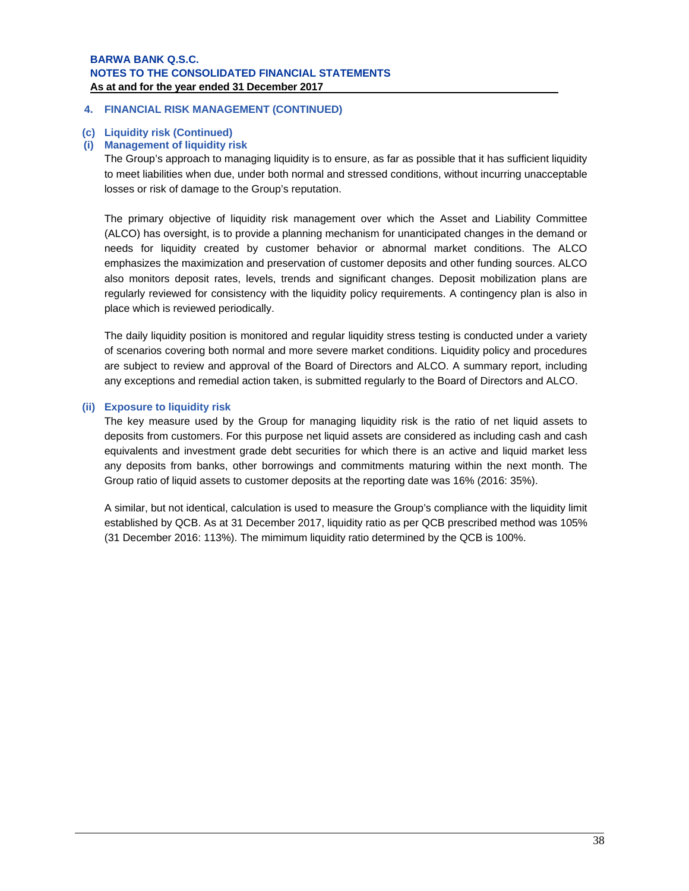### **4. FINANCIAL RISK MANAGEMENT (CONTINUED)**

#### **(c) Liquidity risk (Continued)**

#### **(i) Management of liquidity risk**

The Group's approach to managing liquidity is to ensure, as far as possible that it has sufficient liquidity to meet liabilities when due, under both normal and stressed conditions, without incurring unacceptable losses or risk of damage to the Group's reputation.

The primary objective of liquidity risk management over which the Asset and Liability Committee (ALCO) has oversight, is to provide a planning mechanism for unanticipated changes in the demand or needs for liquidity created by customer behavior or abnormal market conditions. The ALCO emphasizes the maximization and preservation of customer deposits and other funding sources. ALCO also monitors deposit rates, levels, trends and significant changes. Deposit mobilization plans are regularly reviewed for consistency with the liquidity policy requirements. A contingency plan is also in place which is reviewed periodically.

The daily liquidity position is monitored and regular liquidity stress testing is conducted under a variety of scenarios covering both normal and more severe market conditions. Liquidity policy and procedures are subject to review and approval of the Board of Directors and ALCO. A summary report, including any exceptions and remedial action taken, is submitted regularly to the Board of Directors and ALCO.

#### **(ii) Exposure to liquidity risk**

The key measure used by the Group for managing liquidity risk is the ratio of net liquid assets to deposits from customers. For this purpose net liquid assets are considered as including cash and cash equivalents and investment grade debt securities for which there is an active and liquid market less any deposits from banks, other borrowings and commitments maturing within the next month. The Group ratio of liquid assets to customer deposits at the reporting date was 16% (2016: 35%).

A similar, but not identical, calculation is used to measure the Group's compliance with the liquidity limit established by QCB. As at 31 December 2017, liquidity ratio as per QCB prescribed method was 105% (31 December 2016: 113%). The mimimum liquidity ratio determined by the QCB is 100%.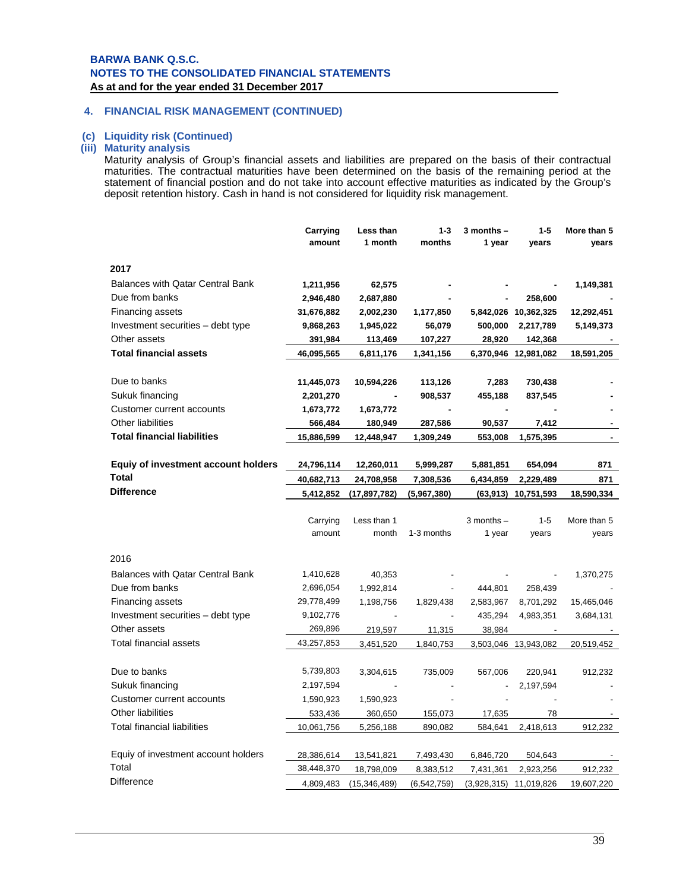### **4. FINANCIAL RISK MANAGEMENT (CONTINUED)**

#### **(c) Liquidity risk (Continued)**

## **(iii) Maturity analysis**

Maturity analysis of Group's financial assets and liabilities are prepared on the basis of their contractual maturities. The contractual maturities have been determined on the basis of the remaining period at the statement of financial postion and do not take into account effective maturities as indicated by the Group's deposit retention history. Cash in hand is not considered for liquidity risk management.

|                                            | Carrying                | Less than                    | $1 - 3$                    | $3$ months $-$ | $1 - 5$                               | More than 5           |
|--------------------------------------------|-------------------------|------------------------------|----------------------------|----------------|---------------------------------------|-----------------------|
|                                            | amount                  | 1 month                      | months                     | 1 year         | years                                 | years                 |
| 2017                                       |                         |                              |                            |                |                                       |                       |
|                                            |                         |                              |                            |                |                                       |                       |
| <b>Balances with Qatar Central Bank</b>    | 1,211,956               | 62,575                       |                            |                |                                       | 1,149,381             |
| Due from banks                             | 2,946,480               | 2,687,880                    |                            |                | 258,600                               |                       |
| Financing assets                           | 31,676,882              | 2,002,230                    | 1,177,850                  |                | 5,842,026 10,362,325                  | 12,292,451            |
| Investment securities – debt type          | 9,868,263               | 1,945,022                    | 56,079                     | 500,000        | 2,217,789                             | 5,149,373             |
| Other assets                               | 391,984                 | 113,469                      | 107,227                    | 28,920         | 142,368                               |                       |
| <b>Total financial assets</b>              | 46,095,565              | 6,811,176                    | 1,341,156                  |                | 6,370,946 12,981,082                  | 18,591,205            |
|                                            |                         |                              |                            |                |                                       |                       |
| Due to banks                               | 11,445,073              | 10,594,226                   | 113,126                    | 7,283          | 730,438                               |                       |
| Sukuk financing                            | 2,201,270               |                              | 908,537                    | 455,188        | 837,545                               |                       |
| Customer current accounts                  | 1,673,772               | 1,673,772                    |                            |                |                                       |                       |
| Other liabilities                          | 566,484                 | 180,949                      | 287,586                    | 90,537         | 7,412                                 |                       |
| <b>Total financial liabilities</b>         | 15,886,599              | 12,448,947                   | 1,309,249                  | 553,008        | 1,575,395                             |                       |
|                                            |                         |                              |                            |                |                                       |                       |
| <b>Equiy of investment account holders</b> | 24,796,114              | 12,260,011                   | 5,999,287                  | 5,881,851      | 654,094                               | 871                   |
| <b>Total</b>                               | 40,682,713              | 24,708,958                   | 7,308,536                  | 6,434,859      | 2,229,489                             | 871                   |
| <b>Difference</b>                          | 5,412,852               | (17, 897, 782)               | (5,967,380)                |                | $(63,913)$ 10,751,593                 | 18,590,334            |
|                                            |                         |                              |                            |                |                                       |                       |
|                                            |                         |                              |                            |                |                                       |                       |
|                                            | Carrying                | Less than 1                  |                            | $3$ months $-$ | $1 - 5$                               | More than 5           |
|                                            | amount                  | month                        | 1-3 months                 | 1 year         | years                                 | years                 |
|                                            |                         |                              |                            |                |                                       |                       |
| 2016                                       |                         |                              |                            |                |                                       |                       |
| <b>Balances with Qatar Central Bank</b>    | 1,410,628               | 40,353                       |                            |                |                                       | 1,370,275             |
| Due from banks                             | 2,696,054               | 1,992,814                    |                            | 444,801        | 258,439                               |                       |
| Financing assets                           | 29,778,499              | 1,198,756                    | 1,829,438                  | 2,583,967      | 8,701,292                             | 15,465,046            |
| Investment securities - debt type          | 9,102,776               |                              |                            | 435,294        | 4,983,351                             | 3,684,131             |
| Other assets                               | 269,896                 | 219,597                      | 11,315                     | 38,984         |                                       |                       |
| Total financial assets                     | 43,257,853              | 3,451,520                    | 1,840,753                  |                | 3,503,046 13,943,082                  | 20,519,452            |
|                                            |                         |                              |                            |                |                                       |                       |
| Due to banks                               | 5,739,803               | 3,304,615                    | 735,009                    | 567,006        | 220,941                               | 912,232               |
| Sukuk financing                            | 2,197,594               |                              |                            |                | 2,197,594                             |                       |
| Customer current accounts                  | 1,590,923               | 1,590,923                    |                            |                |                                       |                       |
| <b>Other liabilities</b>                   | 533,436                 | 360,650                      | 155,073                    | 17,635         | 78                                    |                       |
| <b>Total financial liabilities</b>         | 10,061,756              | 5,256,188                    | 890,082                    | 584,641        | 2,418,613                             | 912,232               |
|                                            |                         |                              |                            |                |                                       |                       |
| Equiy of investment account holders        | 28,386,614              | 13,541,821                   | 7,493,430                  | 6,846,720      | 504,643                               |                       |
| Total<br>Difference                        | 38,448,370<br>4,809,483 | 18,798,009<br>(15, 346, 489) | 8,383,512<br>(6, 542, 759) | 7,431,361      | 2,923,256<br>$(3,928,315)$ 11,019,826 | 912,232<br>19,607,220 |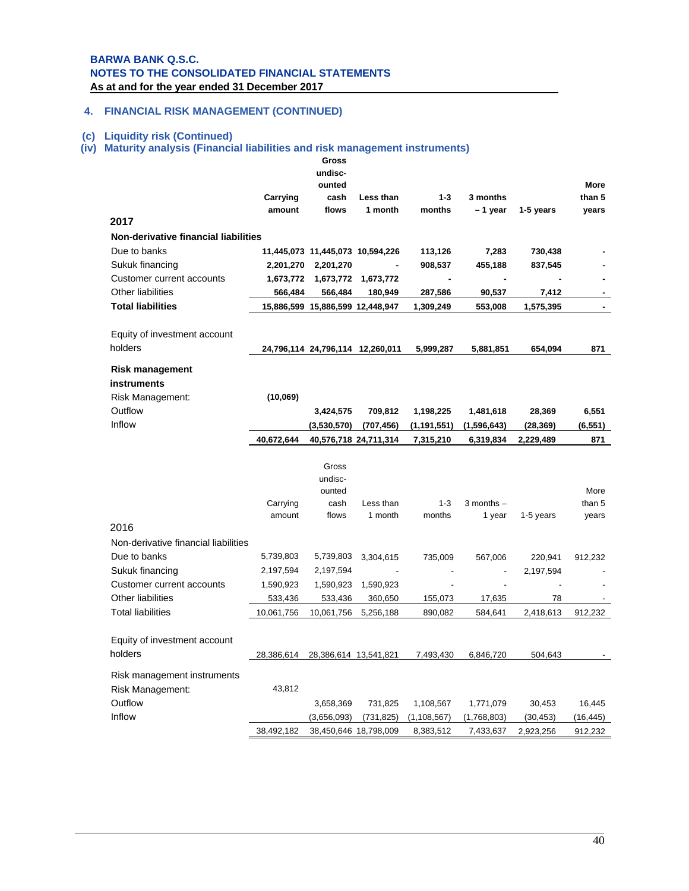## **4. FINANCIAL RISK MANAGEMENT (CONTINUED)**

#### **(c) Liquidity risk (Continued)**

# **(iv) Maturity analysis (Financial liabilities and risk management instruments)**

|                                                |            | Gross                            |            |               |                |           |                |
|------------------------------------------------|------------|----------------------------------|------------|---------------|----------------|-----------|----------------|
|                                                |            | undisc-                          |            |               |                |           |                |
|                                                |            | ounted                           |            |               |                |           | <b>More</b>    |
|                                                | Carrying   | cash                             | Less than  | $1 - 3$       | 3 months       |           | than 5         |
| 2017                                           | amount     | flows                            | 1 month    | months        | -1 year        | 1-5 years | years          |
| <b>Non-derivative financial liabilities</b>    |            |                                  |            |               |                |           |                |
|                                                |            |                                  |            |               |                |           |                |
| Due to banks                                   |            | 11,445,073 11,445,073 10,594,226 |            | 113,126       | 7,283          | 730,438   |                |
| Sukuk financing                                | 2,201,270  | 2,201,270                        |            | 908,537       | 455,188        | 837,545   |                |
| Customer current accounts<br>Other liabilities | 1,673,772  | 1,673,772                        | 1,673,772  |               |                |           | $\sim$         |
| <b>Total liabilities</b>                       | 566,484    | 566,484                          | 180,949    | 287,586       | 90,537         | 7,412     |                |
|                                                |            | 15,886,599 15,886,599 12,448,947 |            | 1,309,249     | 553,008        | 1,575,395 | $\blacksquare$ |
|                                                |            |                                  |            |               |                |           |                |
| Equity of investment account<br>holders        |            |                                  |            |               |                |           |                |
|                                                |            | 24,796,114 24,796,114 12,260,011 |            | 5,999,287     | 5,881,851      | 654,094   | 871            |
| <b>Risk management</b>                         |            |                                  |            |               |                |           |                |
| instruments                                    |            |                                  |            |               |                |           |                |
| Risk Management:                               | (10,069)   |                                  |            |               |                |           |                |
| Outflow                                        |            | 3,424,575                        | 709,812    | 1,198,225     | 1,481,618      | 28,369    | 6,551          |
| Inflow                                         |            | (3,530,570)                      | (707,456)  | (1,191,551)   | (1,596,643)    | (28, 369) | (6, 551)       |
|                                                | 40,672,644 | 40,576,718 24,711,314            |            | 7,315,210     | 6,319,834      | 2,229,489 | 871            |
|                                                |            |                                  |            |               |                |           |                |
|                                                |            | Gross                            |            |               |                |           |                |
|                                                |            | undisc-                          |            |               |                |           |                |
|                                                |            | ounted                           |            |               |                |           | More           |
|                                                | Carrying   | cash                             | Less than  | $1 - 3$       | $3$ months $-$ |           | than 5         |
| 2016                                           | amount     | flows                            | 1 month    | months        | 1 year         | 1-5 years | years          |
|                                                |            |                                  |            |               |                |           |                |
| Non-derivative financial liabilities           |            |                                  |            |               |                |           |                |
| Due to banks                                   | 5,739,803  | 5,739,803                        | 3,304,615  | 735,009       | 567,006        | 220,941   | 912,232        |
| Sukuk financing                                | 2,197,594  | 2,197,594                        |            |               |                | 2,197,594 |                |
| Customer current accounts                      | 1,590,923  | 1,590,923                        | 1,590,923  |               |                |           |                |
| Other liabilities                              | 533,436    | 533,436                          | 360,650    | 155,073       | 17,635         | 78        |                |
| <b>Total liabilities</b>                       | 10,061,756 | 10,061,756                       | 5,256,188  | 890,082       | 584,641        | 2,418,613 | 912,232        |
|                                                |            |                                  |            |               |                |           |                |
| Equity of investment account                   |            |                                  |            |               |                |           |                |
| holders                                        | 28,386,614 | 28,386,614 13,541,821            |            | 7,493,430     | 6,846,720      | 504,643   |                |
| Risk management instruments                    |            |                                  |            |               |                |           |                |
| Risk Management:                               | 43,812     |                                  |            |               |                |           |                |
| Outflow                                        |            | 3,658,369                        | 731,825    | 1,108,567     | 1,771,079      | 30,453    | 16,445         |
| Inflow                                         |            |                                  |            |               |                |           |                |
|                                                |            | (3,656,093)                      | (731, 825) | (1, 108, 567) | (1,768,803)    | (30, 453) | (16, 445)      |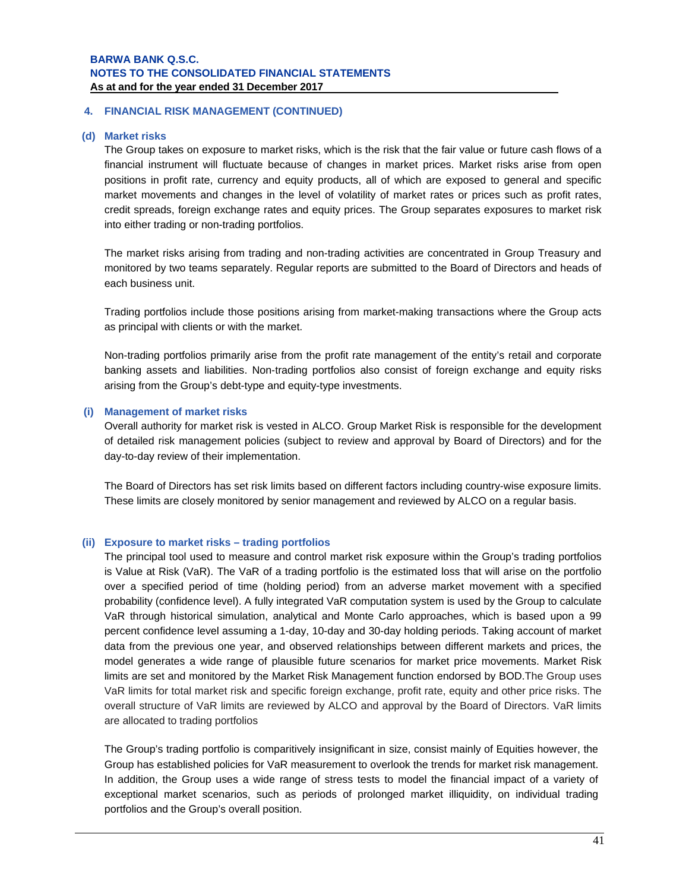#### **4. FINANCIAL RISK MANAGEMENT (CONTINUED)**

#### **(d) Market risks**

The Group takes on exposure to market risks, which is the risk that the fair value or future cash flows of a financial instrument will fluctuate because of changes in market prices. Market risks arise from open positions in profit rate, currency and equity products, all of which are exposed to general and specific market movements and changes in the level of volatility of market rates or prices such as profit rates, credit spreads, foreign exchange rates and equity prices. The Group separates exposures to market risk into either trading or non-trading portfolios.

The market risks arising from trading and non-trading activities are concentrated in Group Treasury and monitored by two teams separately. Regular reports are submitted to the Board of Directors and heads of each business unit.

Trading portfolios include those positions arising from market-making transactions where the Group acts as principal with clients or with the market.

Non-trading portfolios primarily arise from the profit rate management of the entity's retail and corporate banking assets and liabilities. Non-trading portfolios also consist of foreign exchange and equity risks arising from the Group's debt-type and equity-type investments.

#### **(i) Management of market risks**

Overall authority for market risk is vested in ALCO. Group Market Risk is responsible for the development of detailed risk management policies (subject to review and approval by Board of Directors) and for the day-to-day review of their implementation.

The Board of Directors has set risk limits based on different factors including country-wise exposure limits. These limits are closely monitored by senior management and reviewed by ALCO on a regular basis.

#### **(ii) Exposure to market risks – trading portfolios**

The principal tool used to measure and control market risk exposure within the Group's trading portfolios is Value at Risk (VaR). The VaR of a trading portfolio is the estimated loss that will arise on the portfolio over a specified period of time (holding period) from an adverse market movement with a specified probability (confidence level). A fully integrated VaR computation system is used by the Group to calculate VaR through historical simulation, analytical and Monte Carlo approaches, which is based upon a 99 percent confidence level assuming a 1-day, 10-day and 30-day holding periods. Taking account of market data from the previous one year, and observed relationships between different markets and prices, the model generates a wide range of plausible future scenarios for market price movements. Market Risk limits are set and monitored by the Market Risk Management function endorsed by BOD.The Group uses VaR limits for total market risk and specific foreign exchange, profit rate, equity and other price risks. The overall structure of VaR limits are reviewed by ALCO and approval by the Board of Directors. VaR limits are allocated to trading portfolios

The Group's trading portfolio is comparitively insignificant in size, consist mainly of Equities however, the Group has established policies for VaR measurement to overlook the trends for market risk management. In addition, the Group uses a wide range of stress tests to model the financial impact of a variety of exceptional market scenarios, such as periods of prolonged market illiquidity, on individual trading portfolios and the Group's overall position.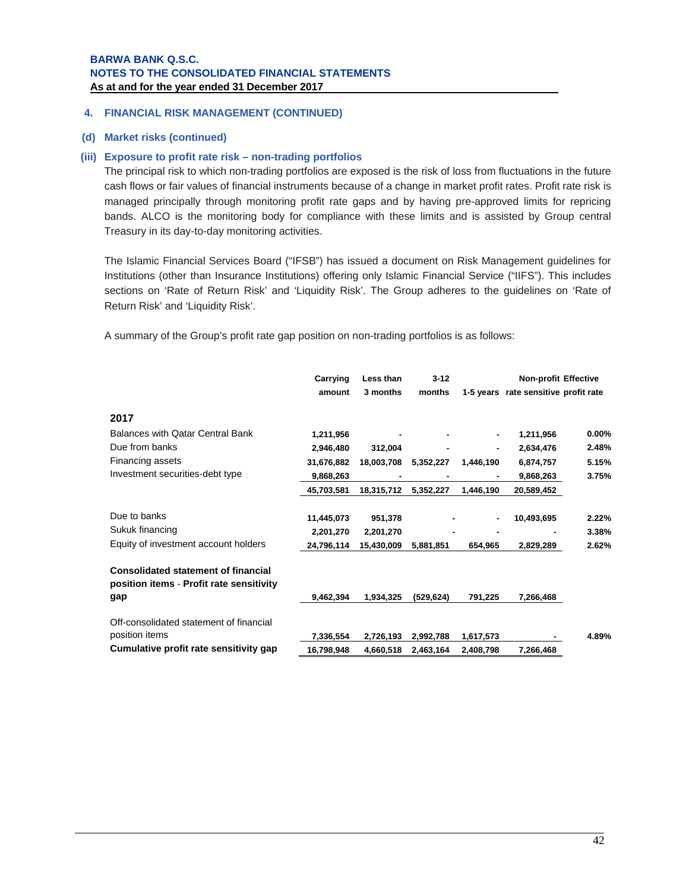#### **4. FINANCIAL RISK MANAGEMENT (CONTINUED)**

#### **(d) Market risks (continued)**

### **(iii) Exposure to profit rate risk – non-trading portfolios**

The principal risk to which non-trading portfolios are exposed is the risk of loss from fluctuations in the future cash flows or fair values of financial instruments because of a change in market profit rates. Profit rate risk is managed principally through monitoring profit rate gaps and by having pre-approved limits for repricing bands. ALCO is the monitoring body for compliance with these limits and is assisted by Group central Treasury in its day-to-day monitoring activities.

The Islamic Financial Services Board ("IFSB") has issued a document on Risk Management guidelines for Institutions (other than Insurance Institutions) offering only Islamic Financial Service ("IIFS"). This includes sections on 'Rate of Return Risk' and 'Liquidity Risk'. The Group adheres to the guidelines on 'Rate of Return Risk' and 'Liquidity Risk'.

A summary of the Group's profit rate gap position on non-trading portfolios is as follows:

|                                                                                        | Carrying   | Less than  | $3 - 12$   |                | Non-profit Effective                 |          |
|----------------------------------------------------------------------------------------|------------|------------|------------|----------------|--------------------------------------|----------|
|                                                                                        | amount     | 3 months   | months     |                | 1-5 years rate sensitive profit rate |          |
| 2017                                                                                   |            |            |            |                |                                      |          |
| <b>Balances with Qatar Central Bank</b>                                                | 1,211,956  |            |            | $\blacksquare$ | 1,211,956                            | $0.00\%$ |
| Due from banks                                                                         | 2,946,480  | 312,004    |            | $\blacksquare$ | 2,634,476                            | 2.48%    |
| Financing assets                                                                       | 31,676,882 | 18,003,708 | 5,352,227  | 1,446,190      | 6,874,757                            | 5.15%    |
| Investment securities-debt type                                                        | 9,868,263  |            |            |                | 9,868,263                            | 3.75%    |
|                                                                                        | 45,703,581 | 18,315,712 | 5,352,227  | 1,446,190      | 20,589,452                           |          |
| Due to banks                                                                           | 11,445,073 | 951,378    |            | $\blacksquare$ | 10,493,695                           | 2.22%    |
| Sukuk financing                                                                        | 2,201,270  | 2,201,270  |            |                |                                      | 3.38%    |
| Equity of investment account holders                                                   | 24,796,114 | 15,430,009 | 5,881,851  | 654,965        | 2,829,289                            | 2.62%    |
| <b>Consolidated statement of financial</b><br>position items - Profit rate sensitivity |            |            |            |                |                                      |          |
| gap                                                                                    | 9,462,394  | 1,934,325  | (529, 624) | 791,225        | 7,266,468                            |          |
| Off-consolidated statement of financial                                                |            |            |            |                |                                      |          |
| position items                                                                         | 7,336,554  | 2,726,193  | 2,992,788  | 1,617,573      |                                      | 4.89%    |
| Cumulative profit rate sensitivity gap                                                 | 16,798,948 | 4,660,518  | 2,463,164  | 2,408,798      | 7,266,468                            |          |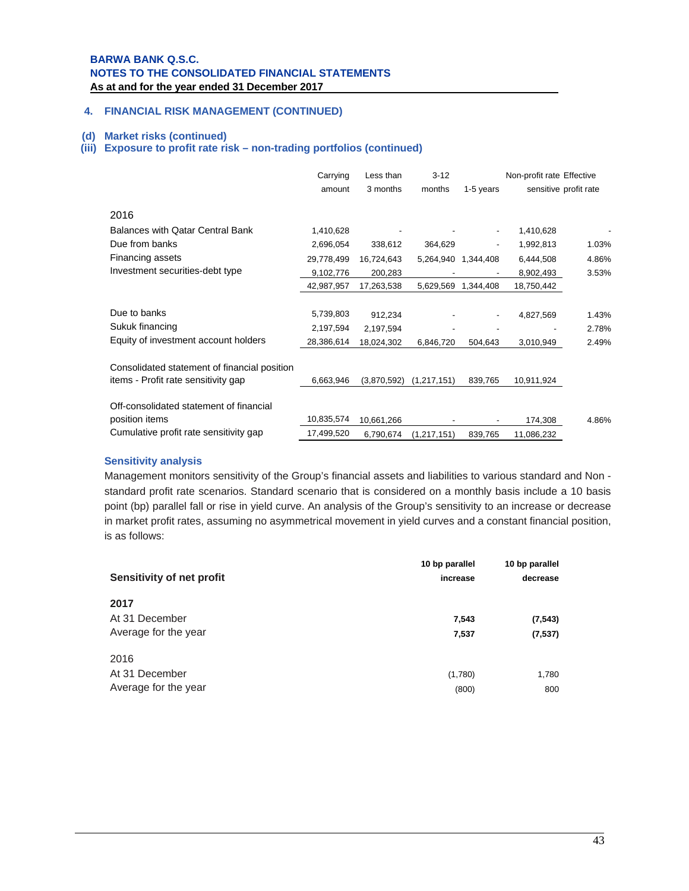## **4. FINANCIAL RISK MANAGEMENT (CONTINUED)**

#### **(d) Market risks (continued)**

### **(iii) Exposure to profit rate risk – non-trading portfolios (continued)**

|                                              | Carrying   | Less than   | $3 - 12$      |           | Non-profit rate Effective |                       |
|----------------------------------------------|------------|-------------|---------------|-----------|---------------------------|-----------------------|
|                                              | amount     | 3 months    | months        | 1-5 years |                           | sensitive profit rate |
| 2016                                         |            |             |               |           |                           |                       |
| <b>Balances with Qatar Central Bank</b>      | 1,410,628  |             |               |           | 1,410,628                 |                       |
| Due from banks                               | 2,696,054  | 338,612     | 364,629       |           | 1,992,813                 | 1.03%                 |
| Financing assets                             | 29,778,499 | 16,724,643  | 5,264,940     | 1,344,408 | 6,444,508                 | 4.86%                 |
| Investment securities-debt type              | 9,102,776  | 200,283     |               |           | 8,902,493                 | 3.53%                 |
|                                              | 42,987,957 | 17,263,538  | 5,629,569     | 1,344,408 | 18,750,442                |                       |
| Due to banks                                 | 5,739,803  | 912,234     |               |           | 4,827,569                 | 1.43%                 |
| Sukuk financing                              | 2,197,594  | 2,197,594   |               |           |                           | 2.78%                 |
| Equity of investment account holders         | 28,386,614 | 18,024,302  | 6,846,720     | 504.643   | 3,010,949                 | 2.49%                 |
| Consolidated statement of financial position |            |             |               |           |                           |                       |
| items - Profit rate sensitivity gap          | 6,663,946  | (3,870,592) | (1,217,151)   | 839,765   | 10,911,924                |                       |
| Off-consolidated statement of financial      |            |             |               |           |                           |                       |
| position items                               | 10,835,574 | 10,661,266  |               |           | 174,308                   | 4.86%                 |
| Cumulative profit rate sensitivity gap       | 17,499,520 | 6,790,674   | (1, 217, 151) | 839,765   | 11,086,232                |                       |

#### **Sensitivity analysis**

Management monitors sensitivity of the Group's financial assets and liabilities to various standard and Non standard profit rate scenarios. Standard scenario that is considered on a monthly basis include a 10 basis point (bp) parallel fall or rise in yield curve. An analysis of the Group's sensitivity to an increase or decrease in market profit rates, assuming no asymmetrical movement in yield curves and a constant financial position, is as follows:

| Sensitivity of net profit                      | 10 bp parallel<br>increase | 10 bp parallel<br>decrease |
|------------------------------------------------|----------------------------|----------------------------|
| 2017<br>At 31 December<br>Average for the year | 7,543<br>7,537             | (7, 543)<br>(7, 537)       |
| 2016<br>At 31 December<br>Average for the year | (1,780)<br>(800)           | 1,780<br>800               |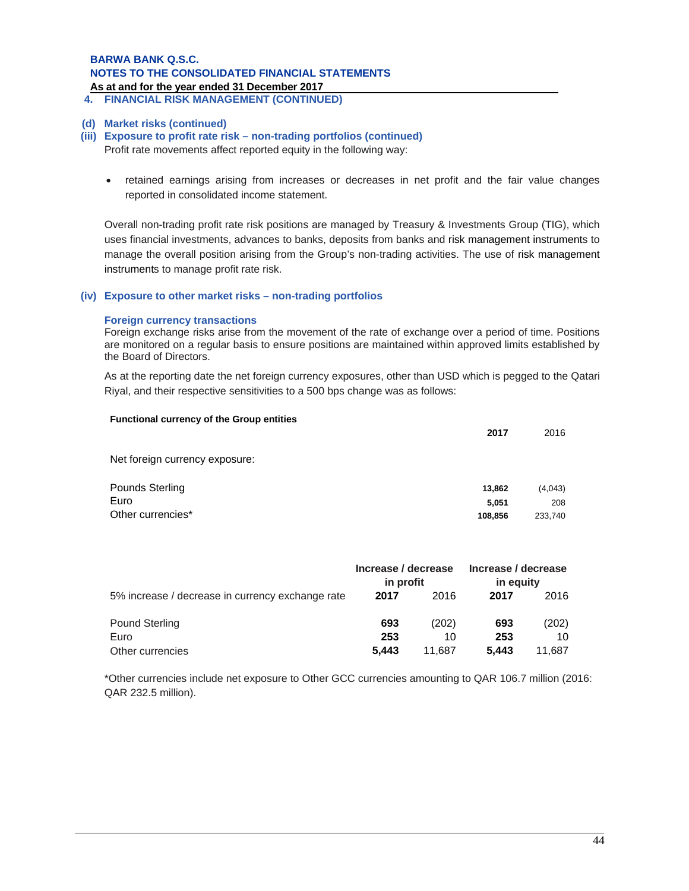## **BARWA BANK Q.S.C. NOTES TO THE CONSOLIDATED FINANCIAL STATEMENTS**

**As at and for the year ended 31 December 2017 .** 

**4. FINANCIAL RISK MANAGEMENT (CONTINUED)**

#### **(d) Market risks (continued)**

#### **(iii) Exposure to profit rate risk – non-trading portfolios (continued)**

Profit rate movements affect reported equity in the following way:

 retained earnings arising from increases or decreases in net profit and the fair value changes reported in consolidated income statement.

Overall non-trading profit rate risk positions are managed by Treasury & Investments Group (TIG), which uses financial investments, advances to banks, deposits from banks and risk management instruments to manage the overall position arising from the Group's non-trading activities. The use of risk management instruments to manage profit rate risk.

#### **(iv) Exposure to other market risks – non-trading portfolios**

#### **Foreign currency transactions**

Foreign exchange risks arise from the movement of the rate of exchange over a period of time. Positions are monitored on a regular basis to ensure positions are maintained within approved limits established by the Board of Directors.

As at the reporting date the net foreign currency exposures, other than USD which is pegged to the Qatari Riyal, and their respective sensitivities to a 500 bps change was as follows:

| <b>Functional currency of the Group entities</b> | 2017    | 2016    |
|--------------------------------------------------|---------|---------|
| Net foreign currency exposure:                   |         |         |
| <b>Pounds Sterling</b>                           | 13,862  | (4,043) |
| Euro                                             | 5,051   | 208     |
| Other currencies*                                | 108,856 | 233,740 |

|                                                  | Increase / decrease<br>in profit |             | Increase / decrease<br>in equity |             |  |
|--------------------------------------------------|----------------------------------|-------------|----------------------------------|-------------|--|
| 5% increase / decrease in currency exchange rate | 2017                             | 2016        | 2017                             | 2016        |  |
| <b>Pound Sterling</b><br>Euro                    | 693<br>253                       | (202)<br>10 | 693<br>253                       | (202)<br>10 |  |
| Other currencies                                 | 5.443                            | 11.687      | 5.443                            | 11.687      |  |

\*Other currencies include net exposure to Other GCC currencies amounting to QAR 106.7 million (2016: QAR 232.5 million).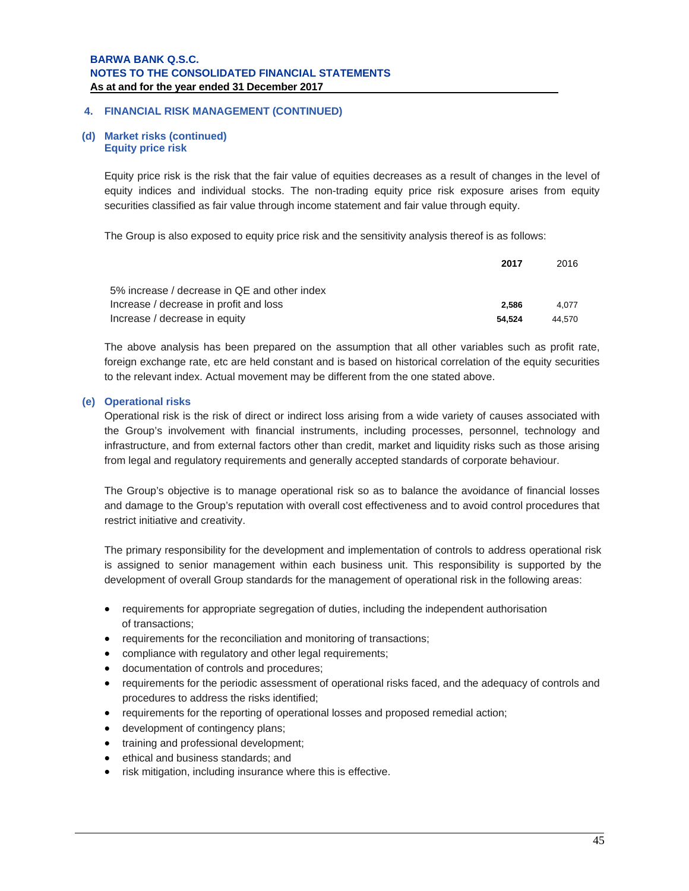#### **(d) Market risks (continued) Equity price risk**

Equity price risk is the risk that the fair value of equities decreases as a result of changes in the level of equity indices and individual stocks. The non-trading equity price risk exposure arises from equity securities classified as fair value through income statement and fair value through equity.

The Group is also exposed to equity price risk and the sensitivity analysis thereof is as follows:

|                                              | 2017   | 2016   |
|----------------------------------------------|--------|--------|
| 5% increase / decrease in QE and other index |        |        |
| Increase / decrease in profit and loss       | 2.586  | 4.077  |
| Increase / decrease in equity                | 54.524 | 44.570 |

The above analysis has been prepared on the assumption that all other variables such as profit rate, foreign exchange rate, etc are held constant and is based on historical correlation of the equity securities to the relevant index. Actual movement may be different from the one stated above.

#### **(e) Operational risks**

Operational risk is the risk of direct or indirect loss arising from a wide variety of causes associated with the Group's involvement with financial instruments, including processes, personnel, technology and infrastructure, and from external factors other than credit, market and liquidity risks such as those arising from legal and regulatory requirements and generally accepted standards of corporate behaviour.

The Group's objective is to manage operational risk so as to balance the avoidance of financial losses and damage to the Group's reputation with overall cost effectiveness and to avoid control procedures that restrict initiative and creativity.

The primary responsibility for the development and implementation of controls to address operational risk is assigned to senior management within each business unit. This responsibility is supported by the development of overall Group standards for the management of operational risk in the following areas:

- requirements for appropriate segregation of duties, including the independent authorisation of transactions;
- requirements for the reconciliation and monitoring of transactions;
- compliance with regulatory and other legal requirements;
- documentation of controls and procedures;
- requirements for the periodic assessment of operational risks faced, and the adequacy of controls and procedures to address the risks identified;
- requirements for the reporting of operational losses and proposed remedial action;
- development of contingency plans;
- training and professional development;
- ethical and business standards; and
- risk mitigation, including insurance where this is effective.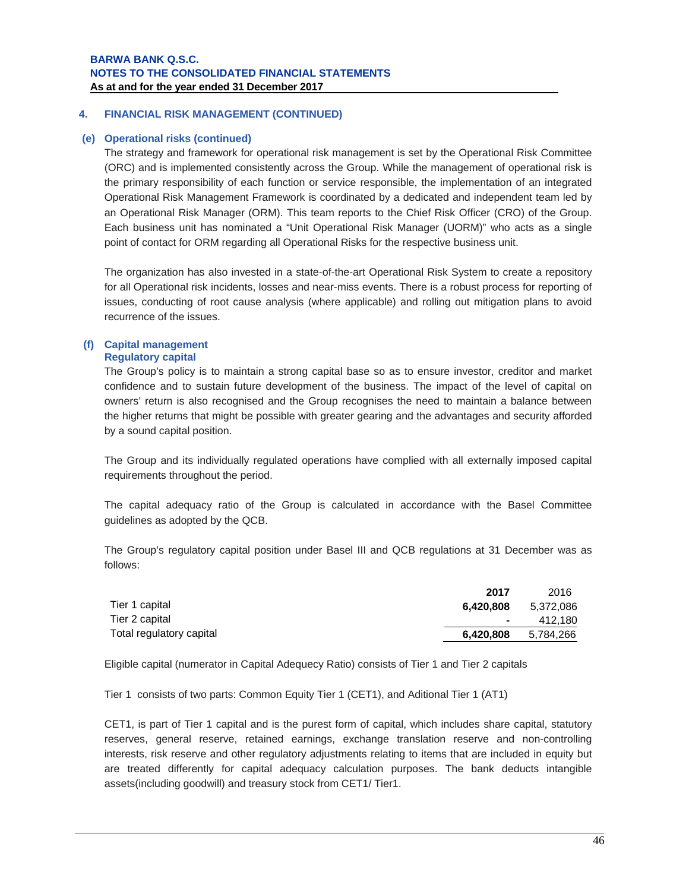#### **(e) Operational risks (continued)**

The strategy and framework for operational risk management is set by the Operational Risk Committee (ORC) and is implemented consistently across the Group. While the management of operational risk is the primary responsibility of each function or service responsible, the implementation of an integrated Operational Risk Management Framework is coordinated by a dedicated and independent team led by an Operational Risk Manager (ORM). This team reports to the Chief Risk Officer (CRO) of the Group. Each business unit has nominated a "Unit Operational Risk Manager (UORM)" who acts as a single point of contact for ORM regarding all Operational Risks for the respective business unit.

The organization has also invested in a state-of-the-art Operational Risk System to create a repository for all Operational risk incidents, losses and near-miss events. There is a robust process for reporting of issues, conducting of root cause analysis (where applicable) and rolling out mitigation plans to avoid recurrence of the issues.

#### **(f) Capital management Regulatory capital**

The Group's policy is to maintain a strong capital base so as to ensure investor, creditor and market confidence and to sustain future development of the business. The impact of the level of capital on owners' return is also recognised and the Group recognises the need to maintain a balance between the higher returns that might be possible with greater gearing and the advantages and security afforded by a sound capital position.

The Group and its individually regulated operations have complied with all externally imposed capital requirements throughout the period.

The capital adequacy ratio of the Group is calculated in accordance with the Basel Committee guidelines as adopted by the QCB.

The Group's regulatory capital position under Basel III and QCB regulations at 31 December was as follows:

|                          | 2017             | 2016      |
|--------------------------|------------------|-----------|
| Tier 1 capital           | 6.420.808        | 5,372,086 |
| Tier 2 capital           | $\sim$ 100 $\mu$ | 412.180   |
| Total regulatory capital | 6,420,808        | 5,784,266 |

Eligible capital (numerator in Capital Adequecy Ratio) consists of Tier 1 and Tier 2 capitals

Tier 1 consists of two parts: Common Equity Tier 1 (CET1), and Aditional Tier 1 (AT1)

CET1, is part of Tier 1 capital and is the purest form of capital, which includes share capital, statutory reserves, general reserve, retained earnings, exchange translation reserve and non-controlling interests, risk reserve and other regulatory adjustments relating to items that are included in equity but are treated differently for capital adequacy calculation purposes. The bank deducts intangible assets(including goodwill) and treasury stock from CET1/ Tier1.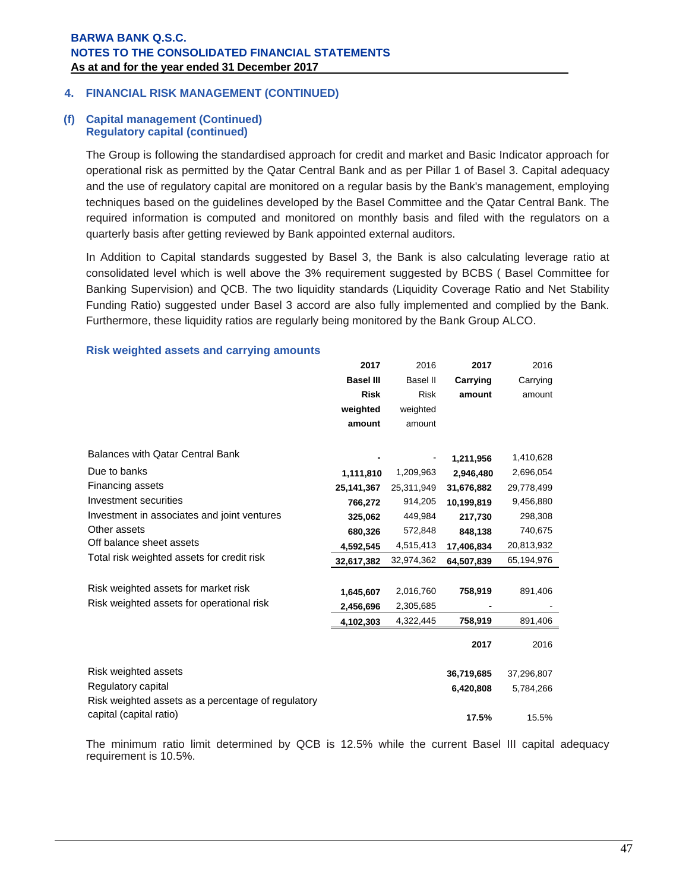#### **(f) Capital management (Continued) Regulatory capital (continued)**

The Group is following the standardised approach for credit and market and Basic Indicator approach for operational risk as permitted by the Qatar Central Bank and as per Pillar 1 of Basel 3. Capital adequacy and the use of regulatory capital are monitored on a regular basis by the Bank's management, employing techniques based on the guidelines developed by the Basel Committee and the Qatar Central Bank. The required information is computed and monitored on monthly basis and filed with the regulators on a quarterly basis after getting reviewed by Bank appointed external auditors.

In Addition to Capital standards suggested by Basel 3, the Bank is also calculating leverage ratio at consolidated level which is well above the 3% requirement suggested by BCBS ( Basel Committee for Banking Supervision) and QCB. The two liquidity standards (Liquidity Coverage Ratio and Net Stability Funding Ratio) suggested under Basel 3 accord are also fully implemented and complied by the Bank. Furthermore, these liquidity ratios are regularly being monitored by the Bank Group ALCO.

|                                                    | 2017             | 2016            | 2017       | 2016       |
|----------------------------------------------------|------------------|-----------------|------------|------------|
|                                                    | <b>Basel III</b> | <b>Basel II</b> | Carrying   | Carrying   |
|                                                    | <b>Risk</b>      | <b>Risk</b>     | amount     | amount     |
|                                                    | weighted         | weighted        |            |            |
|                                                    | amount           | amount          |            |            |
|                                                    |                  |                 |            |            |
| Balances with Qatar Central Bank                   |                  |                 | 1,211,956  | 1,410,628  |
| Due to banks                                       | 1,111,810        | 1,209,963       | 2,946,480  | 2,696,054  |
| Financing assets                                   | 25,141,367       | 25,311,949      | 31,676,882 | 29,778,499 |
| Investment securities                              | 766,272          | 914,205         | 10,199,819 | 9,456,880  |
| Investment in associates and joint ventures        | 325,062          | 449,984         | 217,730    | 298,308    |
| Other assets                                       | 680,326          | 572,848         | 848,138    | 740,675    |
| Off balance sheet assets                           | 4,592,545        | 4,515,413       | 17,406,834 | 20,813,932 |
| Total risk weighted assets for credit risk         | 32,617,382       | 32,974,362      | 64,507,839 | 65,194,976 |
|                                                    |                  |                 |            |            |
| Risk weighted assets for market risk               | 1,645,607        | 2,016,760       | 758,919    | 891,406    |
| Risk weighted assets for operational risk          | 2,456,696        | 2,305,685       |            |            |
|                                                    | 4,102,303        | 4,322,445       | 758,919    | 891,406    |
|                                                    |                  |                 | 2017       | 2016       |
| Risk weighted assets                               |                  |                 | 36,719,685 | 37,296,807 |
| Regulatory capital                                 |                  |                 | 6,420,808  | 5,784,266  |
| Risk weighted assets as a percentage of regulatory |                  |                 |            |            |
| capital (capital ratio)                            |                  |                 | 17.5%      | 15.5%      |

### **Risk weighted assets and carrying amounts**

The minimum ratio limit determined by QCB is 12.5% while the current Basel III capital adequacy requirement is 10.5%.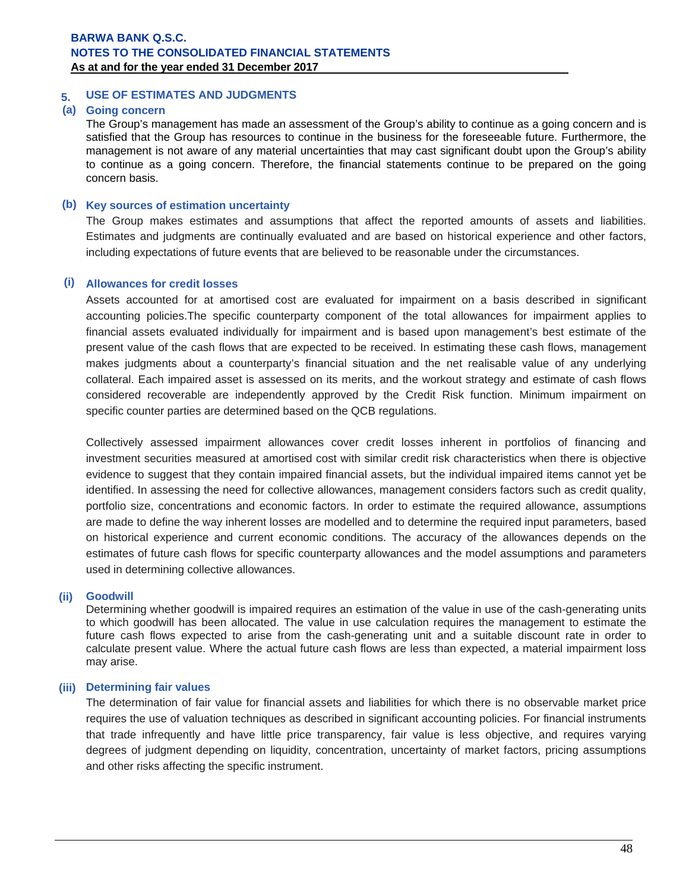## **5. USE OF ESTIMATES AND JUDGMENTS**

## **(a) Going concern**

The Group's management has made an assessment of the Group's ability to continue as a going concern and is satisfied that the Group has resources to continue in the business for the foreseeable future. Furthermore, the management is not aware of any material uncertainties that may cast significant doubt upon the Group's ability to continue as a going concern. Therefore, the financial statements continue to be prepared on the going concern basis.

### **(b) Key sources of estimation uncertainty**

The Group makes estimates and assumptions that affect the reported amounts of assets and liabilities. Estimates and judgments are continually evaluated and are based on historical experience and other factors, including expectations of future events that are believed to be reasonable under the circumstances.

### **(i) Allowances for credit losses**

Assets accounted for at amortised cost are evaluated for impairment on a basis described in significant accounting policies.The specific counterparty component of the total allowances for impairment applies to financial assets evaluated individually for impairment and is based upon management's best estimate of the present value of the cash flows that are expected to be received. In estimating these cash flows, management makes judgments about a counterparty's financial situation and the net realisable value of any underlying collateral. Each impaired asset is assessed on its merits, and the workout strategy and estimate of cash flows considered recoverable are independently approved by the Credit Risk function. Minimum impairment on specific counter parties are determined based on the QCB regulations.

Collectively assessed impairment allowances cover credit losses inherent in portfolios of financing and investment securities measured at amortised cost with similar credit risk characteristics when there is objective evidence to suggest that they contain impaired financial assets, but the individual impaired items cannot yet be identified. In assessing the need for collective allowances, management considers factors such as credit quality, portfolio size, concentrations and economic factors. In order to estimate the required allowance, assumptions are made to define the way inherent losses are modelled and to determine the required input parameters, based on historical experience and current economic conditions. The accuracy of the allowances depends on the estimates of future cash flows for specific counterparty allowances and the model assumptions and parameters used in determining collective allowances.

### **(ii) Goodwill**

Determining whether goodwill is impaired requires an estimation of the value in use of the cash-generating units to which goodwill has been allocated. The value in use calculation requires the management to estimate the future cash flows expected to arise from the cash-generating unit and a suitable discount rate in order to calculate present value. Where the actual future cash flows are less than expected, a material impairment loss may arise.

### **(iii) Determining fair values**

The determination of fair value for financial assets and liabilities for which there is no observable market price requires the use of valuation techniques as described in significant accounting policies. For financial instruments that trade infrequently and have little price transparency, fair value is less objective, and requires varying degrees of judgment depending on liquidity, concentration, uncertainty of market factors, pricing assumptions and other risks affecting the specific instrument.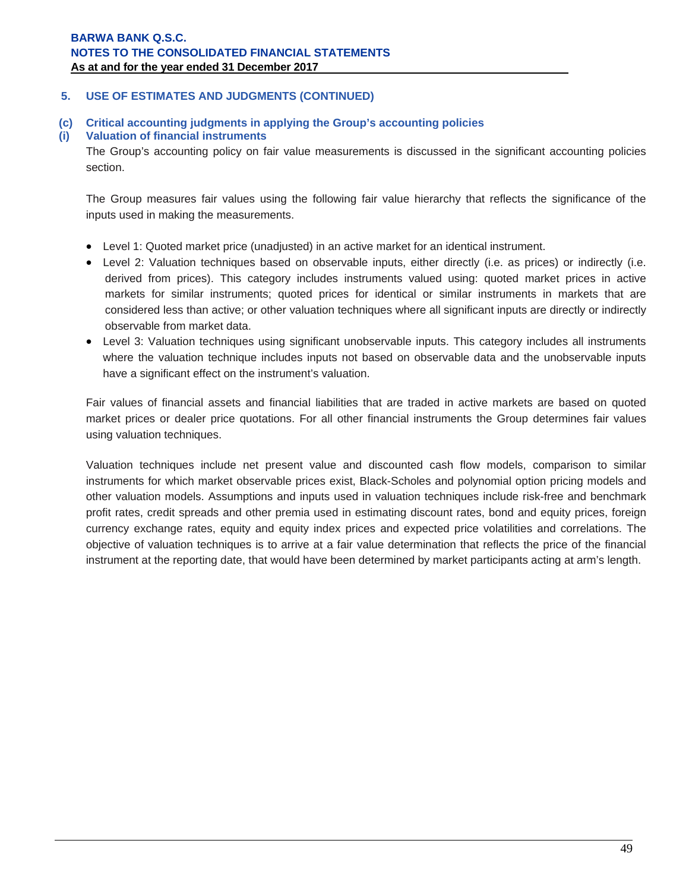## **5. USE OF ESTIMATES AND JUDGMENTS (CONTINUED)**

**(c) Critical accounting judgments in applying the Group's accounting policies** 

## **(i) Valuation of financial instruments**

The Group's accounting policy on fair value measurements is discussed in the significant accounting policies section.

The Group measures fair values using the following fair value hierarchy that reflects the significance of the inputs used in making the measurements.

- Level 1: Quoted market price (unadjusted) in an active market for an identical instrument.
- Level 2: Valuation techniques based on observable inputs, either directly (i.e. as prices) or indirectly (i.e. derived from prices). This category includes instruments valued using: quoted market prices in active markets for similar instruments; quoted prices for identical or similar instruments in markets that are considered less than active; or other valuation techniques where all significant inputs are directly or indirectly observable from market data.
- Level 3: Valuation techniques using significant unobservable inputs. This category includes all instruments where the valuation technique includes inputs not based on observable data and the unobservable inputs have a significant effect on the instrument's valuation.

Fair values of financial assets and financial liabilities that are traded in active markets are based on quoted market prices or dealer price quotations. For all other financial instruments the Group determines fair values using valuation techniques.

Valuation techniques include net present value and discounted cash flow models, comparison to similar instruments for which market observable prices exist, Black-Scholes and polynomial option pricing models and other valuation models. Assumptions and inputs used in valuation techniques include risk-free and benchmark profit rates, credit spreads and other premia used in estimating discount rates, bond and equity prices, foreign currency exchange rates, equity and equity index prices and expected price volatilities and correlations. The objective of valuation techniques is to arrive at a fair value determination that reflects the price of the financial instrument at the reporting date, that would have been determined by market participants acting at arm's length.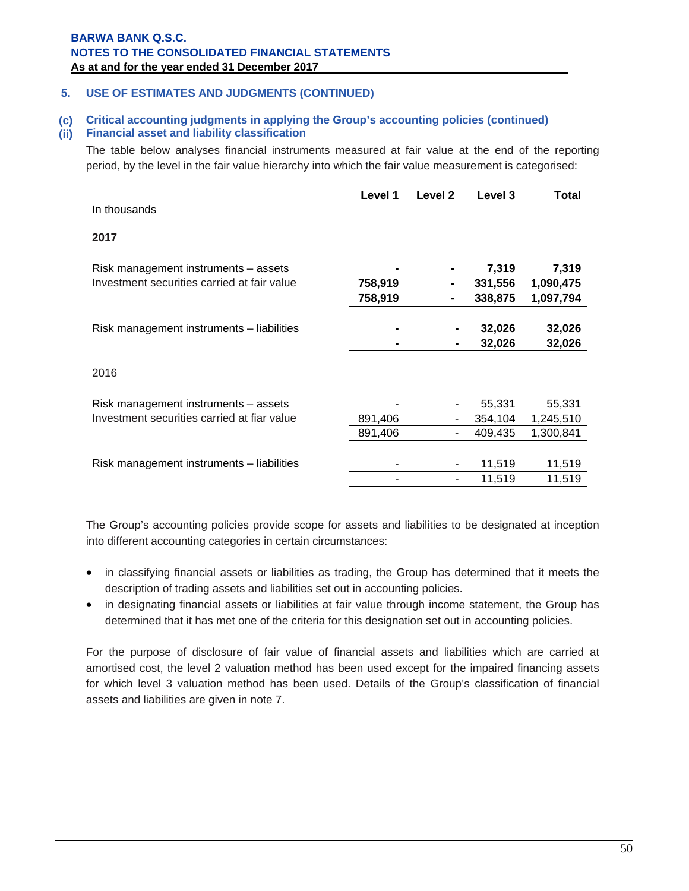## **5. USE OF ESTIMATES AND JUDGMENTS (CONTINUED)**

## **(c) Critical accounting judgments in applying the Group's accounting policies (continued)**

## **(ii) Financial asset and liability classification**

The table below analyses financial instruments measured at fair value at the end of the reporting period, by the level in the fair value hierarchy into which the fair value measurement is categorised:

| In thousands                                | Level 1 | Level 2 | Level 3 | Total     |
|---------------------------------------------|---------|---------|---------|-----------|
|                                             |         |         |         |           |
| 2017                                        |         |         |         |           |
| Risk management instruments - assets        |         |         | 7,319   | 7,319     |
| Investment securities carried at fair value | 758,919 | ۰       | 331,556 | 1,090,475 |
|                                             | 758,919 |         | 338,875 | 1,097,794 |
|                                             |         |         |         |           |
| Risk management instruments - liabilities   |         |         | 32,026  | 32,026    |
|                                             |         |         | 32,026  | 32,026    |
| 2016                                        |         |         |         |           |
|                                             |         |         |         |           |
| Risk management instruments - assets        |         |         | 55,331  | 55,331    |
| Investment securities carried at fiar value | 891,406 |         | 354,104 | 1,245,510 |
|                                             | 891,406 |         | 409,435 | 1,300,841 |
|                                             |         |         |         |           |
| Risk management instruments - liabilities   |         |         | 11,519  | 11,519    |
|                                             |         |         | 11,519  | 11,519    |

The Group's accounting policies provide scope for assets and liabilities to be designated at inception into different accounting categories in certain circumstances:

- in classifying financial assets or liabilities as trading, the Group has determined that it meets the description of trading assets and liabilities set out in accounting policies.
- in designating financial assets or liabilities at fair value through income statement, the Group has determined that it has met one of the criteria for this designation set out in accounting policies.

For the purpose of disclosure of fair value of financial assets and liabilities which are carried at amortised cost, the level 2 valuation method has been used except for the impaired financing assets for which level 3 valuation method has been used. Details of the Group's classification of financial assets and liabilities are given in note 7.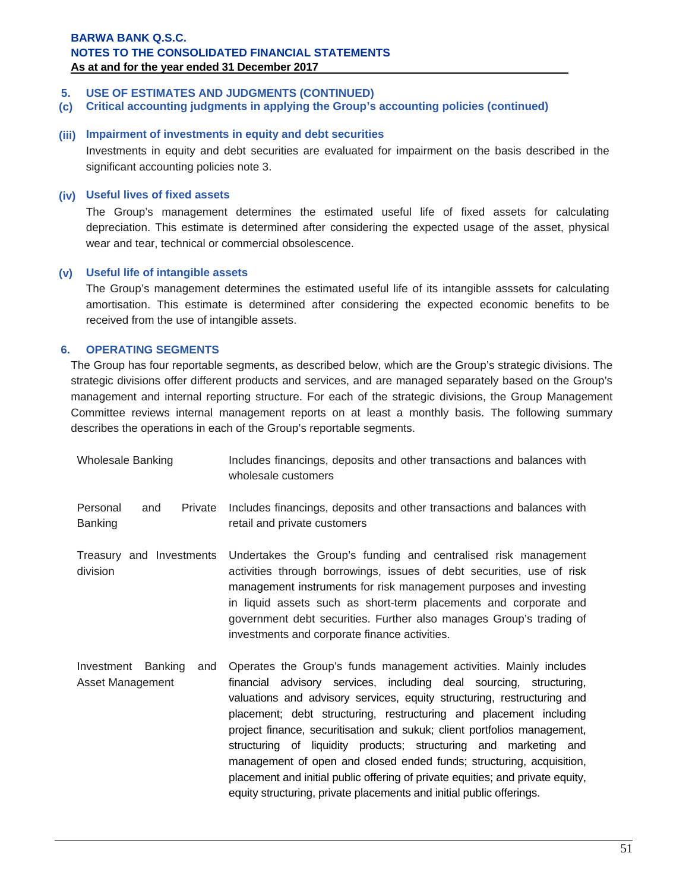## **5. USE OF ESTIMATES AND JUDGMENTS (CONTINUED)**

**(c) Critical accounting judgments in applying the Group's accounting policies (continued)**

## **(iii) Impairment of investments in equity and debt securities**

Investments in equity and debt securities are evaluated for impairment on the basis described in the significant accounting policies note 3.

#### **(iv) Useful lives of fixed assets**

The Group's management determines the estimated useful life of fixed assets for calculating depreciation. This estimate is determined after considering the expected usage of the asset, physical wear and tear, technical or commercial obsolescence.

### **(v) Useful life of intangible assets**

 The Group's management determines the estimated useful life of its intangible asssets for calculating amortisation. This estimate is determined after considering the expected economic benefits to be received from the use of intangible assets.

## **6. OPERATING SEGMENTS**

The Group has four reportable segments, as described below, which are the Group's strategic divisions. The strategic divisions offer different products and services, and are managed separately based on the Group's management and internal reporting structure. For each of the strategic divisions, the Group Management Committee reviews internal management reports on at least a monthly basis. The following summary describes the operations in each of the Group's reportable segments.

| <b>Wholesale Banking</b>                      | Includes financings, deposits and other transactions and balances with<br>wholesale customers                                                                                                                                                                                                                                                                                                                                                                                                                                                                                                      |
|-----------------------------------------------|----------------------------------------------------------------------------------------------------------------------------------------------------------------------------------------------------------------------------------------------------------------------------------------------------------------------------------------------------------------------------------------------------------------------------------------------------------------------------------------------------------------------------------------------------------------------------------------------------|
| Personal<br>Private<br>and<br><b>Banking</b>  | Includes financings, deposits and other transactions and balances with<br>retail and private customers                                                                                                                                                                                                                                                                                                                                                                                                                                                                                             |
| Treasury and Investments<br>division          | Undertakes the Group's funding and centralised risk management<br>activities through borrowings, issues of debt securities, use of risk<br>management instruments for risk management purposes and investing<br>in liquid assets such as short-term placements and corporate and<br>government debt securities. Further also manages Group's trading of<br>investments and corporate finance activities.                                                                                                                                                                                           |
| Investment Banking<br>and<br>Asset Management | Operates the Group's funds management activities. Mainly includes<br>financial advisory services, including deal sourcing, structuring,<br>valuations and advisory services, equity structuring, restructuring and<br>placement; debt structuring, restructuring and placement including<br>project finance, securitisation and sukuk; client portfolios management,<br>structuring of liquidity products; structuring and marketing and<br>management of open and closed ended funds; structuring, acquisition,<br>placement and initial public offering of private equities; and private equity, |

equity structuring, private placements and initial public offerings.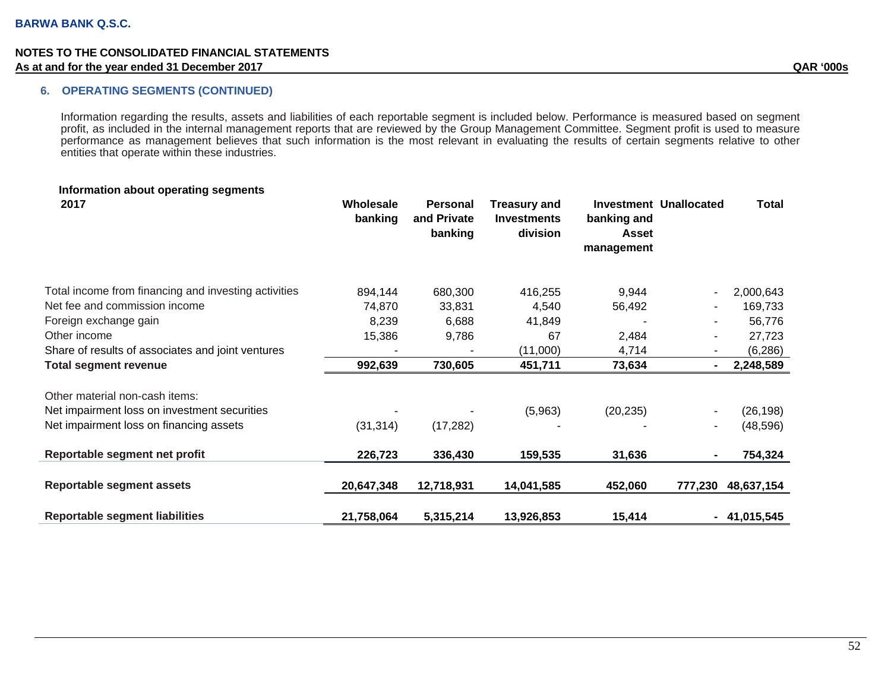### **6. OPERATING SEGMENTS (CONTINUED)**

Information regarding the results, assets and liabilities of each reportable segment is included below. Performance is measured based on segment profit, as included in the internal management reports that are reviewed by the Group Management Committee. Segment profit is used to measure performance as management believes that such information is the most relevant in evaluating the results of certain segments relative to other entities that operate within these industries.

| Information about operating segments<br>2017         | Wholesale<br>banking | Personal<br>and Private<br>banking | <b>Treasury and</b><br><b>Investments</b><br>division | banking and<br>Asset<br>management | Investment Unallocated | <b>Total</b>  |
|------------------------------------------------------|----------------------|------------------------------------|-------------------------------------------------------|------------------------------------|------------------------|---------------|
| Total income from financing and investing activities | 894,144              | 680,300                            | 416,255                                               | 9,944                              |                        | 2,000,643     |
| Net fee and commission income                        | 74,870               | 33,831                             | 4,540                                                 | 56,492                             | ٠                      | 169,733       |
| Foreign exchange gain                                | 8,239                | 6,688                              | 41,849                                                |                                    | ۰                      | 56,776        |
| Other income                                         | 15,386               | 9,786                              | 67                                                    | 2,484                              | ٠                      | 27,723        |
| Share of results of associates and joint ventures    |                      |                                    | (11,000)                                              | 4,714                              |                        | (6, 286)      |
| <b>Total segment revenue</b>                         | 992,639              | 730,605                            | 451,711                                               | 73,634                             | ۰.                     | 2,248,589     |
| Other material non-cash items:                       |                      |                                    |                                                       |                                    |                        |               |
| Net impairment loss on investment securities         |                      |                                    | (5,963)                                               | (20, 235)                          |                        | (26, 198)     |
| Net impairment loss on financing assets              | (31, 314)            | (17, 282)                          |                                                       |                                    | -                      | (48, 596)     |
| Reportable segment net profit                        | 226,723              | 336,430                            | 159,535                                               | 31,636                             |                        | 754,324       |
| <b>Reportable segment assets</b>                     | 20,647,348           | 12,718,931                         | 14,041,585                                            | 452,060                            | 777,230                | 48,637,154    |
| <b>Reportable segment liabilities</b>                | 21,758,064           | 5,315,214                          | 13,926,853                                            | 15,414                             |                        | $-41,015,545$ |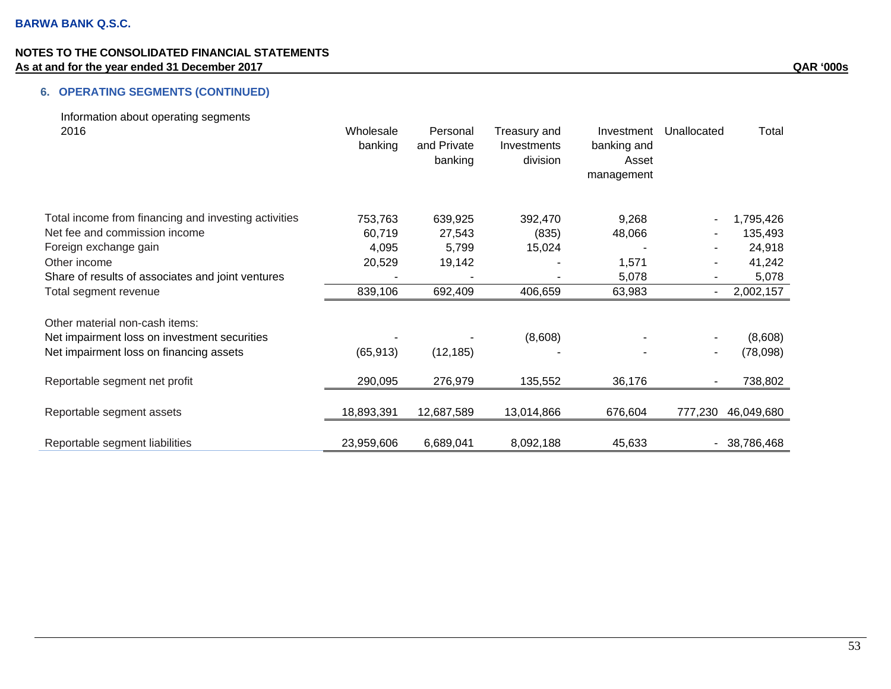# **6. OPERATING SEGMENTS (CONTINUED)**

| Information about operating segments                 |            |             |              |             |             |               |
|------------------------------------------------------|------------|-------------|--------------|-------------|-------------|---------------|
| 2016                                                 | Wholesale  | Personal    | Treasury and | Investment  | Unallocated | Total         |
|                                                      | banking    | and Private | Investments  | banking and |             |               |
|                                                      |            | banking     | division     | Asset       |             |               |
|                                                      |            |             |              | management  |             |               |
| Total income from financing and investing activities | 753,763    | 639,925     | 392,470      | 9,268       |             | 1,795,426     |
| Net fee and commission income                        | 60,719     | 27,543      | (835)        | 48,066      |             | 135,493       |
| Foreign exchange gain                                | 4,095      | 5,799       | 15,024       |             |             | 24,918        |
| Other income                                         | 20,529     | 19,142      |              | 1,571       |             | 41,242        |
| Share of results of associates and joint ventures    |            |             |              | 5,078       |             | 5,078         |
| Total segment revenue                                | 839,106    | 692,409     | 406,659      | 63,983      |             | 2,002,157     |
| Other material non-cash items:                       |            |             |              |             |             |               |
| Net impairment loss on investment securities         |            |             | (8,608)      |             |             | (8,608)       |
| Net impairment loss on financing assets              | (65, 913)  | (12, 185)   |              |             |             | (78,098)      |
| Reportable segment net profit                        | 290,095    | 276,979     | 135,552      | 36,176      |             | 738,802       |
| Reportable segment assets                            | 18,893,391 | 12,687,589  | 13,014,866   | 676,604     | 777,230     | 46,049,680    |
| Reportable segment liabilities                       | 23,959,606 | 6,689,041   | 8,092,188    | 45,633      |             | $-38,786,468$ |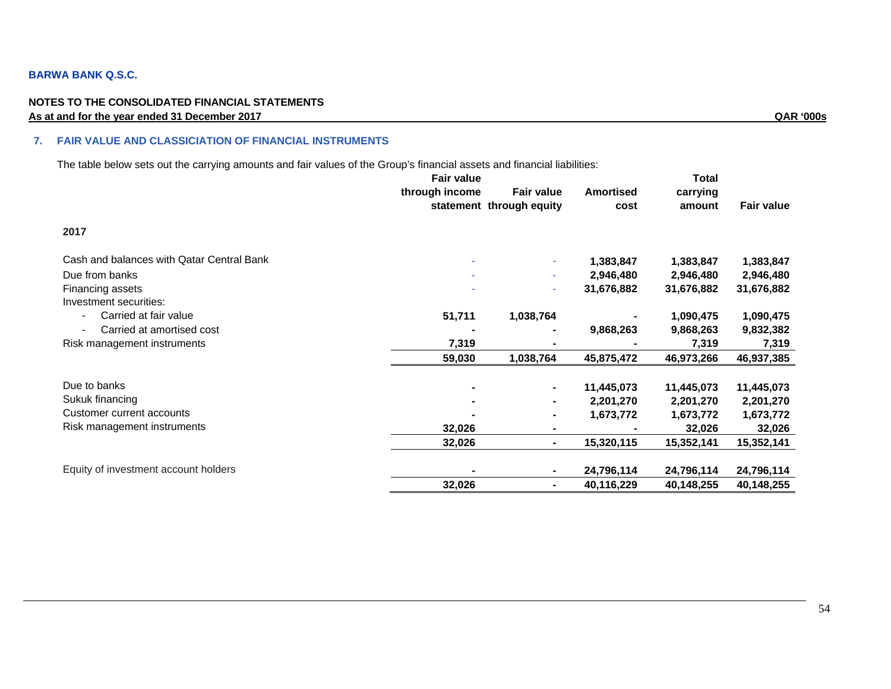### **BARWA BANK Q.S.C.**

#### **NOTES TO THE CONSOLIDATED FINANCIAL STATEMENTS As at and for the year ended 31 December 2017 QAR '000s**

#### **7. FAIR VALUE AND CLASSICIATION OF FINANCIAL INSTRUMENTS**

The table below sets out the carrying amounts and fair values of the Group's financial assets and financial liabilities:

| through income<br><b>Fair value</b><br><b>Amortised</b><br>carrying<br>statement through equity<br><b>Fair value</b><br>cost<br>amount<br>2017<br>Cash and balances with Qatar Central Bank<br>1,383,847<br>1,383,847<br>1,383,847<br>÷<br>Due from banks<br>2,946,480<br>2,946,480<br>2,946,480<br>÷<br>31,676,882<br>Financing assets<br>31,676,882<br>31,676,882<br>$\sim$<br>Investment securities:<br>Carried at fair value<br>51,711<br>1,038,764<br>1,090,475<br>1,090,475<br>Carried at amortised cost<br>9,868,263<br>9,868,263<br>9,832,382<br>Risk management instruments<br>7,319<br>7,319<br>7,319<br>59,030<br>1,038,764<br>45,875,472<br>46,973,266<br>46,937,385<br>Due to banks<br>11,445,073<br>11,445,073<br>11,445,073<br>Sukuk financing<br>2,201,270<br>2,201,270<br>2,201,270<br>٠<br>Customer current accounts<br>1,673,772<br>1,673,772<br>1,673,772<br>٠<br>Risk management instruments<br>32,026<br>32,026<br>32,026<br>۰.<br>32,026<br>15,320,115<br>15,352,141<br>15,352,141<br>٠<br>Equity of investment account holders<br>24,796,114<br>24,796,114<br>24,796,114<br>٠<br>۰ | <b>Fair value</b> |            | <b>Total</b> |            |
|------------------------------------------------------------------------------------------------------------------------------------------------------------------------------------------------------------------------------------------------------------------------------------------------------------------------------------------------------------------------------------------------------------------------------------------------------------------------------------------------------------------------------------------------------------------------------------------------------------------------------------------------------------------------------------------------------------------------------------------------------------------------------------------------------------------------------------------------------------------------------------------------------------------------------------------------------------------------------------------------------------------------------------------------------------------------------------------------------------|-------------------|------------|--------------|------------|
|                                                                                                                                                                                                                                                                                                                                                                                                                                                                                                                                                                                                                                                                                                                                                                                                                                                                                                                                                                                                                                                                                                            |                   |            |              |            |
|                                                                                                                                                                                                                                                                                                                                                                                                                                                                                                                                                                                                                                                                                                                                                                                                                                                                                                                                                                                                                                                                                                            |                   |            |              |            |
|                                                                                                                                                                                                                                                                                                                                                                                                                                                                                                                                                                                                                                                                                                                                                                                                                                                                                                                                                                                                                                                                                                            |                   |            |              |            |
|                                                                                                                                                                                                                                                                                                                                                                                                                                                                                                                                                                                                                                                                                                                                                                                                                                                                                                                                                                                                                                                                                                            |                   |            |              |            |
|                                                                                                                                                                                                                                                                                                                                                                                                                                                                                                                                                                                                                                                                                                                                                                                                                                                                                                                                                                                                                                                                                                            |                   |            |              |            |
|                                                                                                                                                                                                                                                                                                                                                                                                                                                                                                                                                                                                                                                                                                                                                                                                                                                                                                                                                                                                                                                                                                            |                   |            |              |            |
|                                                                                                                                                                                                                                                                                                                                                                                                                                                                                                                                                                                                                                                                                                                                                                                                                                                                                                                                                                                                                                                                                                            |                   |            |              |            |
|                                                                                                                                                                                                                                                                                                                                                                                                                                                                                                                                                                                                                                                                                                                                                                                                                                                                                                                                                                                                                                                                                                            |                   |            |              |            |
|                                                                                                                                                                                                                                                                                                                                                                                                                                                                                                                                                                                                                                                                                                                                                                                                                                                                                                                                                                                                                                                                                                            |                   |            |              |            |
|                                                                                                                                                                                                                                                                                                                                                                                                                                                                                                                                                                                                                                                                                                                                                                                                                                                                                                                                                                                                                                                                                                            |                   |            |              |            |
|                                                                                                                                                                                                                                                                                                                                                                                                                                                                                                                                                                                                                                                                                                                                                                                                                                                                                                                                                                                                                                                                                                            |                   |            |              |            |
|                                                                                                                                                                                                                                                                                                                                                                                                                                                                                                                                                                                                                                                                                                                                                                                                                                                                                                                                                                                                                                                                                                            |                   |            |              |            |
|                                                                                                                                                                                                                                                                                                                                                                                                                                                                                                                                                                                                                                                                                                                                                                                                                                                                                                                                                                                                                                                                                                            |                   |            |              |            |
|                                                                                                                                                                                                                                                                                                                                                                                                                                                                                                                                                                                                                                                                                                                                                                                                                                                                                                                                                                                                                                                                                                            |                   |            |              |            |
|                                                                                                                                                                                                                                                                                                                                                                                                                                                                                                                                                                                                                                                                                                                                                                                                                                                                                                                                                                                                                                                                                                            |                   |            |              |            |
|                                                                                                                                                                                                                                                                                                                                                                                                                                                                                                                                                                                                                                                                                                                                                                                                                                                                                                                                                                                                                                                                                                            |                   |            |              |            |
|                                                                                                                                                                                                                                                                                                                                                                                                                                                                                                                                                                                                                                                                                                                                                                                                                                                                                                                                                                                                                                                                                                            |                   |            |              |            |
|                                                                                                                                                                                                                                                                                                                                                                                                                                                                                                                                                                                                                                                                                                                                                                                                                                                                                                                                                                                                                                                                                                            | 32,026            | 40,116,229 | 40,148,255   | 40,148,255 |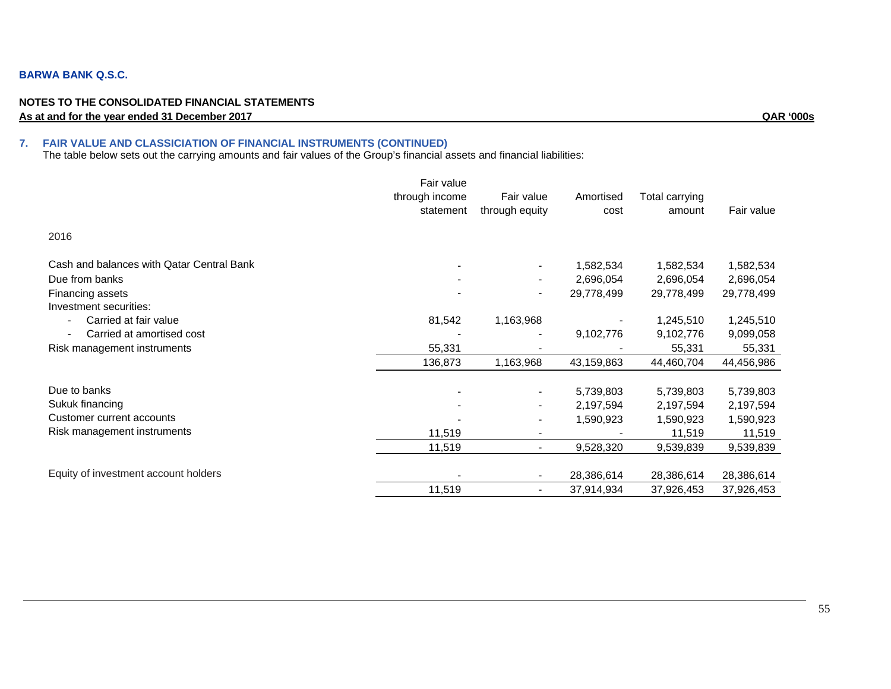#### **BARWA BANK Q.S.C.**

#### **NOTES TO THE CONSOLIDATED FINANCIAL STATEMENTS As at and for the year ended 31 December 2017 QAR '000s**

#### **7. FAIR VALUE AND CLASSICIATION OF FINANCIAL INSTRUMENTS (CONTINUED)**

The table below sets out the carrying amounts and fair values of the Group's financial assets and financial liabilities:

|                                           | Fair value     |                          |            |                |            |
|-------------------------------------------|----------------|--------------------------|------------|----------------|------------|
|                                           | through income | Fair value               | Amortised  | Total carrying |            |
|                                           | statement      | through equity           | cost       | amount         | Fair value |
| 2016                                      |                |                          |            |                |            |
| Cash and balances with Qatar Central Bank |                |                          | 1,582,534  | 1,582,534      | 1,582,534  |
| Due from banks                            |                |                          | 2,696,054  | 2,696,054      | 2,696,054  |
| Financing assets                          |                | -                        | 29,778,499 | 29,778,499     | 29,778,499 |
| Investment securities:                    |                |                          |            |                |            |
| Carried at fair value                     | 81,542         | 1,163,968                |            | 1,245,510      | 1,245,510  |
| Carried at amortised cost                 |                |                          | 9,102,776  | 9,102,776      | 9,099,058  |
| Risk management instruments               | 55,331         |                          |            | 55,331         | 55,331     |
|                                           | 136,873        | 1,163,968                | 43,159,863 | 44,460,704     | 44,456,986 |
| Due to banks                              |                |                          |            |                |            |
|                                           |                |                          | 5,739,803  | 5,739,803      | 5,739,803  |
| Sukuk financing                           |                | -                        | 2,197,594  | 2,197,594      | 2,197,594  |
| Customer current accounts                 |                | -                        | 1,590,923  | 1,590,923      | 1,590,923  |
| Risk management instruments               | 11,519         | -                        |            | 11,519         | 11,519     |
|                                           | 11,519         | $\blacksquare$           | 9,528,320  | 9,539,839      | 9,539,839  |
|                                           |                |                          |            |                |            |
| Equity of investment account holders      |                |                          | 28,386,614 | 28,386,614     | 28,386,614 |
|                                           | 11,519         | $\overline{\phantom{0}}$ | 37,914,934 | 37,926,453     | 37,926,453 |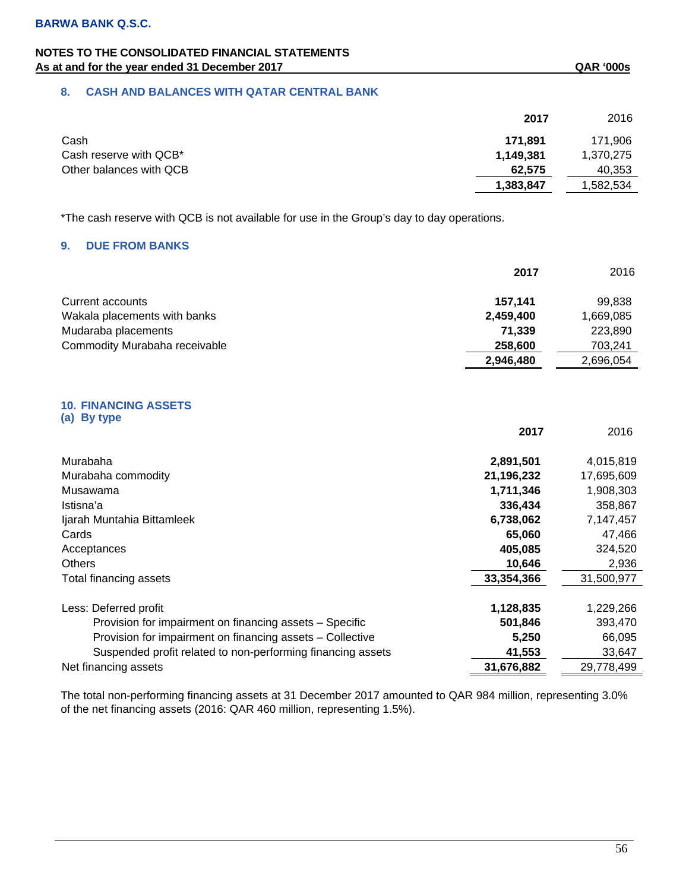## **NOTES TO THE CONSOLIDATED FINANCIAL STATEMENTS**  As at and for the year ended 31 December 2017 **As at and for the year ended 31 December 2017** As at and for the year ended 31 December 2017

## **8. CASH AND BALANCES WITH QATAR CENTRAL BANK**

|                         | 2017      | 2016      |
|-------------------------|-----------|-----------|
| Cash                    | 171.891   | 171.906   |
| Cash reserve with QCB*  | 1,149,381 | 1,370,275 |
| Other balances with QCB | 62.575    | 40,353    |
|                         | 1,383,847 | .582.534  |

\*The cash reserve with QCB is not available for use in the Group's day to day operations.

## **9. DUE FROM BANKS**

|                               | 2017      | 2016      |
|-------------------------------|-----------|-----------|
| Current accounts              | 157.141   | 99.838    |
| Wakala placements with banks  | 2,459,400 | 1,669,085 |
| Mudaraba placements           | 71.339    | 223,890   |
| Commodity Murabaha receivable | 258,600   | 703.241   |
|                               | 2,946,480 | 2,696,054 |

#### **10. FINANCING ASSETS (a) By type**

|                                                             | 2017       | 2016       |
|-------------------------------------------------------------|------------|------------|
| Murabaha                                                    | 2,891,501  | 4,015,819  |
| Murabaha commodity                                          | 21,196,232 | 17,695,609 |
| Musawama                                                    | 1,711,346  | 1,908,303  |
| Istisna'a                                                   | 336,434    | 358,867    |
| Ijarah Muntahia Bittamleek                                  | 6,738,062  | 7,147,457  |
| Cards                                                       | 65,060     | 47,466     |
| Acceptances                                                 | 405,085    | 324,520    |
| <b>Others</b>                                               | 10,646     | 2,936      |
| Total financing assets                                      | 33,354,366 | 31,500,977 |
|                                                             |            |            |
| Less: Deferred profit                                       | 1,128,835  | 1,229,266  |
| Provision for impairment on financing assets - Specific     | 501,846    | 393,470    |
| Provision for impairment on financing assets - Collective   | 5,250      | 66,095     |
| Suspended profit related to non-performing financing assets | 41,553     | 33,647     |
| Net financing assets                                        | 31,676,882 | 29,778,499 |

The total non-performing financing assets at 31 December 2017 amounted to QAR 984 million, representing 3.0% of the net financing assets (2016: QAR 460 million, representing 1.5%).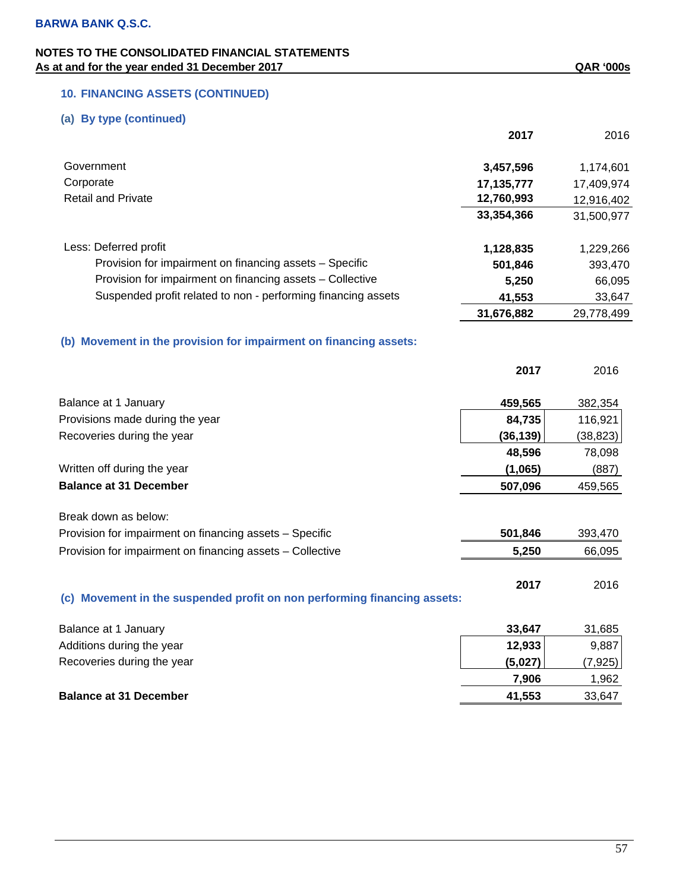# **10. FINANCING ASSETS (CONTINUED)**

## **(a) By type (continued)**

|                                                                          | 2017         | 2016       |
|--------------------------------------------------------------------------|--------------|------------|
| Government                                                               | 3,457,596    | 1,174,601  |
| Corporate                                                                | 17, 135, 777 | 17,409,974 |
| <b>Retail and Private</b>                                                | 12,760,993   | 12,916,402 |
|                                                                          | 33,354,366   | 31,500,977 |
| Less: Deferred profit                                                    | 1,128,835    | 1,229,266  |
| Provision for impairment on financing assets - Specific                  | 501,846      | 393,470    |
| Provision for impairment on financing assets - Collective                | 5,250        | 66,095     |
| Suspended profit related to non - performing financing assets            | 41,553       | 33,647     |
|                                                                          | 31,676,882   | 29,778,499 |
| (b) Movement in the provision for impairment on financing assets:        |              |            |
|                                                                          | 2017         | 2016       |
| Balance at 1 January                                                     | 459,565      | 382,354    |
| Provisions made during the year                                          | 84,735       | 116,921    |
| Recoveries during the year                                               | (36, 139)    | (38, 823)  |
|                                                                          | 48,596       | 78,098     |
| Written off during the year                                              | (1,065)      | (887)      |
| <b>Balance at 31 December</b>                                            | 507,096      | 459,565    |
| Break down as below:                                                     |              |            |
| Provision for impairment on financing assets - Specific                  | 501,846      | 393,470    |
| Provision for impairment on financing assets - Collective                | 5,250        | 66,095     |
| (c) Movement in the suspended profit on non performing financing assets: | 2017         | 2016       |
| Balance at 1 January                                                     | 33,647       | 31,685     |
| Additions during the year                                                | 12,933       | 9,887      |
|                                                                          |              |            |

| Recoveries during the year    | (5,027) | (7,925) |
|-------------------------------|---------|---------|
|                               | 7.906   | .962    |
| <b>Balance at 31 December</b> | 41,553  | 33,647  |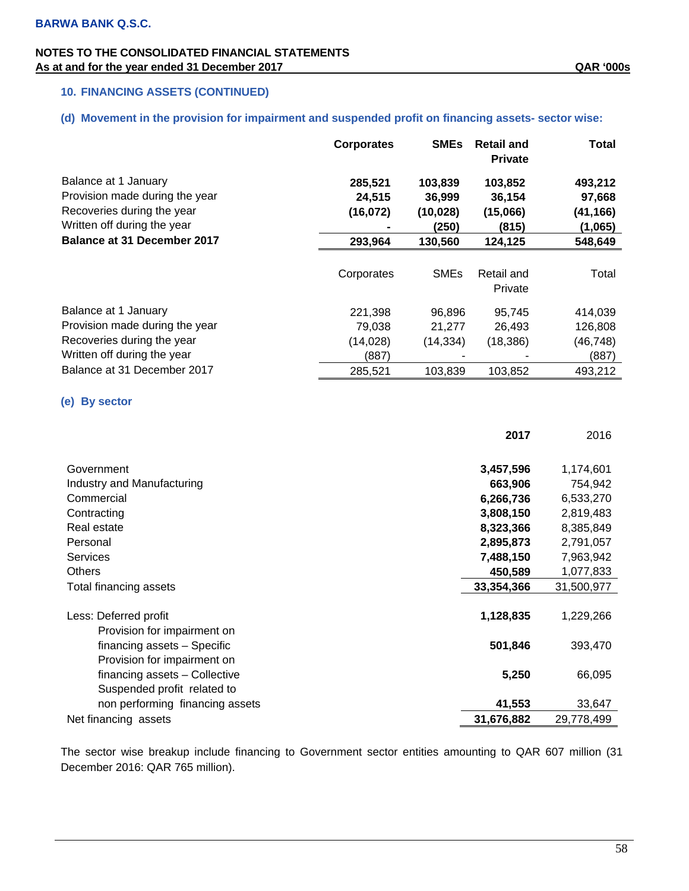## **10. FINANCING ASSETS (CONTINUED)**

## **(d) Movement in the provision for impairment and suspended profit on financing assets- sector wise:**

|                                                                                                                     | <b>Corporates</b>              | <b>SMEs</b>                             | <b>Retail and</b><br><b>Private</b>    | Total                                    |
|---------------------------------------------------------------------------------------------------------------------|--------------------------------|-----------------------------------------|----------------------------------------|------------------------------------------|
| Balance at 1 January<br>Provision made during the year<br>Recoveries during the year<br>Written off during the year | 285,521<br>24,515<br>(16, 072) | 103,839<br>36,999<br>(10, 028)<br>(250) | 103,852<br>36,154<br>(15,066)<br>(815) | 493,212<br>97,668<br>(41,166)<br>(1,065) |
| Balance at 31 December 2017                                                                                         | 293,964                        | 130,560                                 | 124,125                                | 548,649                                  |
|                                                                                                                     | Corporates                     | <b>SMEs</b>                             | Retail and<br>Private                  | Total                                    |
| Balance at 1 January                                                                                                | 221,398                        | 96,896                                  | 95,745                                 | 414,039                                  |
| Provision made during the year                                                                                      | 79,038                         | 21,277                                  | 26,493                                 | 126,808                                  |
| Recoveries during the year                                                                                          | (14,028)                       | (14, 334)                               | (18, 386)                              | (46,748)                                 |
| Written off during the year                                                                                         | (887)                          |                                         |                                        | (887)                                    |
| Balance at 31 December 2017                                                                                         | 285,521                        | 103,839                                 | 103,852                                | 493,212                                  |

## **(e) By sector**

|                                 | 2017       | 2016       |
|---------------------------------|------------|------------|
|                                 |            |            |
| Government                      | 3,457,596  | 1,174,601  |
| Industry and Manufacturing      | 663,906    | 754,942    |
| Commercial                      | 6,266,736  | 6,533,270  |
| Contracting                     | 3,808,150  | 2,819,483  |
| Real estate                     | 8,323,366  | 8,385,849  |
| Personal                        | 2,895,873  | 2,791,057  |
| <b>Services</b>                 | 7,488,150  | 7,963,942  |
| <b>Others</b>                   | 450,589    | 1,077,833  |
| Total financing assets          | 33,354,366 | 31,500,977 |
|                                 |            |            |
| Less: Deferred profit           | 1,128,835  | 1,229,266  |
| Provision for impairment on     |            |            |
| financing assets - Specific     | 501,846    | 393,470    |
| Provision for impairment on     |            |            |
| financing assets - Collective   | 5,250      | 66,095     |
| Suspended profit related to     |            |            |
| non performing financing assets | 41,553     | 33,647     |
| Net financing assets            | 31,676,882 | 29,778,499 |

The sector wise breakup include financing to Government sector entities amounting to QAR 607 million (31 December 2016: QAR 765 million).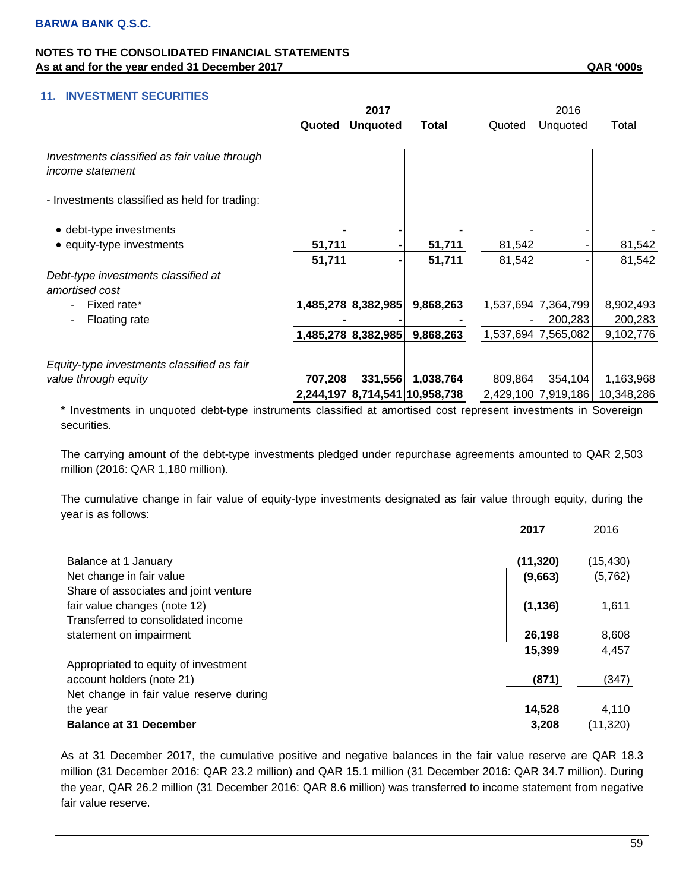## **11. INVESTMENT SECURITIES**

|                                                                         | 2017    |                     |                                | 2016    |                     |            |
|-------------------------------------------------------------------------|---------|---------------------|--------------------------------|---------|---------------------|------------|
|                                                                         | Quoted  | <b>Unquoted</b>     | Total                          | Quoted  | Unquoted            | Total      |
| Investments classified as fair value through<br><i>income statement</i> |         |                     |                                |         |                     |            |
| - Investments classified as held for trading:                           |         |                     |                                |         |                     |            |
| • debt-type investments                                                 |         |                     |                                |         |                     |            |
| • equity-type investments                                               | 51,711  |                     | 51,711                         | 81,542  |                     | 81,542     |
|                                                                         | 51,711  |                     | 51,711                         | 81,542  |                     | 81,542     |
| Debt-type investments classified at<br>amortised cost                   |         |                     |                                |         |                     |            |
| Fixed rate*<br>٠                                                        |         | 1,485,278 8,382,985 | 9,868,263                      |         | 1,537,694 7,364,799 | 8,902,493  |
| Floating rate<br>$\overline{\phantom{a}}$                               |         |                     |                                |         | 200,283             | 200,283    |
|                                                                         |         | 1,485,278 8,382,985 | 9,868,263                      |         | 1,537,694 7,565,082 | 9,102,776  |
| Equity-type investments classified as fair                              |         |                     |                                |         |                     |            |
| value through equity                                                    | 707,208 | 331,556             | 1,038,764                      | 809,864 | 354,104             | 1,163,968  |
|                                                                         |         |                     | 2,244,197 8,714,541 10,958,738 |         | 2,429,100 7,919,186 | 10,348,286 |

\* Investments in unquoted debt-type instruments classified at amortised cost represent investments in Sovereign securities.

The carrying amount of the debt-type investments pledged under repurchase agreements amounted to QAR 2,503 million (2016: QAR 1,180 million).

The cumulative change in fair value of equity-type investments designated as fair value through equity, during the year is as follows:

|                                         | 2017     | 2016      |
|-----------------------------------------|----------|-----------|
|                                         |          |           |
| Balance at 1 January                    | (11,320) | (15, 430) |
| Net change in fair value                | (9,663)  | (5,762)   |
| Share of associates and joint venture   |          |           |
| fair value changes (note 12)            | (1, 136) | 1,611     |
| Transferred to consolidated income      |          |           |
| statement on impairment                 | 26,198   | 8,608     |
|                                         | 15,399   | 4,457     |
| Appropriated to equity of investment    |          |           |
| account holders (note 21)               | (871)    | (347)     |
| Net change in fair value reserve during |          |           |
| the year                                | 14,528   | 4,110     |
| <b>Balance at 31 December</b>           | 3,208    | (11, 320) |

As at 31 December 2017, the cumulative positive and negative balances in the fair value reserve are QAR 18.3 million (31 December 2016: QAR 23.2 million) and QAR 15.1 million (31 December 2016: QAR 34.7 million). During the year, QAR 26.2 million (31 December 2016: QAR 8.6 million) was transferred to income statement from negative fair value reserve.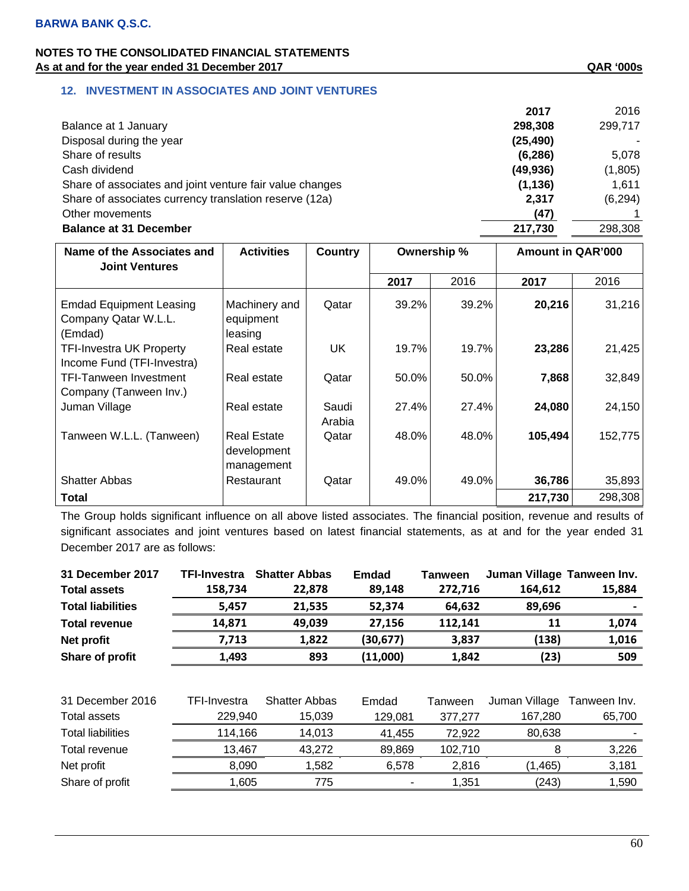## **12. INVESTMENT IN ASSOCIATES AND JOINT VENTURES**

|                                                          | 2017      | 2016     |
|----------------------------------------------------------|-----------|----------|
| Balance at 1 January                                     | 298,308   | 299,717  |
| Disposal during the year                                 | (25, 490) |          |
| Share of results                                         | (6, 286)  | 5,078    |
| Cash dividend                                            | (49, 936) | (1,805)  |
| Share of associates and joint venture fair value changes | (1, 136)  | 1,611    |
| Share of associates currency translation reserve (12a)   | 2,317     | (6, 294) |
| Other movements                                          | (47)      |          |
| <b>Balance at 31 December</b>                            | 217,730   | 298,308  |
|                                                          |           |          |

| Name of the Associates and<br><b>Joint Ventures</b>               | <b>Activities</b>                               | Country         | Ownership % |       | <b>Amount in QAR'000</b> |         |
|-------------------------------------------------------------------|-------------------------------------------------|-----------------|-------------|-------|--------------------------|---------|
|                                                                   |                                                 |                 | 2017        | 2016  | 2017                     | 2016    |
| <b>Emdad Equipment Leasing</b><br>Company Qatar W.L.L.<br>(Emdad) | Machinery and<br>equipment<br>leasing           | Qatar           | 39.2%       | 39.2% | 20,216                   | 31,216  |
| <b>TFI-Investra UK Property</b><br>Income Fund (TFI-Investra)     | Real estate                                     | UK              | 19.7%       | 19.7% | 23,286                   | 21,425  |
| <b>TFI-Tanween Investment</b><br>Company (Tanween Inv.)           | Real estate                                     | Qatar           | 50.0%       | 50.0% | 7,868                    | 32,849  |
| Juman Village                                                     | Real estate                                     | Saudi<br>Arabia | 27.4%       | 27.4% | 24,080                   | 24,150  |
| Tanween W.L.L. (Tanween)                                          | <b>Real Estate</b><br>development<br>management | Qatar           | 48.0%       | 48.0% | 105,494                  | 152,775 |
| <b>Shatter Abbas</b>                                              | Restaurant                                      | Qatar           | 49.0%       | 49.0% | 36,786                   | 35,893  |
| <b>Total</b>                                                      |                                                 |                 |             |       | 217,730                  | 298,308 |

The Group holds significant influence on all above listed associates. The financial position, revenue and results of significant associates and joint ventures based on latest financial statements, as at and for the year ended 31 December 2017 are as follows:

| TFI-Investra |                      | <b>Emdad</b>                             | Tanween |               |                                     |
|--------------|----------------------|------------------------------------------|---------|---------------|-------------------------------------|
| 158,734      | 22,878               | 89,148                                   | 272,716 | 164,612       | 15,884                              |
| 5,457        | 21,535               | 52,374                                   | 64,632  | 89,696        |                                     |
| 14,871       | 49,039               | 27,156                                   | 112,141 | 11            | 1,074                               |
| 7,713        | 1,822                | (30, 677)                                | 3,837   | (138)         | 1,016                               |
| 1,493        | 893                  | (11,000)                                 | 1,842   | (23)          | 509                                 |
|              |                      |                                          |         |               |                                     |
| TFI-Investra | <b>Shatter Abbas</b> | Emdad                                    | Tanween | Juman Village | Tanween Inv.                        |
| 229,940      | 15,039               | 129,081                                  | 377,277 | 167,280       | 65,700                              |
|              | 14,013               | 41,455                                   | 72,922  | 80,638        |                                     |
| 13,467       | 43,272               | 89,869                                   | 102,710 | 8             | 3,226                               |
|              | 1,582                | 6,578                                    | 2,816   | (1, 465)      | 3,181                               |
| 1,605        | 775                  |                                          | 1,351   |               | 1,590                               |
|              |                      | <b>Shatter Abbas</b><br>114,166<br>8,090 |         |               | Juman Village Tanween Inv.<br>(243) |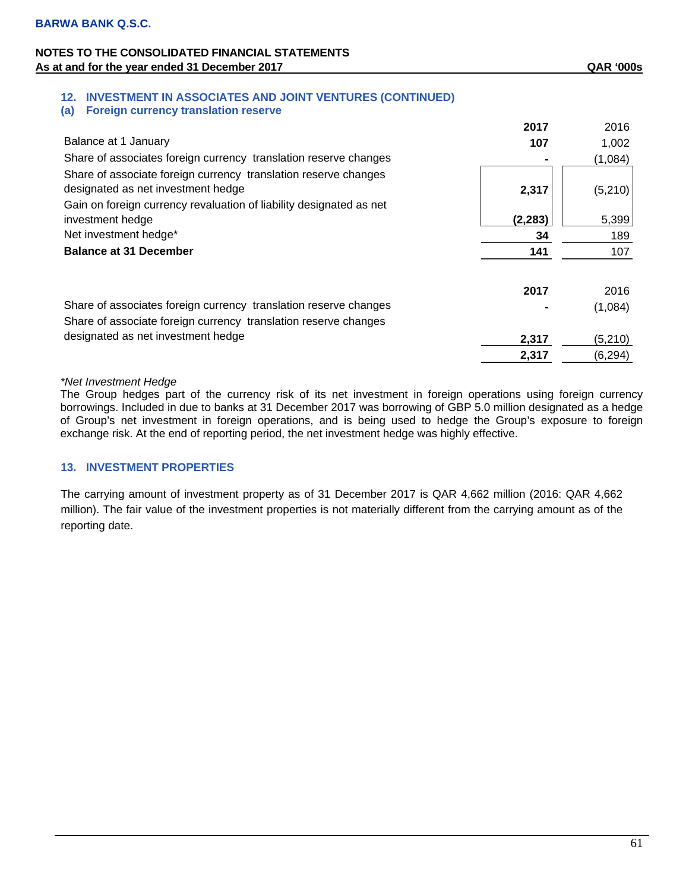# **12. INVESTMENT IN ASSOCIATES AND JOINT VENTURES (CONTINUED)**

| (a) |  |  | <b>Foreign currency translation reserve</b> |  |
|-----|--|--|---------------------------------------------|--|
|-----|--|--|---------------------------------------------|--|

|                                                                                                                                                                              | 2017     | 2016     |
|------------------------------------------------------------------------------------------------------------------------------------------------------------------------------|----------|----------|
| Balance at 1 January                                                                                                                                                         | 107      | 1,002    |
| Share of associates foreign currency translation reserve changes                                                                                                             |          | (1,084)  |
| Share of associate foreign currency translation reserve changes<br>designated as net investment hedge<br>Gain on foreign currency revaluation of liability designated as net | 2,317    | (5, 210) |
| investment hedge                                                                                                                                                             | (2, 283) | 5,399    |
| Net investment hedge*                                                                                                                                                        | 34       | 189      |
| <b>Balance at 31 December</b>                                                                                                                                                | 141      | 107      |
|                                                                                                                                                                              | 2017     | 2016     |
| Share of associates foreign currency translation reserve changes                                                                                                             |          | (1,084)  |
| Share of associate foreign currency translation reserve changes                                                                                                              |          |          |
| designated as net investment hedge                                                                                                                                           | 2,317    | (5, 210) |
|                                                                                                                                                                              | 2,317    | (6, 294) |

### *\*Net Investment Hedge*

The Group hedges part of the currency risk of its net investment in foreign operations using foreign currency borrowings. Included in due to banks at 31 December 2017 was borrowing of GBP 5.0 million designated as a hedge of Group's net investment in foreign operations, and is being used to hedge the Group's exposure to foreign exchange risk. At the end of reporting period, the net investment hedge was highly effective.

## **13. INVESTMENT PROPERTIES**

The carrying amount of investment property as of 31 December 2017 is QAR 4,662 million (2016: QAR 4,662 million). The fair value of the investment properties is not materially different from the carrying amount as of the reporting date.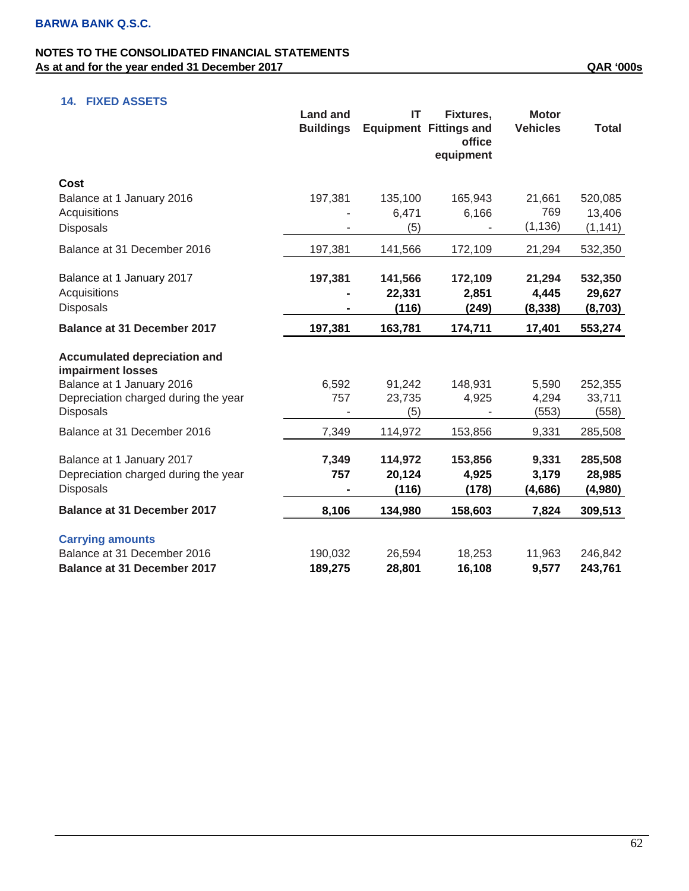# **14. FIXED ASSETS**

|                                                                                                                                            | <b>Land and</b><br><b>Buildings</b> | IT                         | Fixtures,<br><b>Equipment Fittings and</b><br>office<br>equipment | <b>Motor</b><br><b>Vehicles</b> | <b>Total</b>                  |
|--------------------------------------------------------------------------------------------------------------------------------------------|-------------------------------------|----------------------------|-------------------------------------------------------------------|---------------------------------|-------------------------------|
| Cost<br>Balance at 1 January 2016<br>Acquisitions<br><b>Disposals</b>                                                                      | 197,381                             | 135,100<br>6,471<br>(5)    | 165,943<br>6,166                                                  | 21,661<br>769<br>(1, 136)       | 520,085<br>13,406<br>(1, 141) |
| Balance at 31 December 2016                                                                                                                | 197,381                             | 141,566                    | 172,109                                                           | 21,294                          | 532,350                       |
| Balance at 1 January 2017<br>Acquisitions<br><b>Disposals</b>                                                                              | 197,381                             | 141,566<br>22,331<br>(116) | 172,109<br>2,851<br>(249)                                         | 21,294<br>4,445<br>(8, 338)     | 532,350<br>29,627<br>(8,703)  |
| <b>Balance at 31 December 2017</b>                                                                                                         | 197,381                             | 163,781                    | 174,711                                                           | 17,401                          | 553,274                       |
| Accumulated depreciation and<br>impairment losses<br>Balance at 1 January 2016<br>Depreciation charged during the year<br><b>Disposals</b> | 6,592<br>757                        | 91,242<br>23,735<br>(5)    | 148,931<br>4,925                                                  | 5,590<br>4,294<br>(553)         | 252,355<br>33,711<br>(558)    |
| Balance at 31 December 2016                                                                                                                | 7,349                               | 114,972                    | 153,856                                                           | 9,331                           | 285,508                       |
| Balance at 1 January 2017<br>Depreciation charged during the year<br><b>Disposals</b>                                                      | 7,349<br>757                        | 114,972<br>20,124<br>(116) | 153,856<br>4,925<br>(178)                                         | 9,331<br>3,179<br>(4,686)       | 285,508<br>28,985<br>(4,980)  |
| <b>Balance at 31 December 2017</b>                                                                                                         | 8,106                               | 134,980                    | 158,603                                                           | 7,824                           | 309,513                       |
| <b>Carrying amounts</b><br>Balance at 31 December 2016<br><b>Balance at 31 December 2017</b>                                               | 190,032<br>189,275                  | 26,594<br>28,801           | 18,253<br>16,108                                                  | 11,963<br>9,577                 | 246,842<br>243,761            |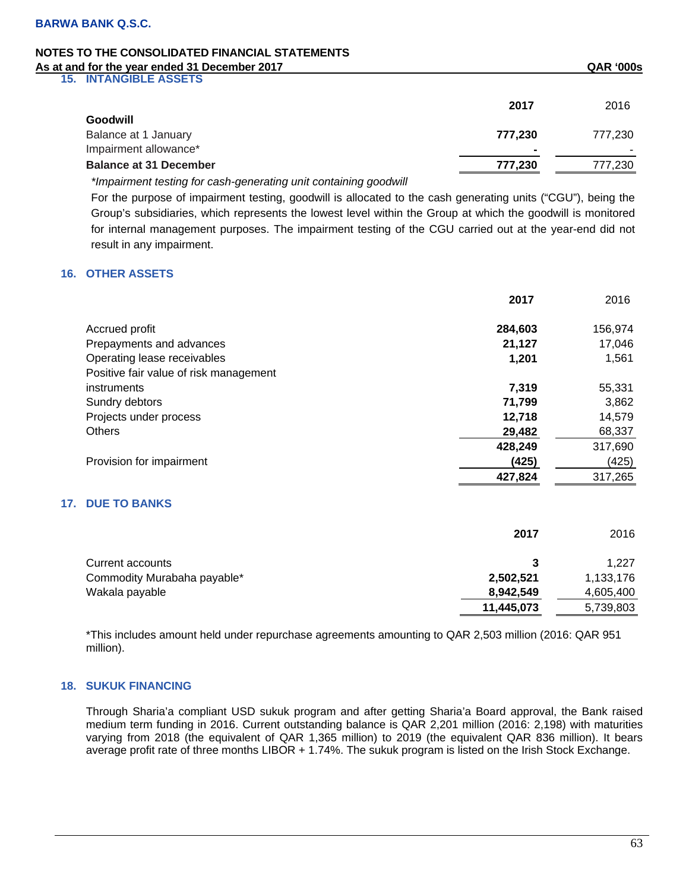**15. INTANGIBLE ASSETS** 

| $19.$ INTARGELAVULTV          |         |         |
|-------------------------------|---------|---------|
|                               | 2017    | 2016    |
| Goodwill                      |         |         |
| Balance at 1 January          | 777.230 | 777.230 |
| Impairment allowance*         | $\sim$  |         |
| <b>Balance at 31 December</b> | 777.230 | 777,230 |
|                               |         |         |

*\*Impairment testing for cash-generating unit containing goodwill* 

For the purpose of impairment testing, goodwill is allocated to the cash generating units ("CGU"), being the Group's subsidiaries, which represents the lowest level within the Group at which the goodwill is monitored for internal management purposes. The impairment testing of the CGU carried out at the year-end did not result in any impairment.

## **16. OTHER ASSETS**

**17.** 

|                                        | 2017    | 2016    |
|----------------------------------------|---------|---------|
| Accrued profit                         | 284,603 | 156,974 |
| Prepayments and advances               | 21,127  | 17,046  |
| Operating lease receivables            | 1,201   | 1,561   |
| Positive fair value of risk management |         |         |
| instruments                            | 7,319   | 55,331  |
| Sundry debtors                         | 71,799  | 3,862   |
| Projects under process                 | 12,718  | 14,579  |
| <b>Others</b>                          | 29,482  | 68,337  |
|                                        | 428,249 | 317,690 |
| Provision for impairment               | (425)   | (425)   |
|                                        | 427,824 | 317,265 |
| <b>17. DUE TO BANKS</b>                |         |         |
|                                        | 2017    | 2016    |

| Current accounts            |            | 1.227     |
|-----------------------------|------------|-----------|
| Commodity Murabaha payable* | 2,502,521  | 1,133,176 |
| Wakala payable              | 8,942,549  | 4,605,400 |
|                             | 11,445,073 | 5,739,803 |

\*This includes amount held under repurchase agreements amounting to QAR 2,503 million (2016: QAR 951 million).

## **18. SUKUK FINANCING**

Through Sharia'a compliant USD sukuk program and after getting Sharia'a Board approval, the Bank raised medium term funding in 2016. Current outstanding balance is QAR 2,201 million (2016: 2,198) with maturities varying from 2018 (the equivalent of QAR 1,365 million) to 2019 (the equivalent QAR 836 million). It bears average profit rate of three months LIBOR + 1.74%. The sukuk program is listed on the Irish Stock Exchange.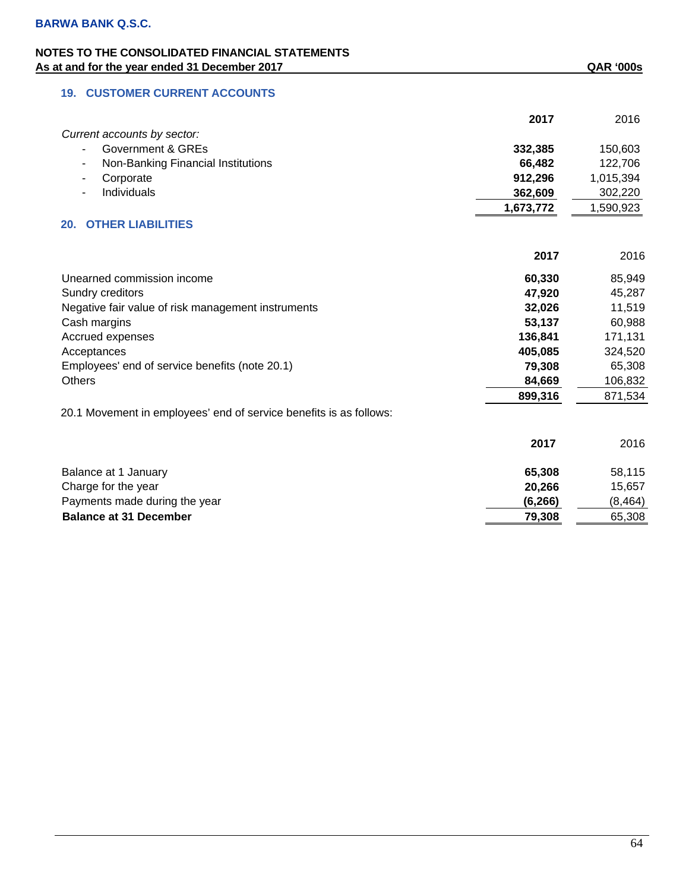# **19. CUSTOMER CURRENT ACCOUNTS**

|                                                                    | 2017      | 2016      |
|--------------------------------------------------------------------|-----------|-----------|
| Current accounts by sector:                                        |           |           |
| Government & GREs                                                  | 332,385   | 150,603   |
| Non-Banking Financial Institutions                                 | 66,482    | 122,706   |
| Corporate                                                          | 912,296   | 1,015,394 |
| Individuals                                                        | 362,609   | 302,220   |
|                                                                    | 1,673,772 | 1,590,923 |
| <b>OTHER LIABILITIES</b><br>20.                                    |           |           |
|                                                                    | 2017      | 2016      |
| Unearned commission income                                         | 60,330    | 85,949    |
| Sundry creditors                                                   | 47,920    | 45,287    |
| Negative fair value of risk management instruments                 | 32,026    | 11,519    |
| Cash margins                                                       | 53,137    | 60,988    |
| Accrued expenses                                                   | 136,841   | 171,131   |
| Acceptances                                                        | 405,085   | 324,520   |
| Employees' end of service benefits (note 20.1)                     | 79,308    | 65,308    |
| <b>Others</b>                                                      | 84,669    | 106,832   |
|                                                                    | 899,316   | 871,534   |
| 20.1 Movement in employees' end of service benefits is as follows: |           |           |
|                                                                    | 2017      | 2016      |
| Balance at 1 January                                               | 65,308    | 58,115    |
| Charge for the year                                                | 20,266    | 15,657    |
| Payments made during the year                                      | (6, 266)  | (8, 464)  |
| <b>Balance at 31 December</b>                                      | 79,308    | 65,308    |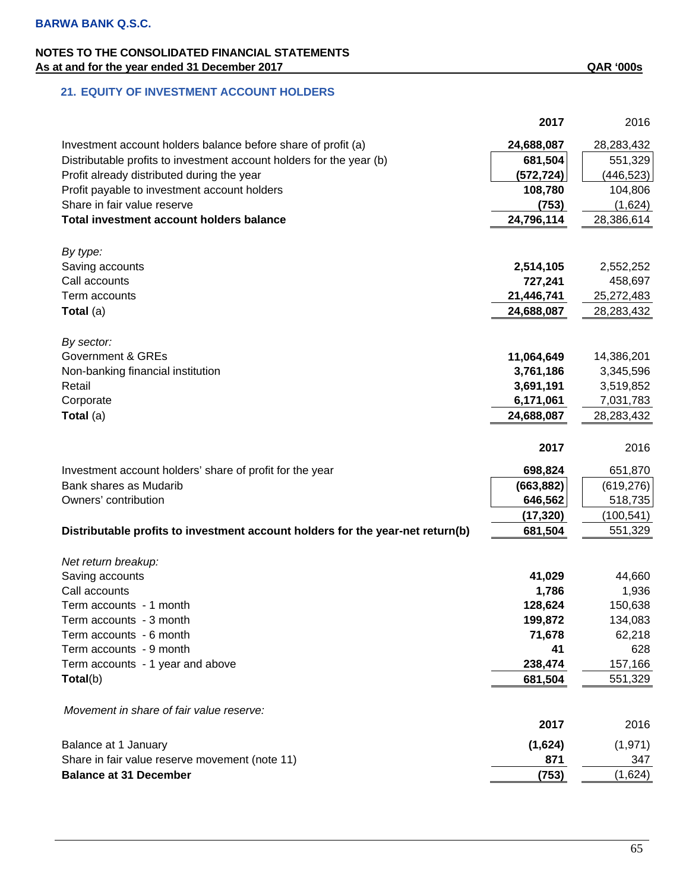## **21. EQUITY OF INVESTMENT ACCOUNT HOLDERS**

|                                                                                | 2017             | 2016          |
|--------------------------------------------------------------------------------|------------------|---------------|
| Investment account holders balance before share of profit (a)                  | 24,688,087       | 28,283,432    |
| Distributable profits to investment account holders for the year (b)           | 681,504          | 551,329       |
| Profit already distributed during the year                                     | (572, 724)       | (446, 523)    |
| Profit payable to investment account holders                                   | 108,780          | 104,806       |
| Share in fair value reserve                                                    | (753)            | (1,624)       |
| Total investment account holders balance                                       | 24,796,114       | 28,386,614    |
|                                                                                |                  |               |
| By type:                                                                       |                  |               |
| Saving accounts                                                                | 2,514,105        | 2,552,252     |
| Call accounts                                                                  | 727,241          | 458,697       |
| Term accounts                                                                  | 21,446,741       | 25,272,483    |
| Total (a)                                                                      | 24,688,087       | 28,283,432    |
|                                                                                |                  |               |
| By sector:                                                                     |                  |               |
| <b>Government &amp; GREs</b>                                                   | 11,064,649       | 14,386,201    |
| Non-banking financial institution                                              | 3,761,186        | 3,345,596     |
| Retail                                                                         | 3,691,191        | 3,519,852     |
| Corporate                                                                      | 6,171,061        | 7,031,783     |
| Total (a)                                                                      | 24,688,087       | 28,283,432    |
|                                                                                |                  |               |
|                                                                                | 2017             | 2016          |
| Investment account holders' share of profit for the year                       | 698,824          | 651,870       |
| Bank shares as Mudarib                                                         | (663, 882)       | (619, 276)    |
| Owners' contribution                                                           | 646,562          | 518,735       |
|                                                                                | (17, 320)        | (100, 541)    |
| Distributable profits to investment account holders for the year-net return(b) | 681,504          | 551,329       |
|                                                                                |                  |               |
| Net return breakup:                                                            |                  |               |
| Saving accounts                                                                | 41,029           | 44,660        |
| Call accounts                                                                  | 1,786<br>128,624 | 1,936         |
| Term accounts - 1 month                                                        |                  | 150,638       |
| Term accounts - 3 month                                                        | 199,872          | 134,083       |
| Term accounts - 6 month<br>Term accounts - 9 month                             | 71,678<br>41     | 62,218<br>628 |
|                                                                                | 238,474          | 157,166       |
| Term accounts - 1 year and above                                               |                  |               |
| Total(b)                                                                       | 681,504          | 551,329       |
| Movement in share of fair value reserve:                                       |                  |               |
|                                                                                | 2017             | 2016          |
| Balance at 1 January                                                           | (1,624)          | (1, 971)      |
| Share in fair value reserve movement (note 11)                                 | 871              | 347           |
| <b>Balance at 31 December</b>                                                  | (753)            | (1,624)       |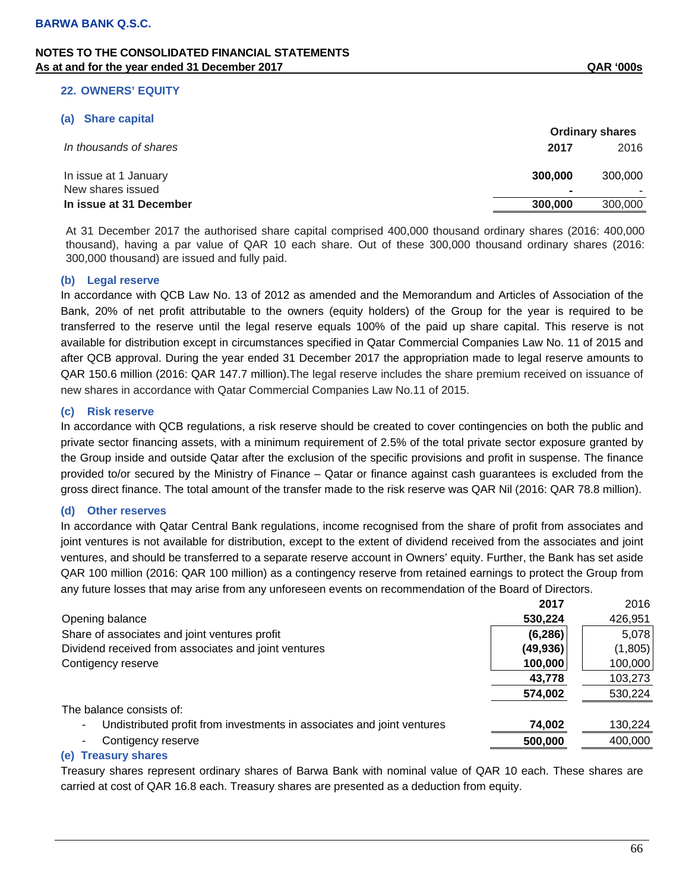#### **22. OWNERS' EQUITY**

#### **(a) Share capital**

|                         | <b>Ordinary shares</b> |         |  |
|-------------------------|------------------------|---------|--|
| In thousands of shares  | 2017                   | 2016    |  |
| In issue at 1 January   | 300,000                | 300,000 |  |
| New shares issued       | -                      |         |  |
| In issue at 31 December | 300,000                | 300,000 |  |

At 31 December 2017 the authorised share capital comprised 400,000 thousand ordinary shares (2016: 400,000 thousand), having a par value of QAR 10 each share. Out of these 300,000 thousand ordinary shares (2016: 300,000 thousand) are issued and fully paid.

### **(b) Legal reserve**

In accordance with QCB Law No. 13 of 2012 as amended and the Memorandum and Articles of Association of the Bank, 20% of net profit attributable to the owners (equity holders) of the Group for the year is required to be transferred to the reserve until the legal reserve equals 100% of the paid up share capital. This reserve is not available for distribution except in circumstances specified in Qatar Commercial Companies Law No. 11 of 2015 and after QCB approval. During the year ended 31 December 2017 the appropriation made to legal reserve amounts to QAR 150.6 million (2016: QAR 147.7 million).The legal reserve includes the share premium received on issuance of new shares in accordance with Qatar Commercial Companies Law No.11 of 2015.

### **(c) Risk reserve**

In accordance with QCB regulations, a risk reserve should be created to cover contingencies on both the public and private sector financing assets, with a minimum requirement of 2.5% of the total private sector exposure granted by the Group inside and outside Qatar after the exclusion of the specific provisions and profit in suspense. The finance provided to/or secured by the Ministry of Finance – Qatar or finance against cash guarantees is excluded from the gross direct finance. The total amount of the transfer made to the risk reserve was QAR Nil (2016: QAR 78.8 million).

#### **(d) Other reserves**

In accordance with Qatar Central Bank regulations, income recognised from the share of profit from associates and joint ventures is not available for distribution, except to the extent of dividend received from the associates and joint ventures, and should be transferred to a separate reserve account in Owners' equity. Further, the Bank has set aside QAR 100 million (2016: QAR 100 million) as a contingency reserve from retained earnings to protect the Group from any future losses that may arise from any unforeseen events on recommendation of the Board of Directors.

|                                                                        | 2017      | 2016    |
|------------------------------------------------------------------------|-----------|---------|
| Opening balance                                                        | 530,224   | 426,951 |
| Share of associates and joint ventures profit                          | (6, 286)  | 5,078   |
| Dividend received from associates and joint ventures                   | (49, 936) | (1,805) |
| Contigency reserve                                                     | 100,000   | 100,000 |
|                                                                        | 43,778    | 103,273 |
|                                                                        | 574,002   | 530,224 |
| The balance consists of:                                               |           |         |
| Undistributed profit from investments in associates and joint ventures | 74,002    | 130,224 |
| Contigency reserve                                                     | 500,000   | 400,000 |
|                                                                        |           |         |

### **(e) Treasury shares**

Treasury shares represent ordinary shares of Barwa Bank with nominal value of QAR 10 each. These shares are carried at cost of QAR 16.8 each. Treasury shares are presented as a deduction from equity.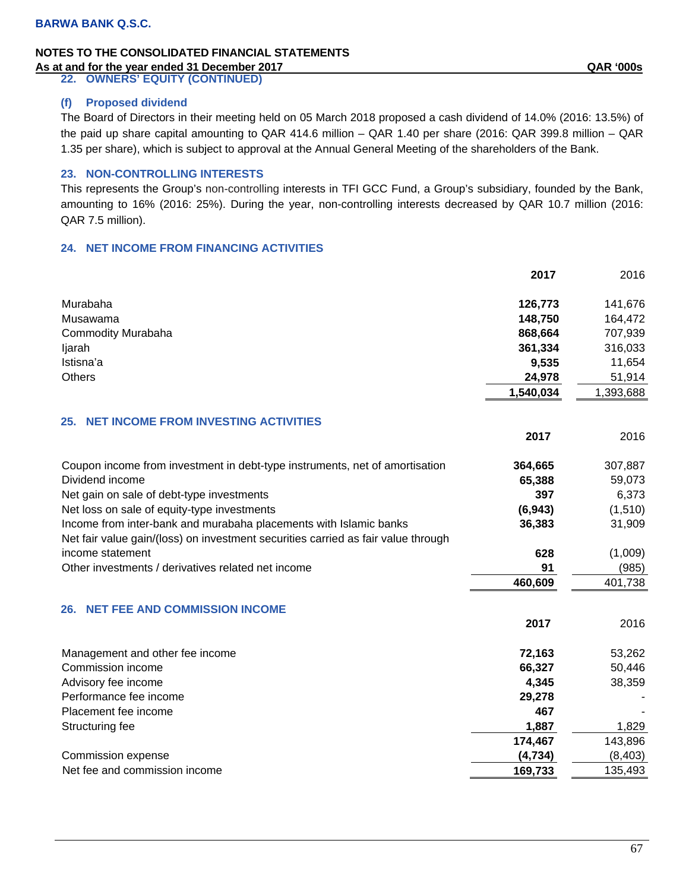**22. OWNERS' EQUITY (CONTINUED)** 

## **(f) Proposed dividend**

The Board of Directors in their meeting held on 05 March 2018 proposed a cash dividend of 14.0% (2016: 13.5%) of the paid up share capital amounting to QAR 414.6 million – QAR 1.40 per share (2016: QAR 399.8 million – QAR 1.35 per share), which is subject to approval at the Annual General Meeting of the shareholders of the Bank.

## **23. NON-CONTROLLING INTERESTS**

This represents the Group's non-controlling interests in TFI GCC Fund, a Group's subsidiary, founded by the Bank, amounting to 16% (2016: 25%). During the year, non-controlling interests decreased by QAR 10.7 million (2016: QAR 7.5 million).

## **24. NET INCOME FROM FINANCING ACTIVITIES**

|                                                                                   | 2017      | 2016      |
|-----------------------------------------------------------------------------------|-----------|-----------|
| Murabaha                                                                          | 126,773   | 141,676   |
| Musawama                                                                          | 148,750   | 164,472   |
| <b>Commodity Murabaha</b>                                                         | 868,664   | 707,939   |
| ljarah                                                                            | 361,334   | 316,033   |
| Istisna'a                                                                         | 9,535     | 11,654    |
| <b>Others</b>                                                                     | 24,978    | 51,914    |
|                                                                                   | 1,540,034 | 1,393,688 |
| <b>NET INCOME FROM INVESTING ACTIVITIES</b><br>25.                                |           |           |
|                                                                                   | 2017      | 2016      |
| Coupon income from investment in debt-type instruments, net of amortisation       | 364,665   | 307,887   |
| Dividend income                                                                   | 65,388    | 59,073    |
| Net gain on sale of debt-type investments                                         | 397       | 6,373     |
| Net loss on sale of equity-type investments                                       | (6, 943)  | (1, 510)  |
| Income from inter-bank and murabaha placements with Islamic banks                 | 36,383    | 31,909    |
| Net fair value gain/(loss) on investment securities carried as fair value through |           |           |
| income statement                                                                  | 628       | (1,009)   |
| Other investments / derivatives related net income                                | 91        | (985)     |
|                                                                                   | 460,609   | 401,738   |
| 26. NET FEE AND COMMISSION INCOME                                                 |           |           |
|                                                                                   | 2017      | 2016      |
| Management and other fee income                                                   | 72,163    | 53,262    |
| Commission income                                                                 | 66,327    | 50,446    |
| Advisory fee income                                                               | 4,345     | 38,359    |
| Performance fee income                                                            | 29,278    |           |
| Placement fee income                                                              | 467       |           |
| Structuring fee                                                                   | 1,887     | 1,829     |
|                                                                                   | 174,467   | 143,896   |
| Commission expense                                                                | (4, 734)  | (8, 403)  |
| Net fee and commission income                                                     | 169,733   | 135,493   |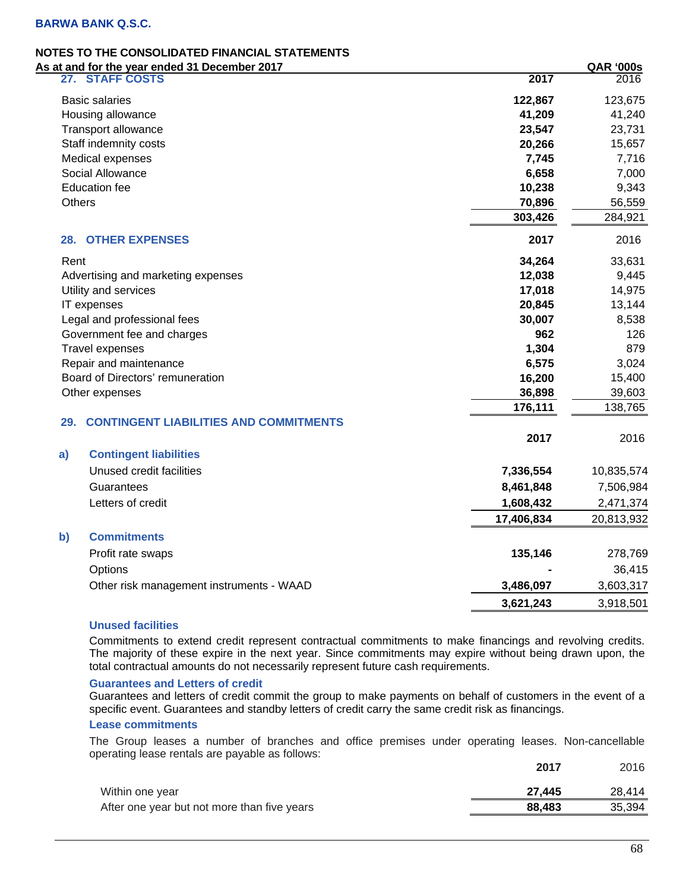| <u>at and for the year ended 31 December 2017</u>    |            | <u>QAR '000s</u> |
|------------------------------------------------------|------------|------------------|
| 27. STAFF COSTS                                      | 2017       | 2016             |
| <b>Basic salaries</b>                                | 122,867    | 123,675          |
| Housing allowance                                    | 41,209     | 41,240           |
| <b>Transport allowance</b>                           | 23,547     | 23,731           |
| Staff indemnity costs                                | 20,266     | 15,657           |
| Medical expenses                                     | 7,745      | 7,716            |
| Social Allowance                                     | 6,658      | 7,000            |
| <b>Education fee</b>                                 | 10,238     | 9,343            |
| <b>Others</b>                                        | 70,896     | 56,559           |
|                                                      | 303,426    | 284,921          |
| <b>28. OTHER EXPENSES</b>                            | 2017       | 2016             |
| Rent                                                 | 34,264     | 33,631           |
| Advertising and marketing expenses                   | 12,038     | 9,445            |
| Utility and services                                 | 17,018     | 14,975           |
| IT expenses                                          | 20,845     | 13,144           |
| Legal and professional fees                          | 30,007     | 8,538            |
| Government fee and charges                           | 962        | 126              |
| Travel expenses                                      | 1,304      | 879              |
| Repair and maintenance                               | 6,575      | 3,024            |
| Board of Directors' remuneration                     | 16,200     | 15,400           |
| Other expenses                                       | 36,898     | 39,603           |
|                                                      | 176,111    | 138,765          |
| <b>CONTINGENT LIABILITIES AND COMMITMENTS</b><br>29. |            |                  |
|                                                      | 2017       | 2016             |
| <b>Contingent liabilities</b><br>a)                  |            |                  |
| Unused credit facilities                             | 7,336,554  | 10,835,574       |
| Guarantees                                           | 8,461,848  | 7,506,984        |
| Letters of credit                                    | 1,608,432  | 2,471,374        |
|                                                      | 17,406,834 | 20,813,932       |
| b)<br><b>Commitments</b>                             |            |                  |
| Profit rate swaps                                    | 135,146    | 278,769          |
| Options                                              |            | 36,415           |
| Other risk management instruments - WAAD             | 3,486,097  | 3,603,317        |
|                                                      | 3,621,243  | 3,918,501        |

## **Unused facilities**

Commitments to extend credit represent contractual commitments to make financings and revolving credits. The majority of these expire in the next year. Since commitments may expire without being drawn upon, the total contractual amounts do not necessarily represent future cash requirements.

### **Guarantees and Letters of credit**

Guarantees and letters of credit commit the group to make payments on behalf of customers in the event of a specific event. Guarantees and standby letters of credit carry the same credit risk as financings.

### **Lease commitments**

The Group leases a number of branches and office premises under operating leases. Non-cancellable operating lease rentals are payable as follows:

|                                             | 2017   | 2016   |
|---------------------------------------------|--------|--------|
| Within one year                             | 27.445 | 28.414 |
| After one year but not more than five years | 88.483 | 35.394 |
|                                             |        |        |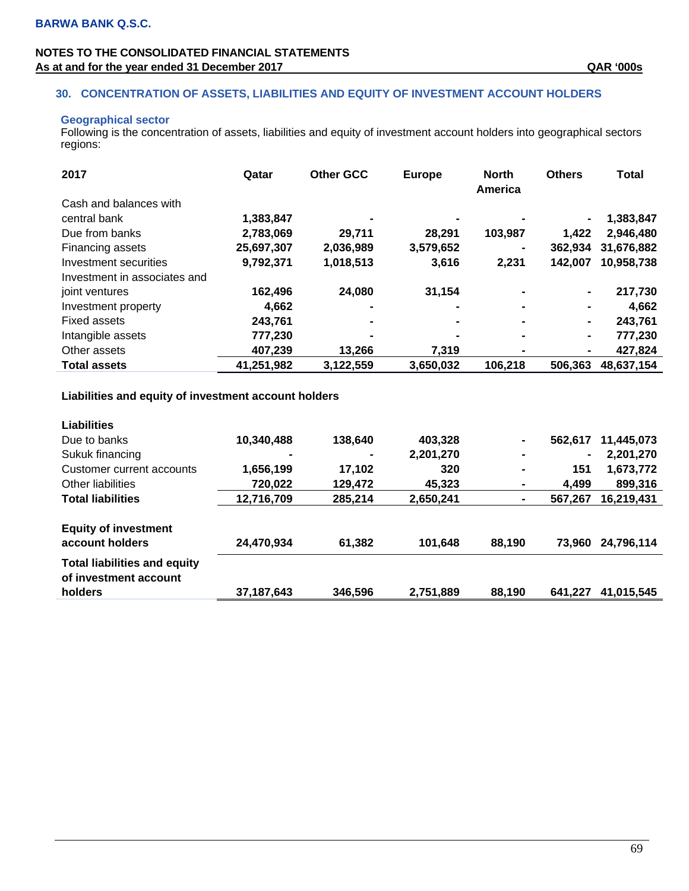## **NOTES TO THE CONSOLIDATED FINANCIAL STATEMENTS**  As at and for the year ended 31 December 2017 **As at and for the year ended 31 December 2017** As at and for the year ended 31 December 2017

## **30. CONCENTRATION OF ASSETS, LIABILITIES AND EQUITY OF INVESTMENT ACCOUNT HOLDERS**

## **Geographical sector**

Following is the concentration of assets, liabilities and equity of investment account holders into geographical sectors regions:

| 2017                         | Qatar      | <b>Other GCC</b> | <b>Europe</b> | <b>North</b><br>America | <b>Others</b>  | <b>Total</b> |
|------------------------------|------------|------------------|---------------|-------------------------|----------------|--------------|
| Cash and balances with       |            |                  |               |                         |                |              |
| central bank                 | 1,383,847  |                  |               |                         |                | 1,383,847    |
| Due from banks               | 2,783,069  | 29.711           | 28,291        | 103,987                 | 1,422          | 2,946,480    |
| Financing assets             | 25,697,307 | 2,036,989        | 3,579,652     |                         | 362,934        | 31,676,882   |
| Investment securities        | 9,792,371  | 1,018,513        | 3,616         | 2,231                   | 142,007        | 10,958,738   |
| Investment in associates and |            |                  |               |                         |                |              |
| joint ventures               | 162,496    | 24,080           | 31,154        |                         | $\blacksquare$ | 217,730      |
| Investment property          | 4,662      |                  |               |                         |                | 4,662        |
| Fixed assets                 | 243,761    |                  |               |                         | ۰              | 243,761      |
| Intangible assets            | 777,230    |                  |               |                         | $\blacksquare$ | 777,230      |
| Other assets                 | 407,239    | 13,266           | 7,319         |                         | ٠              | 427,824      |
| <b>Total assets</b>          | 41,251,982 | 3,122,559        | 3,650,032     | 106,218                 | 506,363        | 48,637,154   |

# **Liabilities and equity of investment account holders**

| <b>Liabilities</b>                                                      |                |         |           |                |                |            |
|-------------------------------------------------------------------------|----------------|---------|-----------|----------------|----------------|------------|
| Due to banks                                                            | 10,340,488     | 138,640 | 403,328   | ۰              | 562,617        | 11,445,073 |
| Sukuk financing                                                         | $\blacksquare$ | ۰       | 2,201,270 | -              | $\blacksquare$ | 2,201,270  |
| Customer current accounts                                               | 1,656,199      | 17,102  | 320       | $\blacksquare$ | 151            | 1,673,772  |
| Other liabilities                                                       | 720,022        | 129,472 | 45.323    | $\blacksquare$ | 4.499          | 899,316    |
| <b>Total liabilities</b>                                                | 12,716,709     | 285.214 | 2,650,241 | $\blacksquare$ | 567,267        | 16,219,431 |
| <b>Equity of investment</b><br>account holders                          | 24,470,934     | 61,382  | 101.648   | 88,190         | 73.960         | 24,796,114 |
| <b>Total liabilities and equity</b><br>of investment account<br>holders | 37, 187, 643   | 346,596 | 2,751,889 | 88,190         | 641.227        | 41,015,545 |
|                                                                         |                |         |           |                |                |            |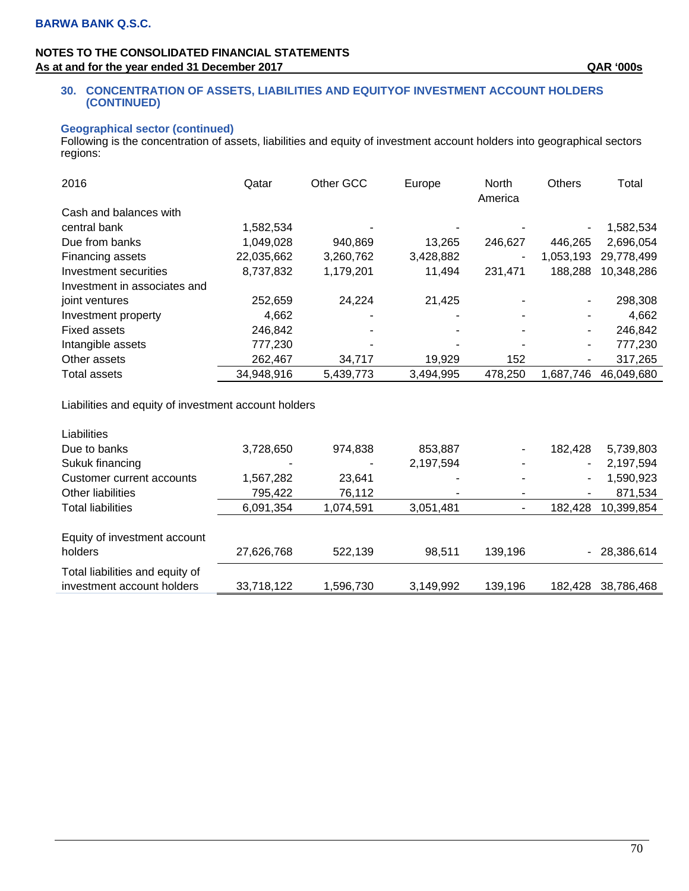## **NOTES TO THE CONSOLIDATED FINANCIAL STATEMENTS**  As at and for the year ended 31 December 2017 **As at and for the year ended 31 December 2017** As at and for the year ended 31 December 2017

### **30. CONCENTRATION OF ASSETS, LIABILITIES AND EQUITYOF INVESTMENT ACCOUNT HOLDERS (CONTINUED)**

## **Geographical sector (continued)**

Following is the concentration of assets, liabilities and equity of investment account holders into geographical sectors regions:

| 2016                         | Qatar      | Other GCC | Europe         | <b>North</b><br>America | <b>Others</b> | Total      |
|------------------------------|------------|-----------|----------------|-------------------------|---------------|------------|
| Cash and balances with       |            |           |                |                         |               |            |
| central bank                 | 1,582,534  |           |                |                         |               | 1,582,534  |
| Due from banks               | 1,049,028  | 940,869   | 13,265         | 246,627                 | 446.265       | 2,696,054  |
| Financing assets             | 22,035,662 | 3,260,762 | 3,428,882      | $\overline{a}$          | 1,053,193     | 29,778,499 |
| Investment securities        | 8,737,832  | 1,179,201 | 11,494         | 231.471                 | 188,288       | 10,348,286 |
| Investment in associates and |            |           |                |                         |               |            |
| joint ventures               | 252,659    | 24,224    | 21,425         |                         | ۰             | 298,308    |
| Investment property          | 4,662      |           | $\blacksquare$ |                         |               | 4,662      |
| Fixed assets                 | 246,842    |           |                |                         | ۰.            | 246,842    |
| Intangible assets            | 777,230    |           |                |                         | ۰.            | 777,230    |
| Other assets                 | 262,467    | 34,717    | 19,929         | 152                     | ۰             | 317,265    |
| Total assets                 | 34,948,916 | 5,439,773 | 3,494,995      | 478,250                 | 1.687.746     | 46,049,680 |

Liabilities and equity of investment account holders

| Liabilities                     |            |           |           |         |         |            |
|---------------------------------|------------|-----------|-----------|---------|---------|------------|
| Due to banks                    | 3,728,650  | 974,838   | 853,887   |         | 182.428 | 5,739,803  |
| Sukuk financing                 | ٠          | ٠         | 2,197,594 |         | ۰       | 2,197,594  |
| Customer current accounts       | 1,567,282  | 23,641    | -         |         | ۰       | 1,590,923  |
| Other liabilities               | 795,422    | 76,112    | ۰         | ۰       | ۰       | 871,534    |
| <b>Total liabilities</b>        | 6,091,354  | 1,074,591 | 3,051,481 |         | 182.428 | 10,399,854 |
|                                 |            |           |           |         |         |            |
| Equity of investment account    |            |           |           |         |         |            |
| holders                         | 27,626,768 | 522,139   | 98,511    | 139,196 | -       | 28,386,614 |
| Total liabilities and equity of |            |           |           |         |         |            |
| investment account holders      | 33,718,122 | 1,596,730 | 3,149,992 | 139,196 | 182,428 | 38,786,468 |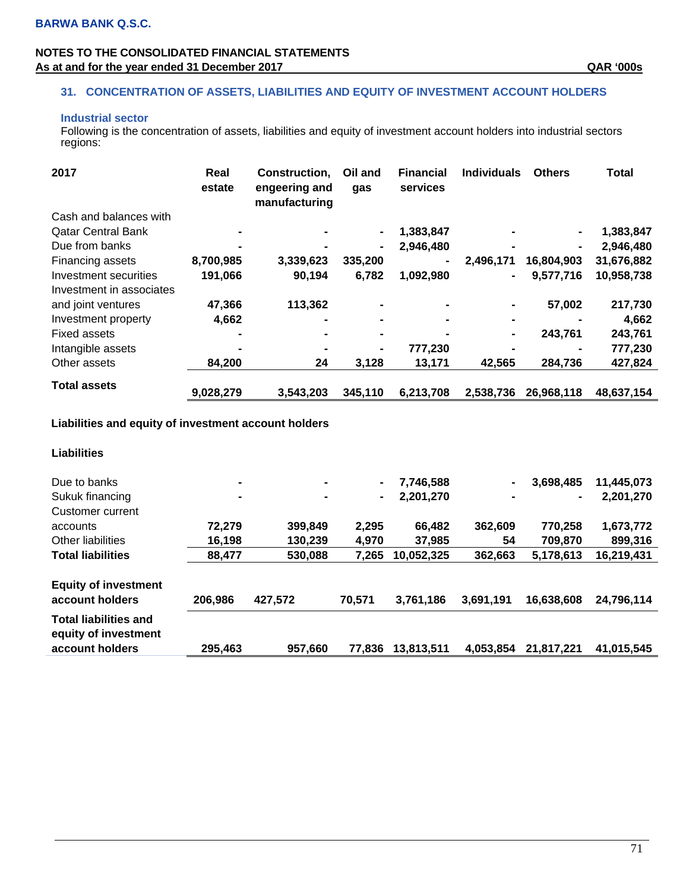### **NOTES TO THE CONSOLIDATED FINANCIAL STATEMENTS**  As at and for the year ended 31 December 2017 **As at and for the year ended 31 December 2017** As at and for the year ended 31 December 2017

### **31. CONCENTRATION OF ASSETS, LIABILITIES AND EQUITY OF INVESTMENT ACCOUNT HOLDERS**

### **Industrial sector**

Following is the concentration of assets, liabilities and equity of investment account holders into industrial sectors regions:

| 2017                      | Real<br>estate | Construction,<br>engeering and<br>manufacturing | Oil and<br>gas | <b>Financial</b><br>services | <b>Individuals</b> | <b>Others</b>  | <b>Total</b> |
|---------------------------|----------------|-------------------------------------------------|----------------|------------------------------|--------------------|----------------|--------------|
| Cash and balances with    |                |                                                 |                |                              |                    |                |              |
| <b>Qatar Central Bank</b> |                |                                                 |                | 1,383,847                    |                    | $\blacksquare$ | 1,383,847    |
| Due from banks            | -              |                                                 | ۰              | 2,946,480                    |                    | $\blacksquare$ | 2,946,480    |
| Financing assets          | 8,700,985      | 3,339,623                                       | 335,200        |                              | 2,496,171          | 16,804,903     | 31,676,882   |
| Investment securities     | 191,066        | 90,194                                          | 6,782          | 1,092,980                    | ۰                  | 9,577,716      | 10,958,738   |
| Investment in associates  |                |                                                 |                |                              |                    |                |              |
| and joint ventures        | 47,366         | 113,362                                         | $\blacksquare$ | $\blacksquare$               | ۰                  | 57,002         | 217,730      |
| Investment property       | 4,662          |                                                 |                |                              | $\blacksquare$     |                | 4,662        |
| <b>Fixed assets</b>       |                |                                                 |                |                              | ۰                  | 243,761        | 243,761      |
| Intangible assets         |                |                                                 | $\blacksquare$ | 777,230                      |                    |                | 777,230      |
| Other assets              | 84,200         | 24                                              | 3,128          | 13,171                       | 42,565             | 284,736        | 427,824      |
| Total assets              | 9,028,279      | 3,543,203                                       | 345,110        | 6,213,708                    | 2,538,736          | 26,968,118     | 48,637,154   |

### **Liabilities and equity of investment account holders**

# **Liabilities**

| Due to banks                                         | $\blacksquare$ | ۰       |        | 7,746,588  |           | 3,698,485      | 11,445,073 |
|------------------------------------------------------|----------------|---------|--------|------------|-----------|----------------|------------|
| Sukuk financing                                      | $\blacksquare$ | ۰       |        | 2,201,270  |           | $\blacksquare$ | 2,201,270  |
| Customer current                                     |                |         |        |            |           |                |            |
| accounts                                             | 72,279         | 399,849 | 2,295  | 66.482     | 362,609   | 770,258        | 1,673,772  |
| Other liabilities                                    | 16,198         | 130.239 | 4.970  | 37,985     | 54        | 709.870        | 899,316    |
| <b>Total liabilities</b>                             | 88,477         | 530,088 | 7,265  | 10,052,325 | 362,663   | 5,178,613      | 16,219,431 |
| <b>Equity of investment</b>                          |                |         |        |            |           |                |            |
| account holders                                      | 206,986        | 427,572 | 70.571 | 3,761,186  | 3,691,191 | 16,638,608     | 24.796.114 |
| <b>Total liabilities and</b><br>equity of investment |                |         |        |            |           |                |            |
| account holders                                      | 295,463        | 957,660 | 77.836 | 13,813,511 | 4,053,854 | 21,817,221     | 41,015,545 |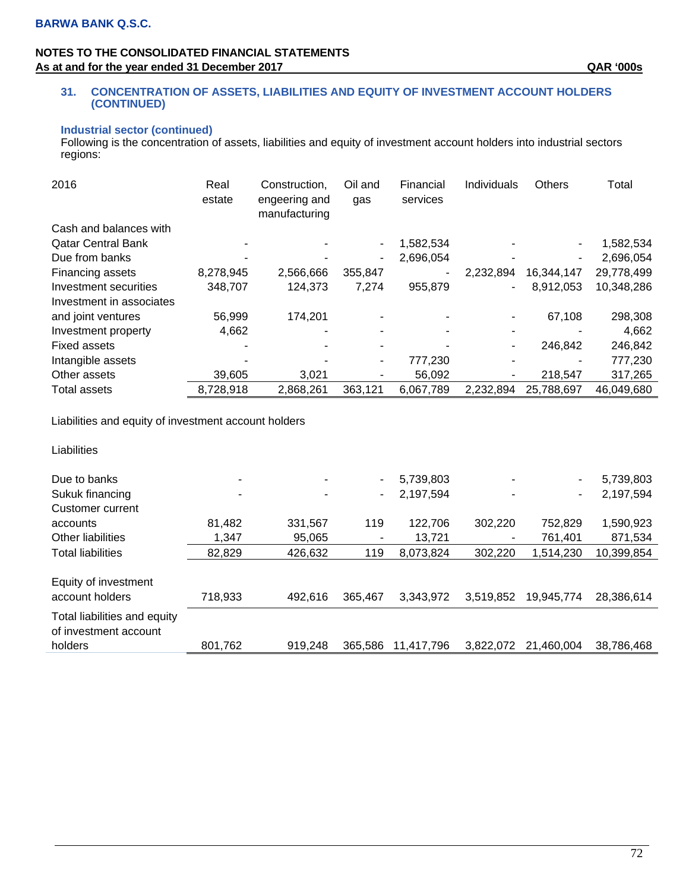### **NOTES TO THE CONSOLIDATED FINANCIAL STATEMENTS**  As at and for the year ended 31 December 2017 **As at and for the year ended 31 December 2017** As at and for the year ended 31 December 2017

#### **31. CONCENTRATION OF ASSETS, LIABILITIES AND EQUITY OF INVESTMENT ACCOUNT HOLDERS (CONTINUED)**

### **Industrial sector (continued)**

Following is the concentration of assets, liabilities and equity of investment account holders into industrial sectors regions:

| 2016                      | Real<br>estate | Construction.<br>engeering and<br>manufacturing | Oil and<br>gas           | Financial<br>services | Individuals    | Others     | Total      |
|---------------------------|----------------|-------------------------------------------------|--------------------------|-----------------------|----------------|------------|------------|
| Cash and balances with    |                |                                                 |                          |                       |                |            |            |
| <b>Qatar Central Bank</b> |                |                                                 |                          | 1,582,534             |                | ٠          | 1,582,534  |
| Due from banks            |                |                                                 | ۰                        | 2,696,054             |                | ٠          | 2,696,054  |
| Financing assets          | 8,278,945      | 2,566,666                                       | 355,847                  | ۰                     | 2,232,894      | 16,344,147 | 29,778,499 |
| Investment securities     | 348,707        | 124,373                                         | 7,274                    | 955,879               | ۰              | 8,912,053  | 10,348,286 |
| Investment in associates  |                |                                                 |                          |                       |                |            |            |
| and joint ventures        | 56,999         | 174,201                                         |                          |                       |                | 67,108     | 298,308    |
| Investment property       | 4,662          |                                                 | $\overline{\phantom{0}}$ |                       | $\blacksquare$ |            | 4,662      |
| <b>Fixed assets</b>       |                |                                                 |                          |                       |                | 246,842    | 246,842    |
| Intangible assets         |                |                                                 |                          | 777,230               | -              | ٠          | 777,230    |
| Other assets              | 39,605         | 3,021                                           |                          | 56,092                |                | 218,547    | 317,265    |
| <b>Total assets</b>       | 8,728,918      | 2,868,261                                       | 363,121                  | 6,067,789             | 2,232,894      | 25,788,697 | 46,049,680 |

Liabilities and equity of investment account holders

Liabilities

| Due to banks                                          | $\overline{\phantom{0}}$ |         |         | 5,739,803  |           | ٠          | 5,739,803  |
|-------------------------------------------------------|--------------------------|---------|---------|------------|-----------|------------|------------|
| Sukuk financing                                       |                          |         |         | 2,197,594  |           | ۰          | 2,197,594  |
| Customer current                                      |                          |         |         |            |           |            |            |
| accounts                                              | 81.482                   | 331,567 | 119     | 122.706    | 302,220   | 752,829    | 1,590,923  |
| <b>Other liabilities</b>                              | 1.347                    | 95.065  |         | 13.721     |           | 761,401    | 871,534    |
| <b>Total liabilities</b>                              | 82,829                   | 426,632 | 119     | 8,073,824  | 302,220   | 1,514,230  | 10,399,854 |
| Equity of investment<br>account holders               | 718,933                  | 492.616 | 365.467 | 3,343,972  | 3,519,852 | 19,945,774 | 28,386,614 |
| Total liabilities and equity<br>of investment account |                          |         |         |            |           |            |            |
| holders                                               | 801,762                  | 919.248 | 365,586 | 11.417.796 | 3,822,072 | 21.460.004 | 38,786,468 |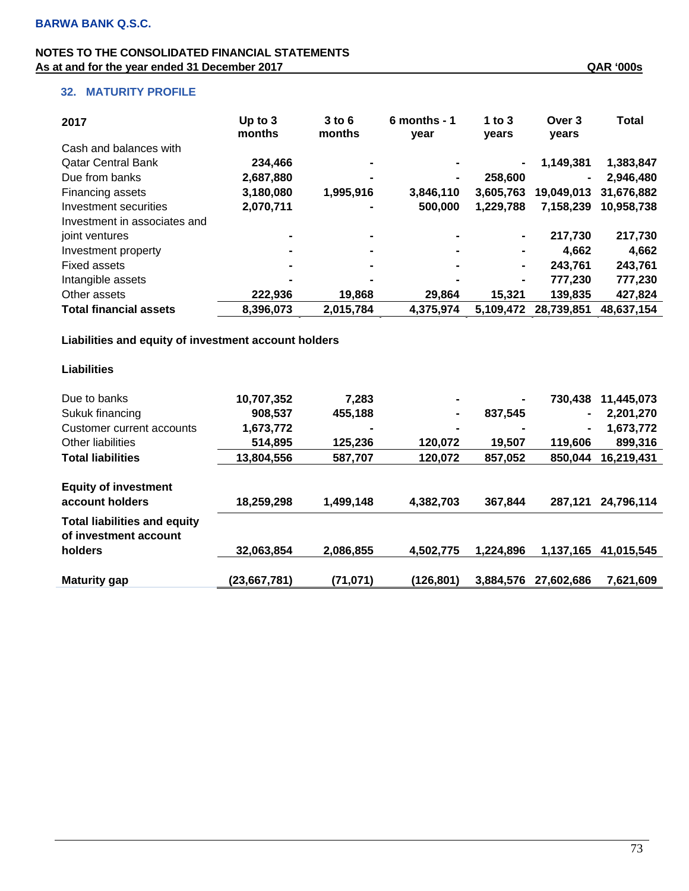# **32. MATURITY PROFILE**

| 2017                          | Up to $3$<br>months | $3$ to $6$<br>months | $6$ months - 1<br>year | 1 to $3$<br>years | Over 3<br>years | <b>Total</b> |
|-------------------------------|---------------------|----------------------|------------------------|-------------------|-----------------|--------------|
| Cash and balances with        |                     |                      |                        |                   |                 |              |
| <b>Qatar Central Bank</b>     | 234,466             |                      |                        | $\blacksquare$    | 1,149,381       | 1,383,847    |
| Due from banks                | 2,687,880           |                      | $\blacksquare$         | 258,600           |                 | 2,946,480    |
| <b>Financing assets</b>       | 3,180,080           | 1,995,916            | 3,846,110              | 3,605,763         | 19,049,013      | 31.676.882   |
| Investment securities         | 2,070,711           |                      | 500,000                | 1,229,788         | 7,158,239       | 10,958,738   |
| Investment in associates and  |                     |                      |                        |                   |                 |              |
| joint ventures                |                     |                      | $\blacksquare$         | $\blacksquare$    | 217,730         | 217,730      |
| Investment property           |                     | $\sim$               | $\blacksquare$         | $\blacksquare$    | 4.662           | 4,662        |
| Fixed assets                  |                     |                      |                        | $\blacksquare$    | 243,761         | 243,761      |
| Intangible assets             |                     |                      |                        | $\blacksquare$    | 777,230         | 777,230      |
| Other assets                  | 222,936             | 19,868               | 29,864                 | 15.321            | 139,835         | 427,824      |
| <b>Total financial assets</b> | 8,396,073           | 2,015,784            | 4,375,974              | 5.109.472         | 28,739,851      | 48,637,154   |

 **Liabilities and equity of investment account holders** 

| <b>Liabilities</b>                                                      |              |           |                |                |                |            |
|-------------------------------------------------------------------------|--------------|-----------|----------------|----------------|----------------|------------|
| Due to banks                                                            | 10,707,352   | 7,283     | ۰              | $\blacksquare$ | 730,438        | 11,445,073 |
| Sukuk financing                                                         | 908,537      | 455,188   | $\blacksquare$ | 837,545        | $\blacksquare$ | 2,201,270  |
| Customer current accounts                                               | 1,673,772    | -         | $\blacksquare$ | $\blacksquare$ | $\blacksquare$ | 1,673,772  |
| Other liabilities                                                       | 514,895      | 125,236   | 120,072        | 19,507         | 119,606        | 899,316    |
| <b>Total liabilities</b>                                                | 13,804,556   | 587,707   | 120,072        | 857,052        | 850,044        | 16,219,431 |
| <b>Equity of investment</b><br>account holders                          | 18,259,298   | 1,499,148 | 4,382,703      | 367,844        | 287,121        | 24,796,114 |
| <b>Total liabilities and equity</b><br>of investment account<br>holders | 32,063,854   | 2.086,855 | 4,502,775      | 1.224.896      | 1,137,165      | 41,015,545 |
| <b>Maturity gap</b>                                                     | (23,667,781) | (71, 071) | (126, 801)     | 3,884,576      | 27,602,686     | 7,621,609  |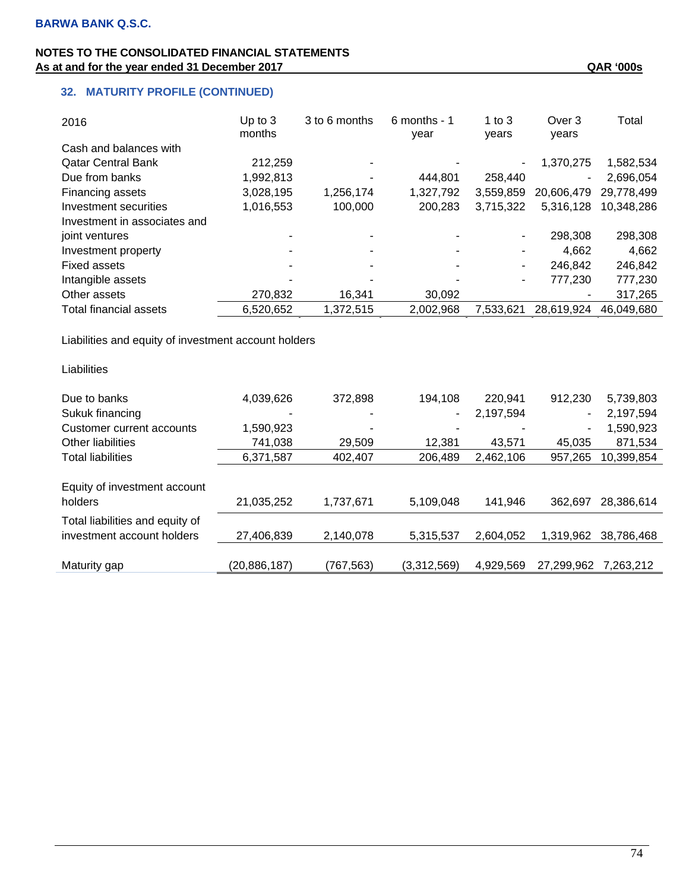| 2016                         | Up to $3$<br>months | 3 to 6 months | $6$ months - 1<br>year | 1 to $3$<br>vears        | Over 3<br>years | Total      |
|------------------------------|---------------------|---------------|------------------------|--------------------------|-----------------|------------|
| Cash and balances with       |                     |               |                        |                          |                 |            |
| <b>Qatar Central Bank</b>    | 212,259             |               |                        | ٠                        | 1.370.275       | 1,582,534  |
| Due from banks               | 1,992,813           |               | 444.801                | 258,440                  |                 | 2,696,054  |
| Financing assets             | 3,028,195           | 1,256,174     | 1,327,792              | 3.559.859                | 20.606.479      | 29,778,499 |
| Investment securities        | 1,016,553           | 100,000       | 200,283                | 3.715.322                | 5.316.128       | 10,348,286 |
| Investment in associates and |                     |               |                        |                          |                 |            |
| joint ventures               |                     |               |                        | $\overline{\phantom{a}}$ | 298,308         | 298,308    |
| Investment property          |                     |               | $\blacksquare$         |                          | 4.662           | 4,662      |
| <b>Fixed assets</b>          |                     |               |                        | $\blacksquare$           | 246.842         | 246,842    |
| Intangible assets            |                     |               |                        | $\blacksquare$           | 777,230         | 777,230    |
| Other assets                 | 270,832             | 16,341        | 30,092                 |                          |                 | 317,265    |
| Total financial assets       | 6,520,652           | 1,372,515     | 2,002,968              | 7,533,621                | 28,619,924      | 46,049,680 |

Liabilities and equity of investment account holders

| Liabilities                                                   |              |           |             |           |            |            |
|---------------------------------------------------------------|--------------|-----------|-------------|-----------|------------|------------|
| Due to banks                                                  | 4,039,626    | 372,898   | 194,108     | 220,941   | 912,230    | 5,739,803  |
| Sukuk financing                                               |              |           | ۰           | 2,197,594 | ۰          | 2,197,594  |
| Customer current accounts                                     | 1,590,923    |           |             |           | ٠          | 1,590,923  |
| Other liabilities                                             | 741,038      | 29,509    | 12,381      | 43,571    | 45.035     | 871,534    |
| <b>Total liabilities</b>                                      | 6,371,587    | 402,407   | 206,489     | 2,462,106 | 957,265    | 10,399,854 |
| Equity of investment account<br>holders                       | 21,035,252   | 1,737,671 | 5.109.048   | 141,946   | 362.697    | 28,386,614 |
| Total liabilities and equity of<br>investment account holders | 27,406,839   | 2,140,078 | 5,315,537   | 2.604.052 | 1,319,962  | 38,786,468 |
| Maturity gap                                                  | (20,886,187) | (767,563) | (3,312,569) | 4,929,569 | 27,299,962 | 7.263.212  |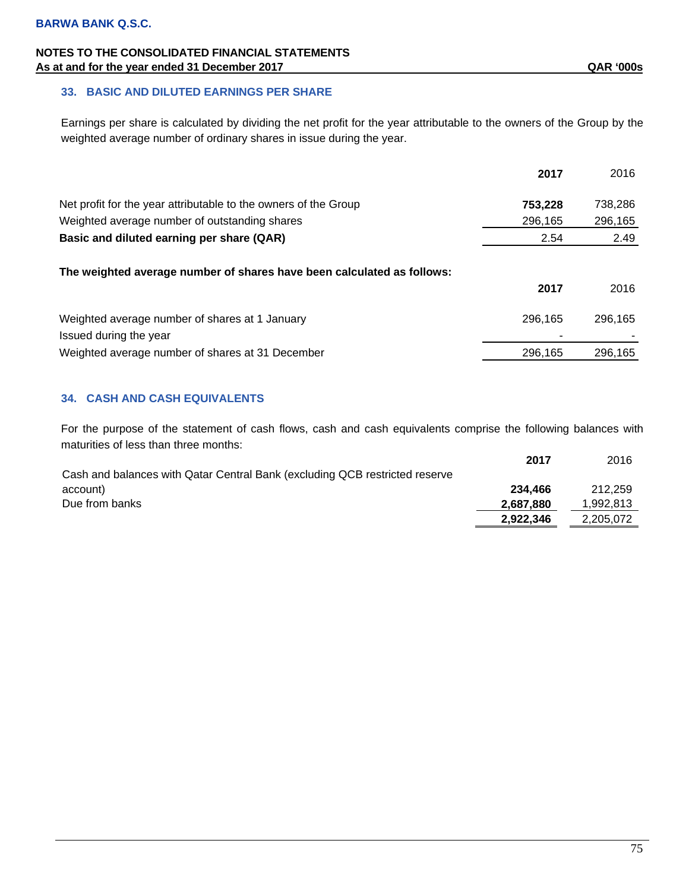### **33. BASIC AND DILUTED EARNINGS PER SHARE**

Earnings per share is calculated by dividing the net profit for the year attributable to the owners of the Group by the weighted average number of ordinary shares in issue during the year.

|                                                                        | 2017    | 2016    |
|------------------------------------------------------------------------|---------|---------|
| Net profit for the year attributable to the owners of the Group        | 753,228 | 738,286 |
| Weighted average number of outstanding shares                          | 296,165 | 296,165 |
| Basic and diluted earning per share (QAR)                              | 2.54    | 2.49    |
| The weighted average number of shares have been calculated as follows: |         |         |
|                                                                        | 2017    | 2016    |
| Weighted average number of shares at 1 January                         | 296.165 | 296.165 |
| Issued during the year                                                 |         |         |
| Weighted average number of shares at 31 December                       | 296,165 | 296,165 |

### **34. CASH AND CASH EQUIVALENTS**

For the purpose of the statement of cash flows, cash and cash equivalents comprise the following balances with maturities of less than three months:

|                                                                             | 2017      | 2016      |
|-----------------------------------------------------------------------------|-----------|-----------|
| Cash and balances with Qatar Central Bank (excluding QCB restricted reserve |           |           |
| account)                                                                    | 234.466   | 212.259   |
| Due from banks                                                              | 2.687.880 | 1,992,813 |
|                                                                             | 2.922.346 | 2,205,072 |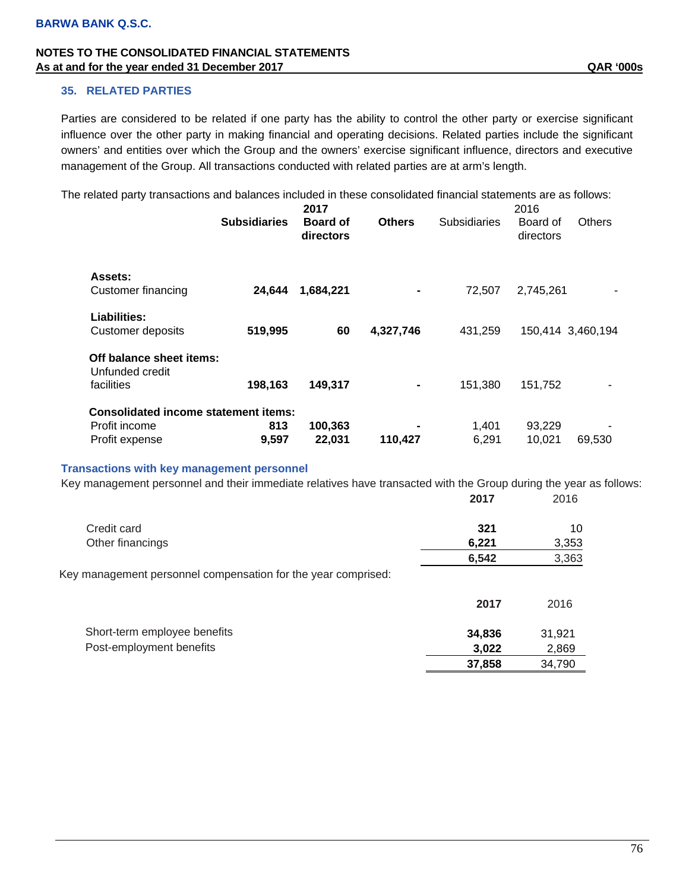#### **35. RELATED PARTIES**

Parties are considered to be related if one party has the ability to control the other party or exercise significant influence over the other party in making financial and operating decisions. Related parties include the significant owners' and entities over which the Group and the owners' exercise significant influence, directors and executive management of the Group. All transactions conducted with related parties are at arm's length.

The related party transactions and balances included in these consolidated financial statements are as follows:

|                                                                                | <b>Subsidiaries</b> | 2017<br><b>Board of</b><br>directors | <b>Others</b> | <b>Subsidiaries</b> | 2016<br>Board of<br>directors | <b>Others</b>     |
|--------------------------------------------------------------------------------|---------------------|--------------------------------------|---------------|---------------------|-------------------------------|-------------------|
| Assets:<br>Customer financing                                                  | 24,644              | 1,684,221                            |               | 72,507              | 2,745,261                     |                   |
| Liabilities:<br>Customer deposits                                              | 519,995             | 60                                   | 4,327,746     | 431,259             |                               | 150,414 3,460,194 |
| Off balance sheet items:<br>Unfunded credit<br>facilities                      | 198,163             | 149,317                              |               | 151,380             | 151,752                       |                   |
| <b>Consolidated income statement items:</b><br>Profit income<br>Profit expense | 813<br>9,597        | 100,363<br>22,031                    | 110,427       | 1,401<br>6,291      | 93,229<br>10.021              | 69,530            |

#### **Transactions with key management personnel**

Key management personnel and their immediate relatives have transacted with the Group during the year as follows: **2017** 2016

| 6.221 | 3,353 |
|-------|-------|
| 6.542 | 3.363 |
|       |       |

Key management personnel compensation for the year comprised:

|                              | 2017   | 2016   |
|------------------------------|--------|--------|
| Short-term employee benefits | 34.836 | 31.921 |
| Post-employment benefits     | 3.022  | 2,869  |
|                              | 37,858 | 34.790 |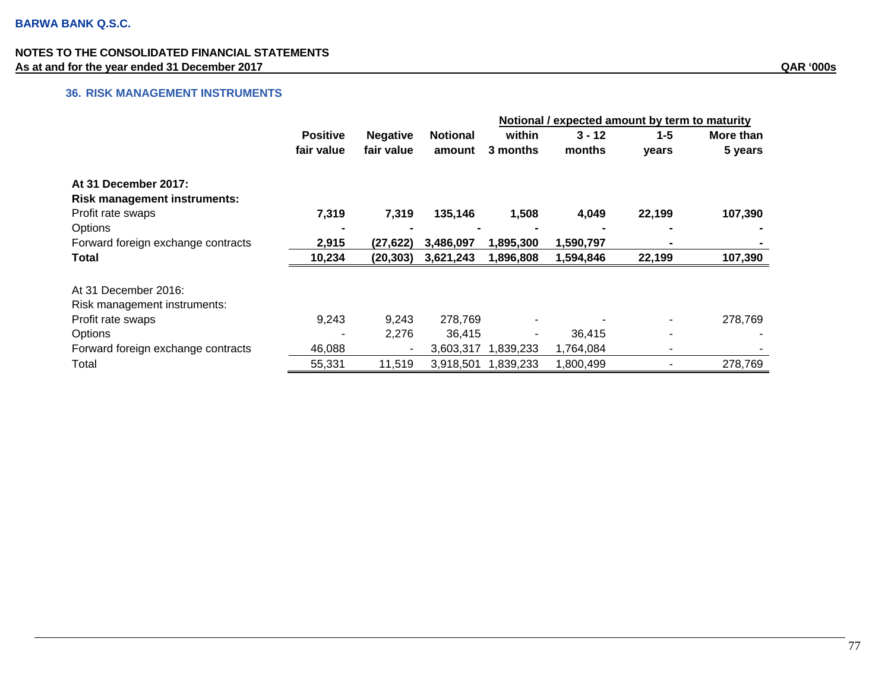# **36. RISK MANAGEMENT INSTRUMENTS**

|                                     |                 |                          |                 | Notional / expected amount by term to maturity |           |         |           |
|-------------------------------------|-----------------|--------------------------|-----------------|------------------------------------------------|-----------|---------|-----------|
|                                     | <b>Positive</b> | <b>Negative</b>          | <b>Notional</b> | within                                         | $3 - 12$  | $1 - 5$ | More than |
|                                     | fair value      | fair value               | amount          | 3 months                                       | months    | years   | 5 years   |
| At 31 December 2017:                |                 |                          |                 |                                                |           |         |           |
| <b>Risk management instruments:</b> |                 |                          |                 |                                                |           |         |           |
| Profit rate swaps                   | 7,319           | 7,319                    | 135,146         | 1,508                                          | 4,049     | 22,199  | 107,390   |
| Options                             |                 |                          |                 |                                                |           |         |           |
| Forward foreign exchange contracts  | 2,915           | (27, 622)                | 3,486,097       | 1,895,300                                      | 1,590,797 |         |           |
| Total                               | 10,234          | (20, 303)                | 3,621,243       | 1,896,808                                      | 1,594,846 | 22,199  | 107,390   |
| At 31 December 2016:                |                 |                          |                 |                                                |           |         |           |
| Risk management instruments:        |                 |                          |                 |                                                |           |         |           |
| Profit rate swaps                   | 9,243           | 9,243                    | 278,769         |                                                |           |         | 278,769   |
| Options                             |                 | 2,276                    | 36.415          |                                                | 36,415    | -       |           |
| Forward foreign exchange contracts  | 46,088          | $\overline{\phantom{a}}$ | 3,603,317       | 1,839,233                                      | 1,764,084 |         |           |
| Total                               | 55,331          | 11,519                   | 3,918,501       | 1,839,233                                      | 1,800,499 |         | 278,769   |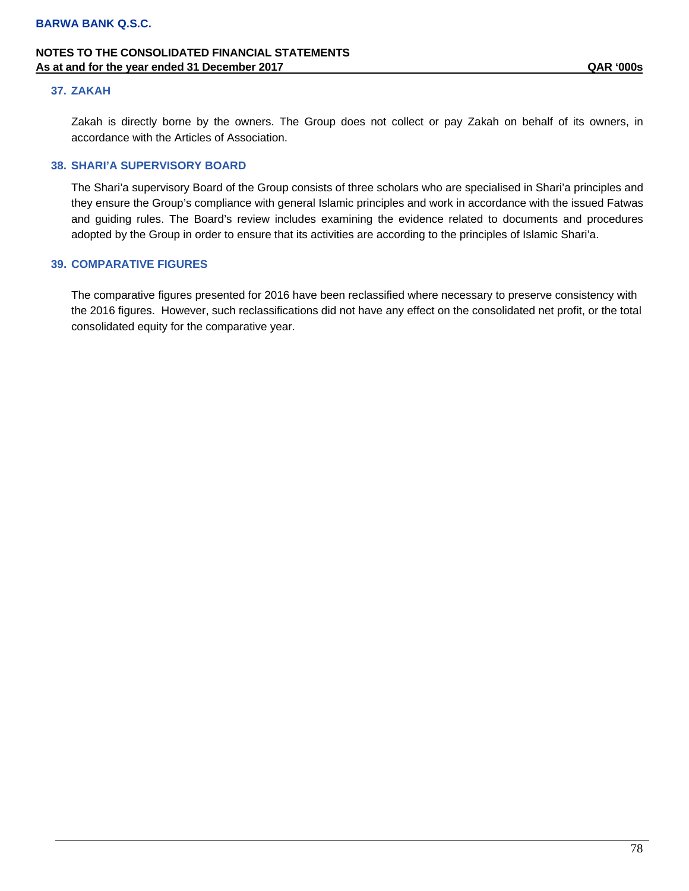#### **37. ZAKAH**

Zakah is directly borne by the owners. The Group does not collect or pay Zakah on behalf of its owners, in accordance with the Articles of Association.

### **38. SHARI'A SUPERVISORY BOARD**

The Shari'a supervisory Board of the Group consists of three scholars who are specialised in Shari'a principles and they ensure the Group's compliance with general Islamic principles and work in accordance with the issued Fatwas and guiding rules. The Board's review includes examining the evidence related to documents and procedures adopted by the Group in order to ensure that its activities are according to the principles of Islamic Shari'a.

#### **39. COMPARATIVE FIGURES**

The comparative figures presented for 2016 have been reclassified where necessary to preserve consistency with the 2016 figures. However, such reclassifications did not have any effect on the consolidated net profit, or the total consolidated equity for the comparative year.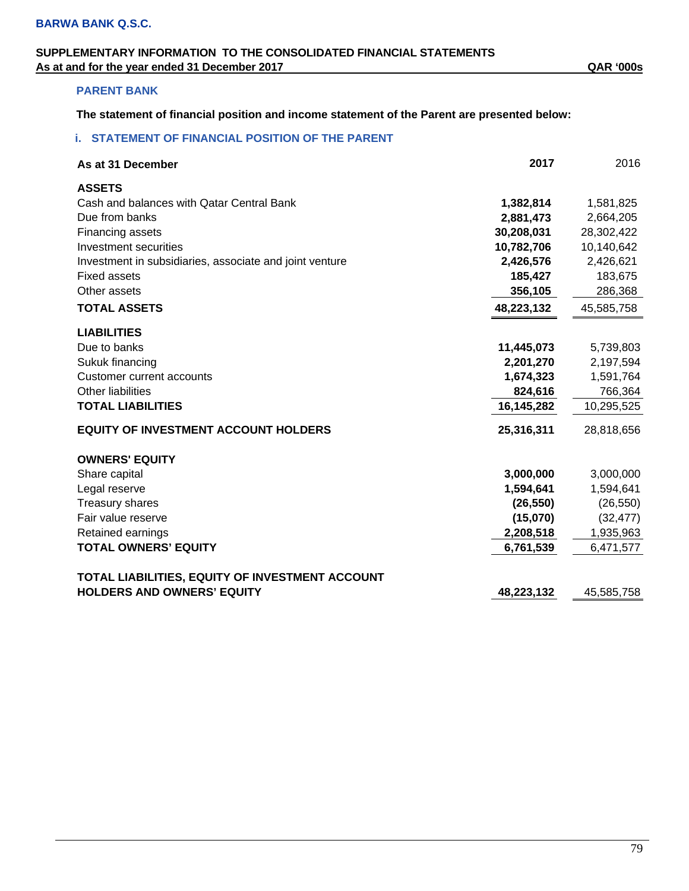# **SUPPLEMENTARY INFORMATION TO THE CONSOLIDATED FINANCIAL STATEMENTS As at and for the year ended 31 December 2017 QAR '000s**

# **PARENT BANK**

**The statement of financial position and income statement of the Parent are presented below:** 

# **i. STATEMENT OF FINANCIAL POSITION OF THE PARENT**

| As at 31 December                                       | 2017       | 2016       |
|---------------------------------------------------------|------------|------------|
| <b>ASSETS</b>                                           |            |            |
| Cash and balances with Qatar Central Bank               | 1,382,814  | 1,581,825  |
| Due from banks                                          | 2,881,473  | 2,664,205  |
| Financing assets                                        | 30,208,031 | 28,302,422 |
| Investment securities                                   | 10,782,706 | 10,140,642 |
| Investment in subsidiaries, associate and joint venture | 2,426,576  | 2,426,621  |
| <b>Fixed assets</b>                                     | 185,427    | 183,675    |
| Other assets                                            | 356,105    | 286,368    |
| <b>TOTAL ASSETS</b>                                     | 48,223,132 | 45,585,758 |
| <b>LIABILITIES</b>                                      |            |            |
| Due to banks                                            | 11,445,073 | 5,739,803  |
| Sukuk financing                                         | 2,201,270  | 2,197,594  |
| <b>Customer current accounts</b>                        | 1,674,323  | 1,591,764  |
| Other liabilities                                       | 824,616    | 766,364    |
| <b>TOTAL LIABILITIES</b>                                | 16,145,282 | 10,295,525 |
| <b>EQUITY OF INVESTMENT ACCOUNT HOLDERS</b>             | 25,316,311 | 28,818,656 |
| <b>OWNERS' EQUITY</b>                                   |            |            |
| Share capital                                           | 3,000,000  | 3,000,000  |
| Legal reserve                                           | 1,594,641  | 1,594,641  |
| <b>Treasury shares</b>                                  | (26, 550)  | (26, 550)  |
| Fair value reserve                                      | (15,070)   | (32, 477)  |
| Retained earnings                                       | 2,208,518  | 1,935,963  |
| <b>TOTAL OWNERS' EQUITY</b>                             | 6,761,539  | 6,471,577  |
| TOTAL LIABILITIES, EQUITY OF INVESTMENT ACCOUNT         |            |            |
| <b>HOLDERS AND OWNERS' EQUITY</b>                       | 48,223,132 | 45,585,758 |